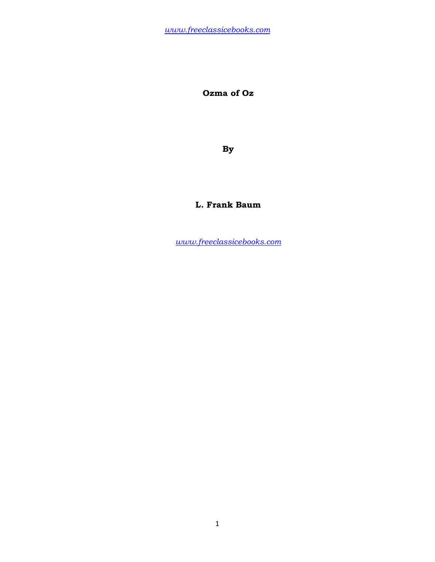**Ozma of Oz** 

**By** 

# **L. Frank Baum**

*www.freeclassicebooks.com*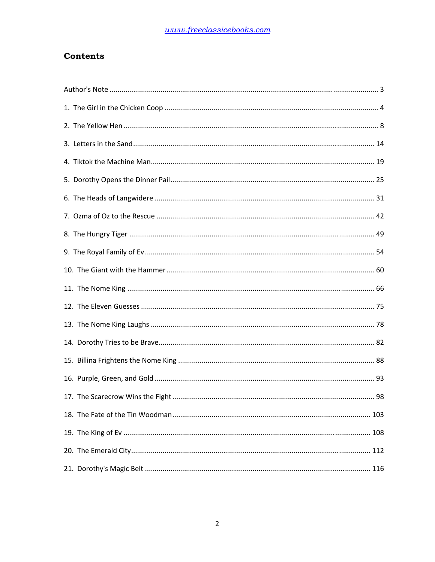# **Contents**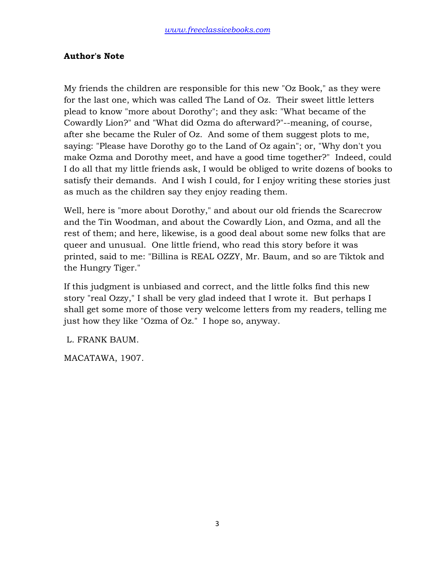#### **Author's Note**

My friends the children are responsible for this new "Oz Book," as they were for the last one, which was called The Land of Oz. Their sweet little letters plead to know "more about Dorothy"; and they ask: "What became of the Cowardly Lion?" and "What did Ozma do afterward?"--meaning, of course, after she became the Ruler of Oz. And some of them suggest plots to me, saying: "Please have Dorothy go to the Land of Oz again"; or, "Why don't you make Ozma and Dorothy meet, and have a good time together?" Indeed, could I do all that my little friends ask, I would be obliged to write dozens of books to satisfy their demands. And I wish I could, for I enjoy writing these stories just as much as the children say they enjoy reading them.

Well, here is "more about Dorothy," and about our old friends the Scarecrow and the Tin Woodman, and about the Cowardly Lion, and Ozma, and all the rest of them; and here, likewise, is a good deal about some new folks that are queer and unusual. One little friend, who read this story before it was printed, said to me: "Billina is REAL OZZY, Mr. Baum, and so are Tiktok and the Hungry Tiger."

If this judgment is unbiased and correct, and the little folks find this new story "real Ozzy," I shall be very glad indeed that I wrote it. But perhaps I shall get some more of those very welcome letters from my readers, telling me just how they like "Ozma of Oz." I hope so, anyway.

L. FRANK BAUM.

MACATAWA, 1907.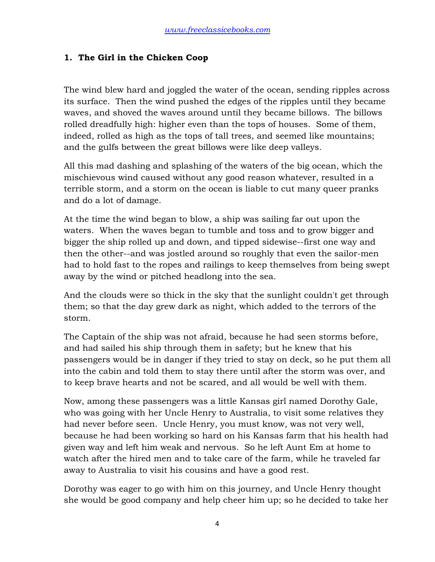#### **1. The Girl in the Chicken Coop**

The wind blew hard and joggled the water of the ocean, sending ripples across its surface. Then the wind pushed the edges of the ripples until they became waves, and shoved the waves around until they became billows. The billows rolled dreadfully high: higher even than the tops of houses. Some of them, indeed, rolled as high as the tops of tall trees, and seemed like mountains; and the gulfs between the great billows were like deep valleys.

All this mad dashing and splashing of the waters of the big ocean, which the mischievous wind caused without any good reason whatever, resulted in a terrible storm, and a storm on the ocean is liable to cut many queer pranks and do a lot of damage.

At the time the wind began to blow, a ship was sailing far out upon the waters. When the waves began to tumble and toss and to grow bigger and bigger the ship rolled up and down, and tipped sidewise--first one way and then the other--and was jostled around so roughly that even the sailor-men had to hold fast to the ropes and railings to keep themselves from being swept away by the wind or pitched headlong into the sea.

And the clouds were so thick in the sky that the sunlight couldn't get through them; so that the day grew dark as night, which added to the terrors of the storm.

The Captain of the ship was not afraid, because he had seen storms before, and had sailed his ship through them in safety; but he knew that his passengers would be in danger if they tried to stay on deck, so he put them all into the cabin and told them to stay there until after the storm was over, and to keep brave hearts and not be scared, and all would be well with them.

Now, among these passengers was a little Kansas girl named Dorothy Gale, who was going with her Uncle Henry to Australia, to visit some relatives they had never before seen. Uncle Henry, you must know, was not very well, because he had been working so hard on his Kansas farm that his health had given way and left him weak and nervous. So he left Aunt Em at home to watch after the hired men and to take care of the farm, while he traveled far away to Australia to visit his cousins and have a good rest.

Dorothy was eager to go with him on this journey, and Uncle Henry thought she would be good company and help cheer him up; so he decided to take her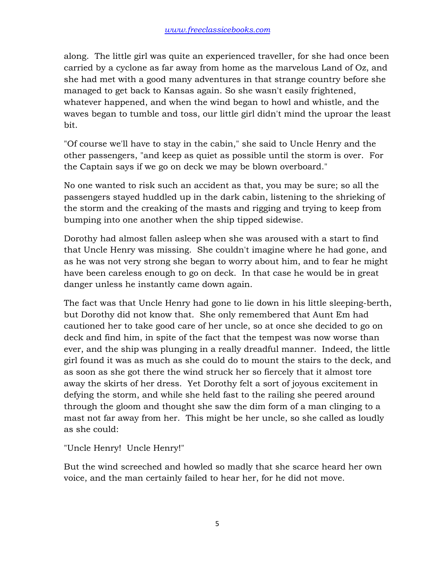along. The little girl was quite an experienced traveller, for she had once been carried by a cyclone as far away from home as the marvelous Land of Oz, and she had met with a good many adventures in that strange country before she managed to get back to Kansas again. So she wasn't easily frightened, whatever happened, and when the wind began to howl and whistle, and the waves began to tumble and toss, our little girl didn't mind the uproar the least bit.

"Of course we'll have to stay in the cabin," she said to Uncle Henry and the other passengers, "and keep as quiet as possible until the storm is over. For the Captain says if we go on deck we may be blown overboard."

No one wanted to risk such an accident as that, you may be sure; so all the passengers stayed huddled up in the dark cabin, listening to the shrieking of the storm and the creaking of the masts and rigging and trying to keep from bumping into one another when the ship tipped sidewise.

Dorothy had almost fallen asleep when she was aroused with a start to find that Uncle Henry was missing. She couldn't imagine where he had gone, and as he was not very strong she began to worry about him, and to fear he might have been careless enough to go on deck. In that case he would be in great danger unless he instantly came down again.

The fact was that Uncle Henry had gone to lie down in his little sleeping-berth, but Dorothy did not know that. She only remembered that Aunt Em had cautioned her to take good care of her uncle, so at once she decided to go on deck and find him, in spite of the fact that the tempest was now worse than ever, and the ship was plunging in a really dreadful manner. Indeed, the little girl found it was as much as she could do to mount the stairs to the deck, and as soon as she got there the wind struck her so fiercely that it almost tore away the skirts of her dress. Yet Dorothy felt a sort of joyous excitement in defying the storm, and while she held fast to the railing she peered around through the gloom and thought she saw the dim form of a man clinging to a mast not far away from her. This might be her uncle, so she called as loudly as she could:

"Uncle Henry! Uncle Henry!"

But the wind screeched and howled so madly that she scarce heard her own voice, and the man certainly failed to hear her, for he did not move.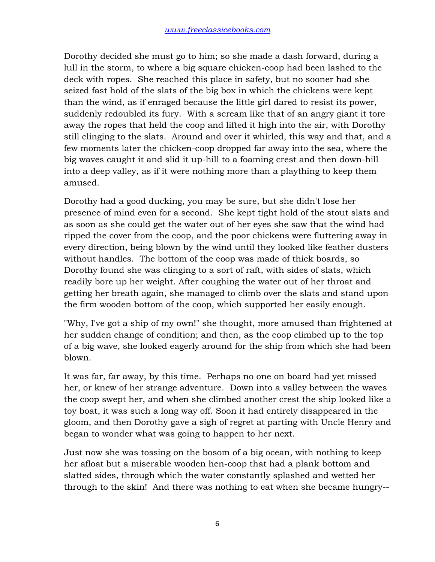Dorothy decided she must go to him; so she made a dash forward, during a lull in the storm, to where a big square chicken-coop had been lashed to the deck with ropes. She reached this place in safety, but no sooner had she seized fast hold of the slats of the big box in which the chickens were kept than the wind, as if enraged because the little girl dared to resist its power, suddenly redoubled its fury. With a scream like that of an angry giant it tore away the ropes that held the coop and lifted it high into the air, with Dorothy still clinging to the slats. Around and over it whirled, this way and that, and a few moments later the chicken-coop dropped far away into the sea, where the big waves caught it and slid it up-hill to a foaming crest and then down-hill into a deep valley, as if it were nothing more than a plaything to keep them amused.

Dorothy had a good ducking, you may be sure, but she didn't lose her presence of mind even for a second. She kept tight hold of the stout slats and as soon as she could get the water out of her eyes she saw that the wind had ripped the cover from the coop, and the poor chickens were fluttering away in every direction, being blown by the wind until they looked like feather dusters without handles. The bottom of the coop was made of thick boards, so Dorothy found she was clinging to a sort of raft, with sides of slats, which readily bore up her weight. After coughing the water out of her throat and getting her breath again, she managed to climb over the slats and stand upon the firm wooden bottom of the coop, which supported her easily enough.

"Why, I've got a ship of my own!" she thought, more amused than frightened at her sudden change of condition; and then, as the coop climbed up to the top of a big wave, she looked eagerly around for the ship from which she had been blown.

It was far, far away, by this time. Perhaps no one on board had yet missed her, or knew of her strange adventure. Down into a valley between the waves the coop swept her, and when she climbed another crest the ship looked like a toy boat, it was such a long way off. Soon it had entirely disappeared in the gloom, and then Dorothy gave a sigh of regret at parting with Uncle Henry and began to wonder what was going to happen to her next.

Just now she was tossing on the bosom of a big ocean, with nothing to keep her afloat but a miserable wooden hen-coop that had a plank bottom and slatted sides, through which the water constantly splashed and wetted her through to the skin! And there was nothing to eat when she became hungry--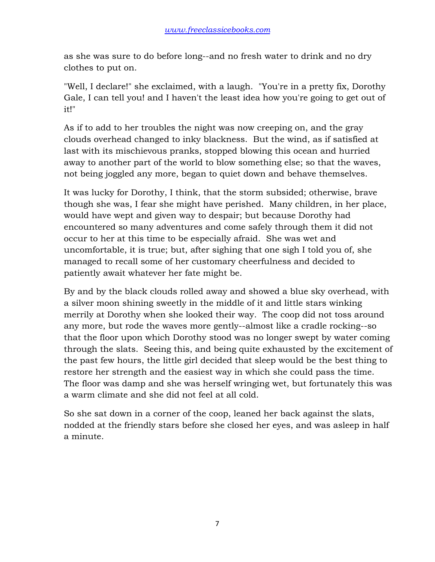as she was sure to do before long--and no fresh water to drink and no dry clothes to put on.

"Well, I declare!" she exclaimed, with a laugh. "You're in a pretty fix, Dorothy Gale, I can tell you! and I haven't the least idea how you're going to get out of it!"

As if to add to her troubles the night was now creeping on, and the gray clouds overhead changed to inky blackness. But the wind, as if satisfied at last with its mischievous pranks, stopped blowing this ocean and hurried away to another part of the world to blow something else; so that the waves, not being joggled any more, began to quiet down and behave themselves.

It was lucky for Dorothy, I think, that the storm subsided; otherwise, brave though she was, I fear she might have perished. Many children, in her place, would have wept and given way to despair; but because Dorothy had encountered so many adventures and come safely through them it did not occur to her at this time to be especially afraid. She was wet and uncomfortable, it is true; but, after sighing that one sigh I told you of, she managed to recall some of her customary cheerfulness and decided to patiently await whatever her fate might be.

By and by the black clouds rolled away and showed a blue sky overhead, with a silver moon shining sweetly in the middle of it and little stars winking merrily at Dorothy when she looked their way. The coop did not toss around any more, but rode the waves more gently--almost like a cradle rocking--so that the floor upon which Dorothy stood was no longer swept by water coming through the slats. Seeing this, and being quite exhausted by the excitement of the past few hours, the little girl decided that sleep would be the best thing to restore her strength and the easiest way in which she could pass the time. The floor was damp and she was herself wringing wet, but fortunately this was a warm climate and she did not feel at all cold.

So she sat down in a corner of the coop, leaned her back against the slats, nodded at the friendly stars before she closed her eyes, and was asleep in half a minute.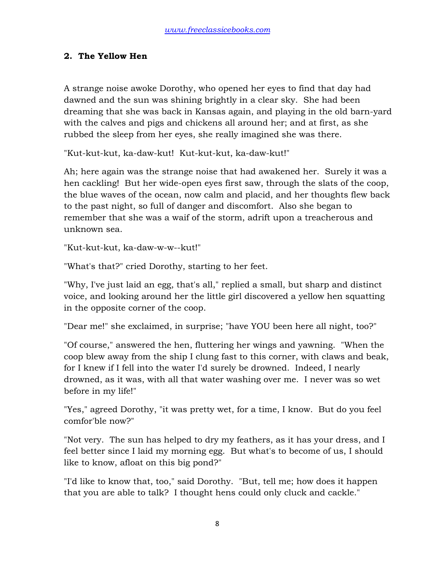### **2. The Yellow Hen**

A strange noise awoke Dorothy, who opened her eyes to find that day had dawned and the sun was shining brightly in a clear sky. She had been dreaming that she was back in Kansas again, and playing in the old barn-yard with the calves and pigs and chickens all around her; and at first, as she rubbed the sleep from her eyes, she really imagined she was there.

"Kut-kut-kut, ka-daw-kut! Kut-kut-kut, ka-daw-kut!"

Ah; here again was the strange noise that had awakened her. Surely it was a hen cackling! But her wide-open eyes first saw, through the slats of the coop, the blue waves of the ocean, now calm and placid, and her thoughts flew back to the past night, so full of danger and discomfort. Also she began to remember that she was a waif of the storm, adrift upon a treacherous and unknown sea.

"Kut-kut-kut, ka-daw-w-w--kut!"

"What's that?" cried Dorothy, starting to her feet.

"Why, I've just laid an egg, that's all," replied a small, but sharp and distinct voice, and looking around her the little girl discovered a yellow hen squatting in the opposite corner of the coop.

"Dear me!" she exclaimed, in surprise; "have YOU been here all night, too?"

"Of course," answered the hen, fluttering her wings and yawning. "When the coop blew away from the ship I clung fast to this corner, with claws and beak, for I knew if I fell into the water I'd surely be drowned. Indeed, I nearly drowned, as it was, with all that water washing over me. I never was so wet before in my life!"

"Yes," agreed Dorothy, "it was pretty wet, for a time, I know. But do you feel comfor'ble now?"

"Not very. The sun has helped to dry my feathers, as it has your dress, and I feel better since I laid my morning egg. But what's to become of us, I should like to know, afloat on this big pond?"

"I'd like to know that, too," said Dorothy. "But, tell me; how does it happen that you are able to talk? I thought hens could only cluck and cackle."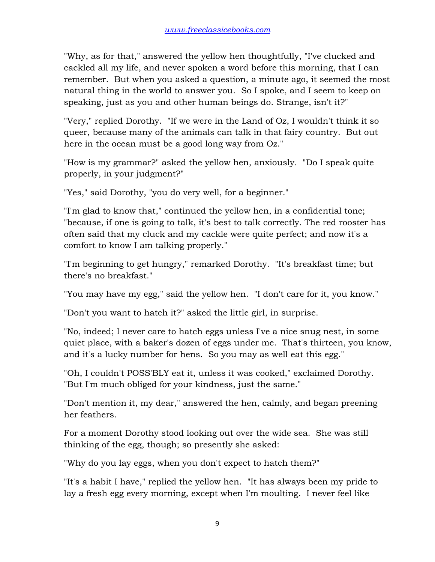"Why, as for that," answered the yellow hen thoughtfully, "I've clucked and cackled all my life, and never spoken a word before this morning, that I can remember. But when you asked a question, a minute ago, it seemed the most natural thing in the world to answer you. So I spoke, and I seem to keep on speaking, just as you and other human beings do. Strange, isn't it?"

"Very," replied Dorothy. "If we were in the Land of Oz, I wouldn't think it so queer, because many of the animals can talk in that fairy country. But out here in the ocean must be a good long way from Oz."

"How is my grammar?" asked the yellow hen, anxiously. "Do I speak quite properly, in your judgment?"

"Yes," said Dorothy, "you do very well, for a beginner."

"I'm glad to know that," continued the yellow hen, in a confidential tone; "because, if one is going to talk, it's best to talk correctly. The red rooster has often said that my cluck and my cackle were quite perfect; and now it's a comfort to know I am talking properly."

"I'm beginning to get hungry," remarked Dorothy. "It's breakfast time; but there's no breakfast."

"You may have my egg," said the yellow hen. "I don't care for it, you know."

"Don't you want to hatch it?" asked the little girl, in surprise.

"No, indeed; I never care to hatch eggs unless I've a nice snug nest, in some quiet place, with a baker's dozen of eggs under me. That's thirteen, you know, and it's a lucky number for hens. So you may as well eat this egg."

"Oh, I couldn't POSS'BLY eat it, unless it was cooked," exclaimed Dorothy. "But I'm much obliged for your kindness, just the same."

"Don't mention it, my dear," answered the hen, calmly, and began preening her feathers.

For a moment Dorothy stood looking out over the wide sea. She was still thinking of the egg, though; so presently she asked:

"Why do you lay eggs, when you don't expect to hatch them?"

"It's a habit I have," replied the yellow hen. "It has always been my pride to lay a fresh egg every morning, except when I'm moulting. I never feel like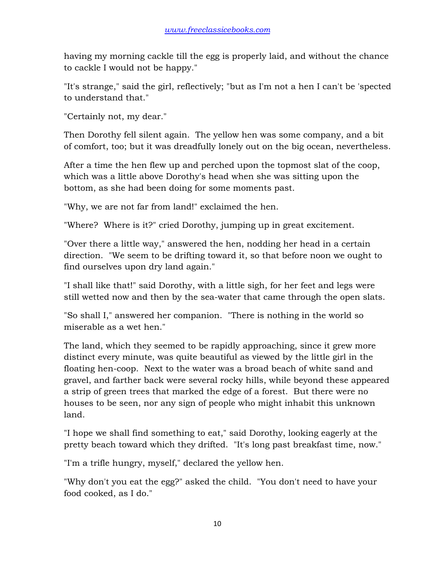having my morning cackle till the egg is properly laid, and without the chance to cackle I would not be happy."

"It's strange," said the girl, reflectively; "but as I'm not a hen I can't be 'spected to understand that."

"Certainly not, my dear."

Then Dorothy fell silent again. The yellow hen was some company, and a bit of comfort, too; but it was dreadfully lonely out on the big ocean, nevertheless.

After a time the hen flew up and perched upon the topmost slat of the coop, which was a little above Dorothy's head when she was sitting upon the bottom, as she had been doing for some moments past.

"Why, we are not far from land!" exclaimed the hen.

"Where? Where is it?" cried Dorothy, jumping up in great excitement.

"Over there a little way," answered the hen, nodding her head in a certain direction. "We seem to be drifting toward it, so that before noon we ought to find ourselves upon dry land again."

"I shall like that!" said Dorothy, with a little sigh, for her feet and legs were still wetted now and then by the sea-water that came through the open slats.

"So shall I," answered her companion. "There is nothing in the world so miserable as a wet hen."

The land, which they seemed to be rapidly approaching, since it grew more distinct every minute, was quite beautiful as viewed by the little girl in the floating hen-coop. Next to the water was a broad beach of white sand and gravel, and farther back were several rocky hills, while beyond these appeared a strip of green trees that marked the edge of a forest. But there were no houses to be seen, nor any sign of people who might inhabit this unknown land.

"I hope we shall find something to eat," said Dorothy, looking eagerly at the pretty beach toward which they drifted. "It's long past breakfast time, now."

"I'm a trifle hungry, myself," declared the yellow hen.

"Why don't you eat the egg?" asked the child. "You don't need to have your food cooked, as I do."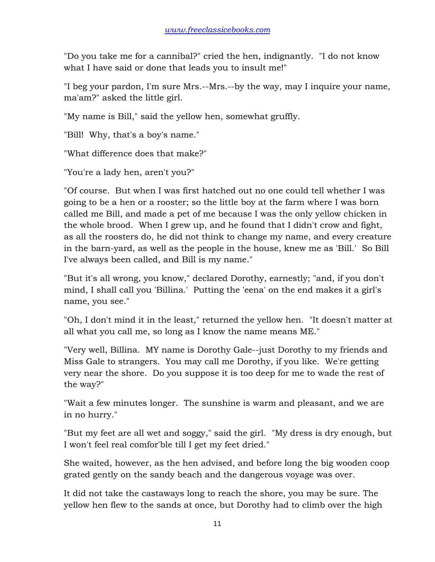"Do you take me for a cannibal?" cried the hen, indignantly. "I do not know what I have said or done that leads you to insult me!"

"I beg your pardon, I'm sure Mrs.--Mrs.--by the way, may I inquire your name, ma'am?" asked the little girl.

"My name is Bill," said the yellow hen, somewhat gruffly.

"Bill! Why, that's a boy's name."

"What difference does that make?"

"You're a lady hen, aren't you?"

"Of course. But when I was first hatched out no one could tell whether I was going to be a hen or a rooster; so the little boy at the farm where I was born called me Bill, and made a pet of me because I was the only yellow chicken in the whole brood. When I grew up, and he found that I didn't crow and fight, as all the roosters do, he did not think to change my name, and every creature in the barn-yard, as well as the people in the house, knew me as 'Bill.' So Bill I've always been called, and Bill is my name."

"But it's all wrong, you know," declared Dorothy, earnestly; "and, if you don't mind, I shall call you 'Billina.' Putting the 'eena' on the end makes it a girl's name, you see."

"Oh, I don't mind it in the least," returned the yellow hen. "It doesn't matter at all what you call me, so long as I know the name means ME."

"Very well, Billina. MY name is Dorothy Gale--just Dorothy to my friends and Miss Gale to strangers. You may call me Dorothy, if you like. We're getting very near the shore. Do you suppose it is too deep for me to wade the rest of the way?"

"Wait a few minutes longer. The sunshine is warm and pleasant, and we are in no hurry."

"But my feet are all wet and soggy," said the girl. "My dress is dry enough, but I won't feel real comfor'ble till I get my feet dried."

She waited, however, as the hen advised, and before long the big wooden coop grated gently on the sandy beach and the dangerous voyage was over.

It did not take the castaways long to reach the shore, you may be sure. The yellow hen flew to the sands at once, but Dorothy had to climb over the high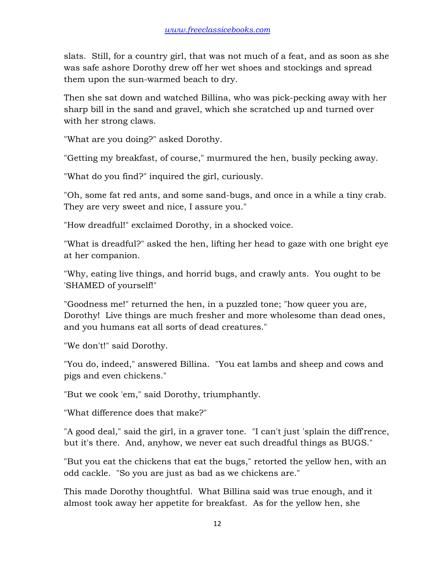slats. Still, for a country girl, that was not much of a feat, and as soon as she was safe ashore Dorothy drew off her wet shoes and stockings and spread them upon the sun-warmed beach to dry.

Then she sat down and watched Billina, who was pick-pecking away with her sharp bill in the sand and gravel, which she scratched up and turned over with her strong claws.

"What are you doing?" asked Dorothy.

"Getting my breakfast, of course," murmured the hen, busily pecking away.

"What do you find?" inquired the girl, curiously.

"Oh, some fat red ants, and some sand-bugs, and once in a while a tiny crab. They are very sweet and nice, I assure you."

"How dreadful!" exclaimed Dorothy, in a shocked voice.

"What is dreadful?" asked the hen, lifting her head to gaze with one bright eye at her companion.

"Why, eating live things, and horrid bugs, and crawly ants. You ought to be 'SHAMED of yourself!"

"Goodness me!" returned the hen, in a puzzled tone; "how queer you are, Dorothy! Live things are much fresher and more wholesome than dead ones, and you humans eat all sorts of dead creatures."

"We don't!" said Dorothy.

"You do, indeed," answered Billina. "You eat lambs and sheep and cows and pigs and even chickens."

"But we cook 'em," said Dorothy, triumphantly.

"What difference does that make?"

"A good deal," said the girl, in a graver tone. "I can't just 'splain the diff'rence, but it's there. And, anyhow, we never eat such dreadful things as BUGS."

"But you eat the chickens that eat the bugs," retorted the yellow hen, with an odd cackle. "So you are just as bad as we chickens are."

This made Dorothy thoughtful. What Billina said was true enough, and it almost took away her appetite for breakfast. As for the yellow hen, she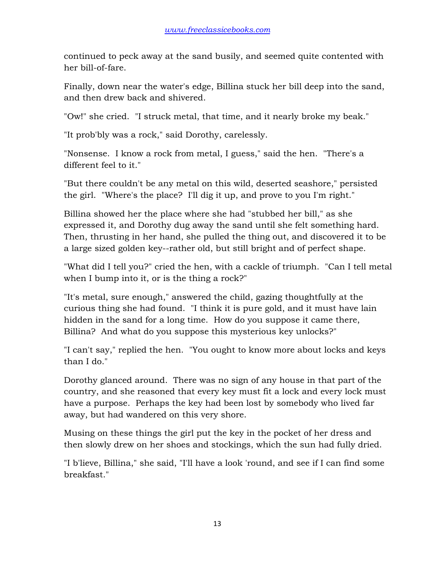continued to peck away at the sand busily, and seemed quite contented with her bill-of-fare.

Finally, down near the water's edge, Billina stuck her bill deep into the sand, and then drew back and shivered.

"Ow!" she cried. "I struck metal, that time, and it nearly broke my beak."

"It prob'bly was a rock," said Dorothy, carelessly.

"Nonsense. I know a rock from metal, I guess," said the hen. "There's a different feel to it."

"But there couldn't be any metal on this wild, deserted seashore," persisted the girl. "Where's the place? I'll dig it up, and prove to you I'm right."

Billina showed her the place where she had "stubbed her bill," as she expressed it, and Dorothy dug away the sand until she felt something hard. Then, thrusting in her hand, she pulled the thing out, and discovered it to be a large sized golden key--rather old, but still bright and of perfect shape.

"What did I tell you?" cried the hen, with a cackle of triumph. "Can I tell metal when I bump into it, or is the thing a rock?"

"It's metal, sure enough," answered the child, gazing thoughtfully at the curious thing she had found. "I think it is pure gold, and it must have lain hidden in the sand for a long time. How do you suppose it came there, Billina? And what do you suppose this mysterious key unlocks?"

"I can't say," replied the hen. "You ought to know more about locks and keys than I do."

Dorothy glanced around. There was no sign of any house in that part of the country, and she reasoned that every key must fit a lock and every lock must have a purpose. Perhaps the key had been lost by somebody who lived far away, but had wandered on this very shore.

Musing on these things the girl put the key in the pocket of her dress and then slowly drew on her shoes and stockings, which the sun had fully dried.

"I b'lieve, Billina," she said, "I'll have a look 'round, and see if I can find some breakfast."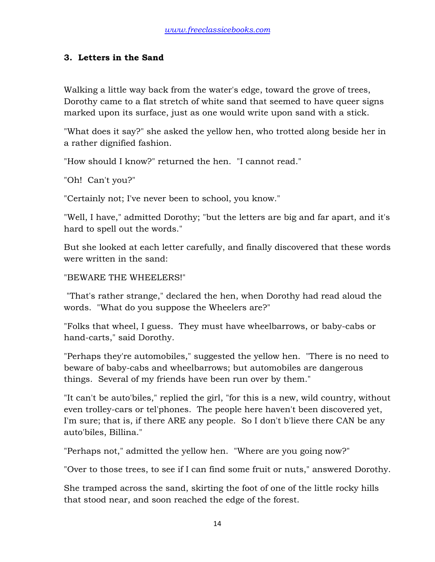### **3. Letters in the Sand**

Walking a little way back from the water's edge, toward the grove of trees, Dorothy came to a flat stretch of white sand that seemed to have queer signs marked upon its surface, just as one would write upon sand with a stick.

"What does it say?" she asked the yellow hen, who trotted along beside her in a rather dignified fashion.

"How should I know?" returned the hen. "I cannot read."

"Oh! Can't you?"

"Certainly not; I've never been to school, you know."

"Well, I have," admitted Dorothy; "but the letters are big and far apart, and it's hard to spell out the words."

But she looked at each letter carefully, and finally discovered that these words were written in the sand:

#### "BEWARE THE WHEELERS!"

 "That's rather strange," declared the hen, when Dorothy had read aloud the words. "What do you suppose the Wheelers are?"

"Folks that wheel, I guess. They must have wheelbarrows, or baby-cabs or hand-carts," said Dorothy.

"Perhaps they're automobiles," suggested the yellow hen. "There is no need to beware of baby-cabs and wheelbarrows; but automobiles are dangerous things. Several of my friends have been run over by them."

"It can't be auto'biles," replied the girl, "for this is a new, wild country, without even trolley-cars or tel'phones. The people here haven't been discovered yet, I'm sure; that is, if there ARE any people. So I don't b'lieve there CAN be any auto'biles, Billina."

"Perhaps not," admitted the yellow hen. "Where are you going now?"

"Over to those trees, to see if I can find some fruit or nuts," answered Dorothy.

She tramped across the sand, skirting the foot of one of the little rocky hills that stood near, and soon reached the edge of the forest.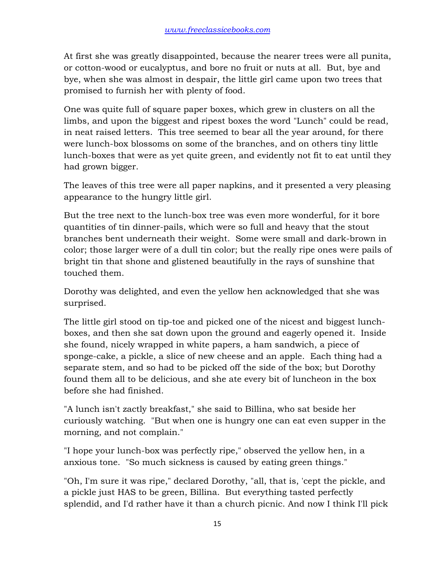At first she was greatly disappointed, because the nearer trees were all punita, or cotton-wood or eucalyptus, and bore no fruit or nuts at all. But, bye and bye, when she was almost in despair, the little girl came upon two trees that promised to furnish her with plenty of food.

One was quite full of square paper boxes, which grew in clusters on all the limbs, and upon the biggest and ripest boxes the word "Lunch" could be read, in neat raised letters. This tree seemed to bear all the year around, for there were lunch-box blossoms on some of the branches, and on others tiny little lunch-boxes that were as yet quite green, and evidently not fit to eat until they had grown bigger.

The leaves of this tree were all paper napkins, and it presented a very pleasing appearance to the hungry little girl.

But the tree next to the lunch-box tree was even more wonderful, for it bore quantities of tin dinner-pails, which were so full and heavy that the stout branches bent underneath their weight. Some were small and dark-brown in color; those larger were of a dull tin color; but the really ripe ones were pails of bright tin that shone and glistened beautifully in the rays of sunshine that touched them.

Dorothy was delighted, and even the yellow hen acknowledged that she was surprised.

The little girl stood on tip-toe and picked one of the nicest and biggest lunchboxes, and then she sat down upon the ground and eagerly opened it. Inside she found, nicely wrapped in white papers, a ham sandwich, a piece of sponge-cake, a pickle, a slice of new cheese and an apple. Each thing had a separate stem, and so had to be picked off the side of the box; but Dorothy found them all to be delicious, and she ate every bit of luncheon in the box before she had finished.

"A lunch isn't zactly breakfast," she said to Billina, who sat beside her curiously watching. "But when one is hungry one can eat even supper in the morning, and not complain."

"I hope your lunch-box was perfectly ripe," observed the yellow hen, in a anxious tone. "So much sickness is caused by eating green things."

"Oh, I'm sure it was ripe," declared Dorothy, "all, that is, 'cept the pickle, and a pickle just HAS to be green, Billina. But everything tasted perfectly splendid, and I'd rather have it than a church picnic. And now I think I'll pick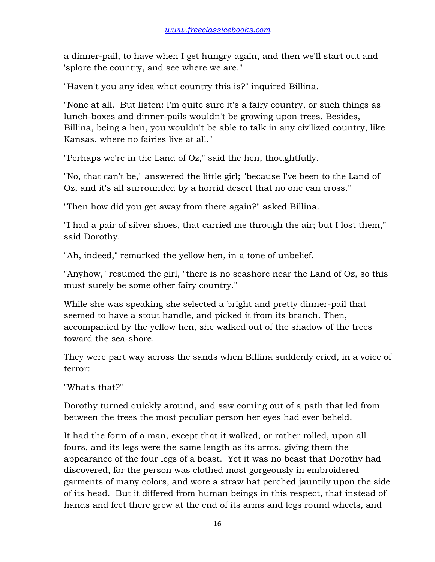a dinner-pail, to have when I get hungry again, and then we'll start out and 'splore the country, and see where we are."

"Haven't you any idea what country this is?" inquired Billina.

"None at all. But listen: I'm quite sure it's a fairy country, or such things as lunch-boxes and dinner-pails wouldn't be growing upon trees. Besides, Billina, being a hen, you wouldn't be able to talk in any civ'lized country, like Kansas, where no fairies live at all."

"Perhaps we're in the Land of Oz," said the hen, thoughtfully.

"No, that can't be," answered the little girl; "because I've been to the Land of Oz, and it's all surrounded by a horrid desert that no one can cross."

"Then how did you get away from there again?" asked Billina.

"I had a pair of silver shoes, that carried me through the air; but I lost them," said Dorothy.

"Ah, indeed," remarked the yellow hen, in a tone of unbelief.

"Anyhow," resumed the girl, "there is no seashore near the Land of Oz, so this must surely be some other fairy country."

While she was speaking she selected a bright and pretty dinner-pail that seemed to have a stout handle, and picked it from its branch. Then, accompanied by the yellow hen, she walked out of the shadow of the trees toward the sea-shore.

They were part way across the sands when Billina suddenly cried, in a voice of terror:

"What's that?"

Dorothy turned quickly around, and saw coming out of a path that led from between the trees the most peculiar person her eyes had ever beheld.

It had the form of a man, except that it walked, or rather rolled, upon all fours, and its legs were the same length as its arms, giving them the appearance of the four legs of a beast. Yet it was no beast that Dorothy had discovered, for the person was clothed most gorgeously in embroidered garments of many colors, and wore a straw hat perched jauntily upon the side of its head. But it differed from human beings in this respect, that instead of hands and feet there grew at the end of its arms and legs round wheels, and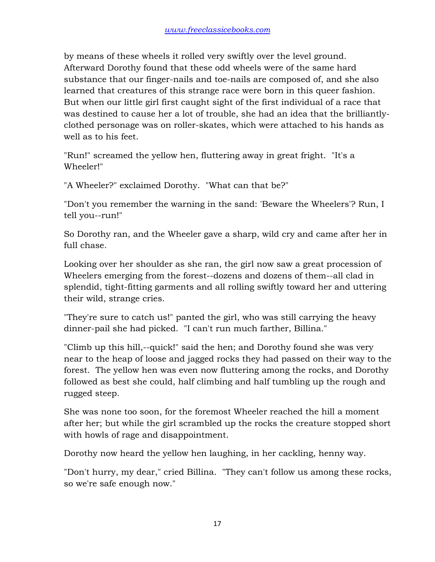by means of these wheels it rolled very swiftly over the level ground. Afterward Dorothy found that these odd wheels were of the same hard substance that our finger-nails and toe-nails are composed of, and she also learned that creatures of this strange race were born in this queer fashion. But when our little girl first caught sight of the first individual of a race that was destined to cause her a lot of trouble, she had an idea that the brilliantlyclothed personage was on roller-skates, which were attached to his hands as well as to his feet.

"Run!" screamed the yellow hen, fluttering away in great fright. "It's a Wheeler!"

"A Wheeler?" exclaimed Dorothy. "What can that be?"

"Don't you remember the warning in the sand: 'Beware the Wheelers'? Run, I tell you--run!"

So Dorothy ran, and the Wheeler gave a sharp, wild cry and came after her in full chase.

Looking over her shoulder as she ran, the girl now saw a great procession of Wheelers emerging from the forest--dozens and dozens of them--all clad in splendid, tight-fitting garments and all rolling swiftly toward her and uttering their wild, strange cries.

"They're sure to catch us!" panted the girl, who was still carrying the heavy dinner-pail she had picked. "I can't run much farther, Billina."

"Climb up this hill,--quick!" said the hen; and Dorothy found she was very near to the heap of loose and jagged rocks they had passed on their way to the forest. The yellow hen was even now fluttering among the rocks, and Dorothy followed as best she could, half climbing and half tumbling up the rough and rugged steep.

She was none too soon, for the foremost Wheeler reached the hill a moment after her; but while the girl scrambled up the rocks the creature stopped short with howls of rage and disappointment.

Dorothy now heard the yellow hen laughing, in her cackling, henny way.

"Don't hurry, my dear," cried Billina. "They can't follow us among these rocks, so we're safe enough now."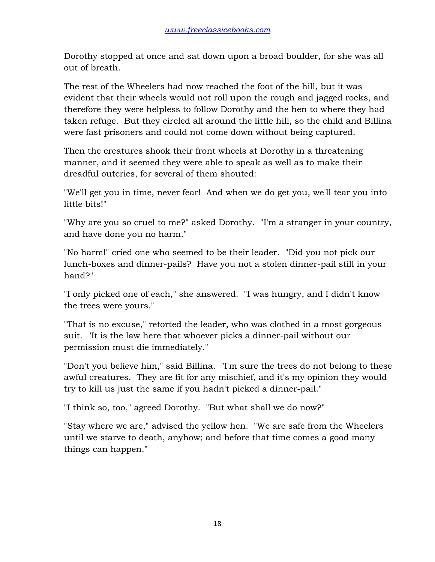Dorothy stopped at once and sat down upon a broad boulder, for she was all out of breath.

The rest of the Wheelers had now reached the foot of the hill, but it was evident that their wheels would not roll upon the rough and jagged rocks, and therefore they were helpless to follow Dorothy and the hen to where they had taken refuge. But they circled all around the little hill, so the child and Billina were fast prisoners and could not come down without being captured.

Then the creatures shook their front wheels at Dorothy in a threatening manner, and it seemed they were able to speak as well as to make their dreadful outcries, for several of them shouted:

"We'll get you in time, never fear! And when we do get you, we'll tear you into little bits!"

"Why are you so cruel to me?" asked Dorothy. "I'm a stranger in your country, and have done you no harm."

"No harm!" cried one who seemed to be their leader. "Did you not pick our lunch-boxes and dinner-pails? Have you not a stolen dinner-pail still in your hand?"

"I only picked one of each," she answered. "I was hungry, and I didn't know the trees were yours."

"That is no excuse," retorted the leader, who was clothed in a most gorgeous suit. "It is the law here that whoever picks a dinner-pail without our permission must die immediately."

"Don't you believe him," said Billina. "I'm sure the trees do not belong to these awful creatures. They are fit for any mischief, and it's my opinion they would try to kill us just the same if you hadn't picked a dinner-pail."

"I think so, too," agreed Dorothy. "But what shall we do now?"

"Stay where we are," advised the yellow hen. "We are safe from the Wheelers until we starve to death, anyhow; and before that time comes a good many things can happen."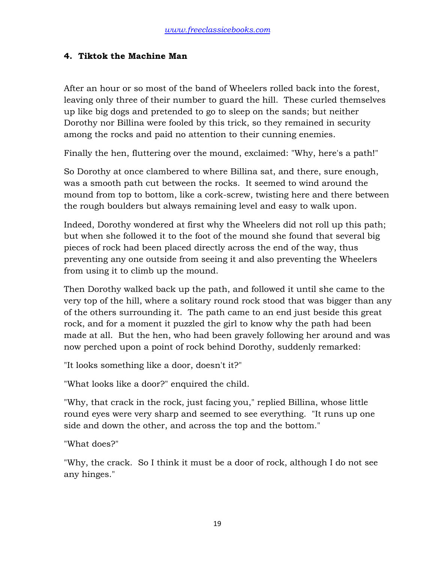#### **4. Tiktok the Machine Man**

After an hour or so most of the band of Wheelers rolled back into the forest, leaving only three of their number to guard the hill. These curled themselves up like big dogs and pretended to go to sleep on the sands; but neither Dorothy nor Billina were fooled by this trick, so they remained in security among the rocks and paid no attention to their cunning enemies.

Finally the hen, fluttering over the mound, exclaimed: "Why, here's a path!"

So Dorothy at once clambered to where Billina sat, and there, sure enough, was a smooth path cut between the rocks. It seemed to wind around the mound from top to bottom, like a cork-screw, twisting here and there between the rough boulders but always remaining level and easy to walk upon.

Indeed, Dorothy wondered at first why the Wheelers did not roll up this path; but when she followed it to the foot of the mound she found that several big pieces of rock had been placed directly across the end of the way, thus preventing any one outside from seeing it and also preventing the Wheelers from using it to climb up the mound.

Then Dorothy walked back up the path, and followed it until she came to the very top of the hill, where a solitary round rock stood that was bigger than any of the others surrounding it. The path came to an end just beside this great rock, and for a moment it puzzled the girl to know why the path had been made at all. But the hen, who had been gravely following her around and was now perched upon a point of rock behind Dorothy, suddenly remarked:

"It looks something like a door, doesn't it?"

"What looks like a door?" enquired the child.

"Why, that crack in the rock, just facing you," replied Billina, whose little round eyes were very sharp and seemed to see everything. "It runs up one side and down the other, and across the top and the bottom."

"What does?"

"Why, the crack. So I think it must be a door of rock, although I do not see any hinges."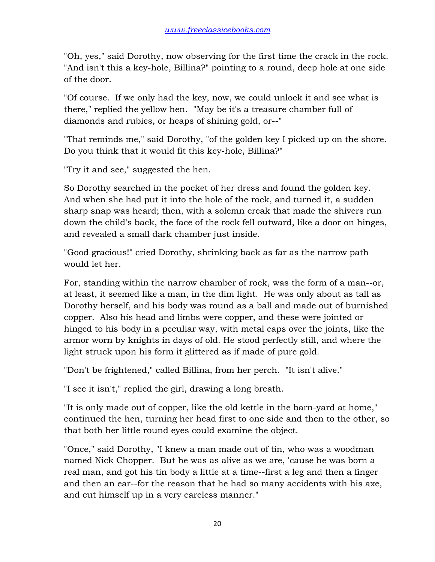"Oh, yes," said Dorothy, now observing for the first time the crack in the rock. "And isn't this a key-hole, Billina?" pointing to a round, deep hole at one side of the door.

"Of course. If we only had the key, now, we could unlock it and see what is there," replied the yellow hen. "May be it's a treasure chamber full of diamonds and rubies, or heaps of shining gold, or--"

"That reminds me," said Dorothy, "of the golden key I picked up on the shore. Do you think that it would fit this key-hole, Billina?"

"Try it and see," suggested the hen.

So Dorothy searched in the pocket of her dress and found the golden key. And when she had put it into the hole of the rock, and turned it, a sudden sharp snap was heard; then, with a solemn creak that made the shivers run down the child's back, the face of the rock fell outward, like a door on hinges, and revealed a small dark chamber just inside.

"Good gracious!" cried Dorothy, shrinking back as far as the narrow path would let her.

For, standing within the narrow chamber of rock, was the form of a man--or, at least, it seemed like a man, in the dim light. He was only about as tall as Dorothy herself, and his body was round as a ball and made out of burnished copper. Also his head and limbs were copper, and these were jointed or hinged to his body in a peculiar way, with metal caps over the joints, like the armor worn by knights in days of old. He stood perfectly still, and where the light struck upon his form it glittered as if made of pure gold.

"Don't be frightened," called Billina, from her perch. "It isn't alive."

"I see it isn't," replied the girl, drawing a long breath.

"It is only made out of copper, like the old kettle in the barn-yard at home," continued the hen, turning her head first to one side and then to the other, so that both her little round eyes could examine the object.

"Once," said Dorothy, "I knew a man made out of tin, who was a woodman named Nick Chopper. But he was as alive as we are, 'cause he was born a real man, and got his tin body a little at a time--first a leg and then a finger and then an ear--for the reason that he had so many accidents with his axe, and cut himself up in a very careless manner."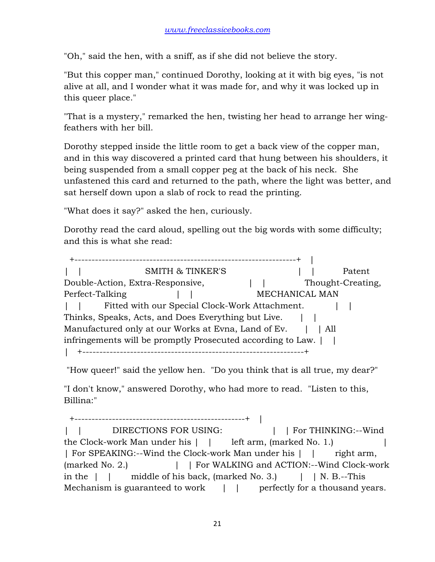"Oh," said the hen, with a sniff, as if she did not believe the story.

"But this copper man," continued Dorothy, looking at it with big eyes, "is not alive at all, and I wonder what it was made for, and why it was locked up in this queer place."

"That is a mystery," remarked the hen, twisting her head to arrange her wingfeathers with her bill.

Dorothy stepped inside the little room to get a back view of the copper man, and in this way discovered a printed card that hung between his shoulders, it being suspended from a small copper peg at the back of his neck. She unfastened this card and returned to the path, where the light was better, and sat herself down upon a slab of rock to read the printing.

"What does it say?" asked the hen, curiously.

Dorothy read the card aloud, spelling out the big words with some difficulty; and this is what she read:

 +-----------------------------------------------------------------+ | | | SMITH & TINKER'S | | Patent Double-Action, Extra-Responsive,  $| \cdot |$  Thought-Creating, Perfect-Talking  $\parallel$  | MECHANICAL MAN | | Fitted with our Special Clock-Work Attachment. | | Thinks, Speaks, Acts, and Does Everything but Live. | | Manufactured only at our Works at Evna, Land of Ev. | | All infringements will be promptly Prosecuted according to Law.  $\vert \vert$ | +-----------------------------------------------------------------+

"How queer!" said the yellow hen. "Do you think that is all true, my dear?"

"I don't know," answered Dorothy, who had more to read. "Listen to this, Billina:"

 +--------------------------------------------------+ | | | DIRECTIONS FOR USING: | | For THINKING:--Wind the Clock-work Man under his  $\vert \cdot \vert$  left arm, (marked No. 1.) | For SPEAKING:--Wind the Clock-work Man under his | | right arm, (marked No. 2.) | | For WALKING and ACTION:--Wind Clock-work in the  $\vert \vert$  middle of his back, (marked No. 3.)  $\vert \vert$  N. B.--This Mechanism is guaranteed to work  $\vert \cdot \vert$  perfectly for a thousand years.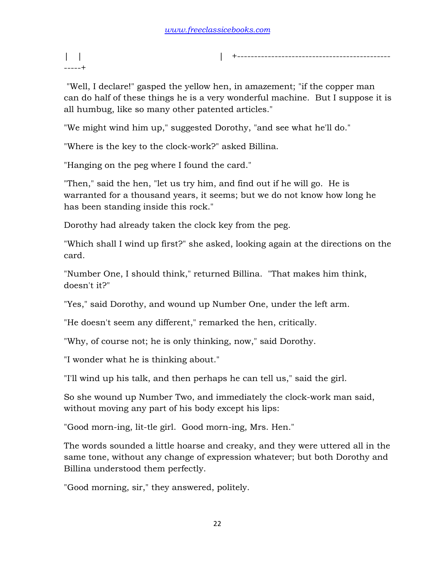| | | +--------------------------------------------- -----+

 "Well, I declare!" gasped the yellow hen, in amazement; "if the copper man can do half of these things he is a very wonderful machine. But I suppose it is all humbug, like so many other patented articles."

"We might wind him up," suggested Dorothy, "and see what he'll do."

"Where is the key to the clock-work?" asked Billina.

"Hanging on the peg where I found the card."

"Then," said the hen, "let us try him, and find out if he will go. He is warranted for a thousand years, it seems; but we do not know how long he has been standing inside this rock."

Dorothy had already taken the clock key from the peg.

"Which shall I wind up first?" she asked, looking again at the directions on the card.

"Number One, I should think," returned Billina. "That makes him think, doesn't it?"

"Yes," said Dorothy, and wound up Number One, under the left arm.

"He doesn't seem any different," remarked the hen, critically.

"Why, of course not; he is only thinking, now," said Dorothy.

"I wonder what he is thinking about."

"I'll wind up his talk, and then perhaps he can tell us," said the girl.

So she wound up Number Two, and immediately the clock-work man said, without moving any part of his body except his lips:

"Good morn-ing, lit-tle girl. Good morn-ing, Mrs. Hen."

The words sounded a little hoarse and creaky, and they were uttered all in the same tone, without any change of expression whatever; but both Dorothy and Billina understood them perfectly.

"Good morning, sir," they answered, politely.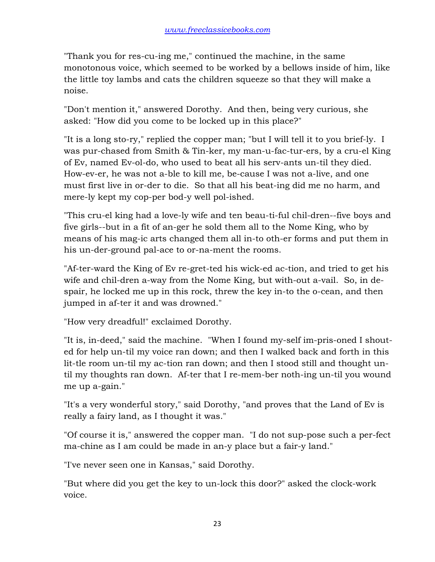"Thank you for res-cu-ing me," continued the machine, in the same monotonous voice, which seemed to be worked by a bellows inside of him, like the little toy lambs and cats the children squeeze so that they will make a noise.

"Don't mention it," answered Dorothy. And then, being very curious, she asked: "How did you come to be locked up in this place?"

"It is a long sto-ry," replied the copper man; "but I will tell it to you brief-ly. I was pur-chased from Smith & Tin-ker, my man-u-fac-tur-ers, by a cru-el King of Ev, named Ev-ol-do, who used to beat all his serv-ants un-til they died. How-ev-er, he was not a-ble to kill me, be-cause I was not a-live, and one must first live in or-der to die. So that all his beat-ing did me no harm, and mere-ly kept my cop-per bod-y well pol-ished.

"This cru-el king had a love-ly wife and ten beau-ti-ful chil-dren--five boys and five girls--but in a fit of an-ger he sold them all to the Nome King, who by means of his mag-ic arts changed them all in-to oth-er forms and put them in his un-der-ground pal-ace to or-na-ment the rooms.

"Af-ter-ward the King of Ev re-gret-ted his wick-ed ac-tion, and tried to get his wife and chil-dren a-way from the Nome King, but with-out a-vail. So, in despair, he locked me up in this rock, threw the key in-to the o-cean, and then jumped in af-ter it and was drowned."

"How very dreadful!" exclaimed Dorothy.

"It is, in-deed," said the machine. "When I found my-self im-pris-oned I shouted for help un-til my voice ran down; and then I walked back and forth in this lit-tle room un-til my ac-tion ran down; and then I stood still and thought until my thoughts ran down. Af-ter that I re-mem-ber noth-ing un-til you wound me up a-gain."

"It's a very wonderful story," said Dorothy, "and proves that the Land of Ev is really a fairy land, as I thought it was."

"Of course it is," answered the copper man. "I do not sup-pose such a per-fect ma-chine as I am could be made in an-y place but a fair-y land."

"I've never seen one in Kansas," said Dorothy.

"But where did you get the key to un-lock this door?" asked the clock-work voice.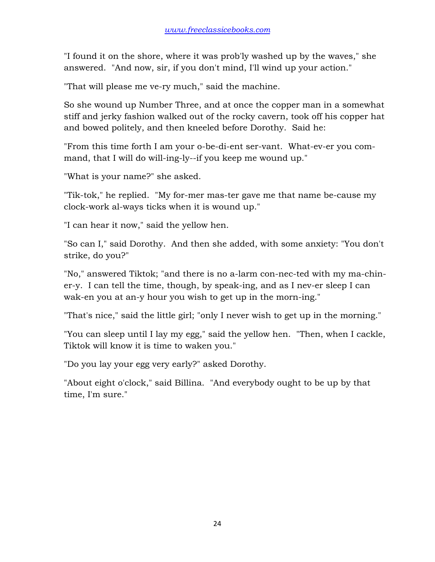"I found it on the shore, where it was prob'ly washed up by the waves," she answered. "And now, sir, if you don't mind, I'll wind up your action."

"That will please me ve-ry much," said the machine.

So she wound up Number Three, and at once the copper man in a somewhat stiff and jerky fashion walked out of the rocky cavern, took off his copper hat and bowed politely, and then kneeled before Dorothy. Said he:

"From this time forth I am your o-be-di-ent ser-vant. What-ev-er you command, that I will do will-ing-ly--if you keep me wound up."

"What is your name?" she asked.

"Tik-tok," he replied. "My for-mer mas-ter gave me that name be-cause my clock-work al-ways ticks when it is wound up."

"I can hear it now," said the yellow hen.

"So can I," said Dorothy. And then she added, with some anxiety: "You don't strike, do you?"

"No," answered Tiktok; "and there is no a-larm con-nec-ted with my ma-chiner-y. I can tell the time, though, by speak-ing, and as I nev-er sleep I can wak-en you at an-y hour you wish to get up in the morn-ing."

"That's nice," said the little girl; "only I never wish to get up in the morning."

"You can sleep until I lay my egg," said the yellow hen. "Then, when I cackle, Tiktok will know it is time to waken you."

"Do you lay your egg very early?" asked Dorothy.

"About eight o'clock," said Billina. "And everybody ought to be up by that time, I'm sure."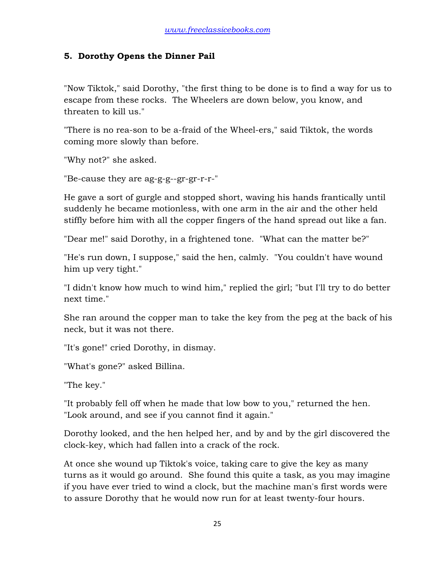#### **5. Dorothy Opens the Dinner Pail**

"Now Tiktok," said Dorothy, "the first thing to be done is to find a way for us to escape from these rocks. The Wheelers are down below, you know, and threaten to kill us."

"There is no rea-son to be a-fraid of the Wheel-ers," said Tiktok, the words coming more slowly than before.

"Why not?" she asked.

"Be-cause they are ag-g-g--gr-gr-r-r-"

He gave a sort of gurgle and stopped short, waving his hands frantically until suddenly he became motionless, with one arm in the air and the other held stiffly before him with all the copper fingers of the hand spread out like a fan.

"Dear me!" said Dorothy, in a frightened tone. "What can the matter be?"

"He's run down, I suppose," said the hen, calmly. "You couldn't have wound him up very tight."

"I didn't know how much to wind him," replied the girl; "but I'll try to do better next time."

She ran around the copper man to take the key from the peg at the back of his neck, but it was not there.

"It's gone!" cried Dorothy, in dismay.

"What's gone?" asked Billina.

"The key."

"It probably fell off when he made that low bow to you," returned the hen. "Look around, and see if you cannot find it again."

Dorothy looked, and the hen helped her, and by and by the girl discovered the clock-key, which had fallen into a crack of the rock.

At once she wound up Tiktok's voice, taking care to give the key as many turns as it would go around. She found this quite a task, as you may imagine if you have ever tried to wind a clock, but the machine man's first words were to assure Dorothy that he would now run for at least twenty-four hours.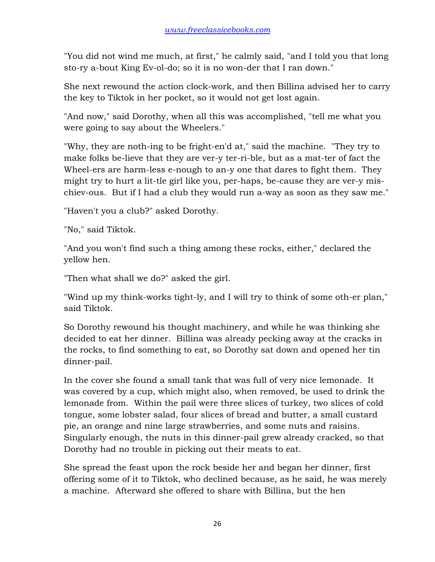"You did not wind me much, at first," he calmly said, "and I told you that long sto-ry a-bout King Ev-ol-do; so it is no won-der that I ran down."

She next rewound the action clock-work, and then Billina advised her to carry the key to Tiktok in her pocket, so it would not get lost again.

"And now," said Dorothy, when all this was accomplished, "tell me what you were going to say about the Wheelers."

"Why, they are noth-ing to be fright-en'd at," said the machine. "They try to make folks be-lieve that they are ver-y ter-ri-ble, but as a mat-ter of fact the Wheel-ers are harm-less e-nough to an-y one that dares to fight them. They might try to hurt a lit-tle girl like you, per-haps, be-cause they are ver-y mischiev-ous. But if I had a club they would run a-way as soon as they saw me."

"Haven't you a club?" asked Dorothy.

"No," said Tiktok.

"And you won't find such a thing among these rocks, either," declared the yellow hen.

"Then what shall we do?" asked the girl.

"Wind up my think-works tight-ly, and I will try to think of some oth-er plan," said Tiktok.

So Dorothy rewound his thought machinery, and while he was thinking she decided to eat her dinner. Billina was already pecking away at the cracks in the rocks, to find something to eat, so Dorothy sat down and opened her tin dinner-pail.

In the cover she found a small tank that was full of very nice lemonade. It was covered by a cup, which might also, when removed, be used to drink the lemonade from. Within the pail were three slices of turkey, two slices of cold tongue, some lobster salad, four slices of bread and butter, a small custard pie, an orange and nine large strawberries, and some nuts and raisins. Singularly enough, the nuts in this dinner-pail grew already cracked, so that Dorothy had no trouble in picking out their meats to eat.

She spread the feast upon the rock beside her and began her dinner, first offering some of it to Tiktok, who declined because, as he said, he was merely a machine. Afterward she offered to share with Billina, but the hen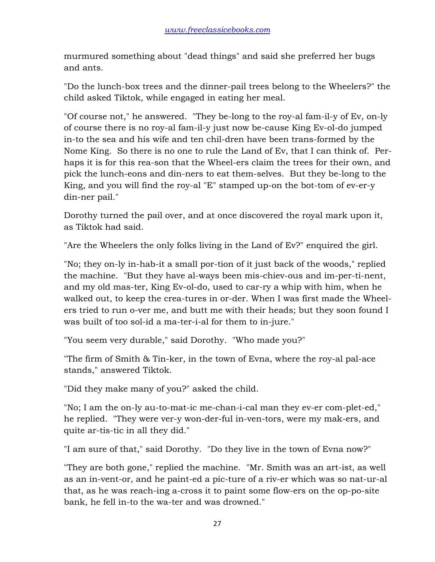murmured something about "dead things" and said she preferred her bugs and ants.

"Do the lunch-box trees and the dinner-pail trees belong to the Wheelers?" the child asked Tiktok, while engaged in eating her meal.

"Of course not," he answered. "They be-long to the roy-al fam-il-y of Ev, on-ly of course there is no roy-al fam-il-y just now be-cause King Ev-ol-do jumped in-to the sea and his wife and ten chil-dren have been trans-formed by the Nome King. So there is no one to rule the Land of Ev, that I can think of. Perhaps it is for this rea-son that the Wheel-ers claim the trees for their own, and pick the lunch-eons and din-ners to eat them-selves. But they be-long to the King, and you will find the roy-al "E" stamped up-on the bot-tom of ev-er-y din-ner pail."

Dorothy turned the pail over, and at once discovered the royal mark upon it, as Tiktok had said.

"Are the Wheelers the only folks living in the Land of Ev?" enquired the girl.

"No; they on-ly in-hab-it a small por-tion of it just back of the woods," replied the machine. "But they have al-ways been mis-chiev-ous and im-per-ti-nent, and my old mas-ter, King Ev-ol-do, used to car-ry a whip with him, when he walked out, to keep the crea-tures in or-der. When I was first made the Wheelers tried to run o-ver me, and butt me with their heads; but they soon found I was built of too sol-id a ma-ter-i-al for them to in-jure."

"You seem very durable," said Dorothy. "Who made you?"

"The firm of Smith & Tin-ker, in the town of Evna, where the roy-al pal-ace stands," answered Tiktok.

"Did they make many of you?" asked the child.

"No; I am the on-ly au-to-mat-ic me-chan-i-cal man they ev-er com-plet-ed," he replied. "They were ver-y won-der-ful in-ven-tors, were my mak-ers, and quite ar-tis-tic in all they did."

"I am sure of that," said Dorothy. "Do they live in the town of Evna now?"

"They are both gone," replied the machine. "Mr. Smith was an art-ist, as well as an in-vent-or, and he paint-ed a pic-ture of a riv-er which was so nat-ur-al that, as he was reach-ing a-cross it to paint some flow-ers on the op-po-site bank, he fell in-to the wa-ter and was drowned."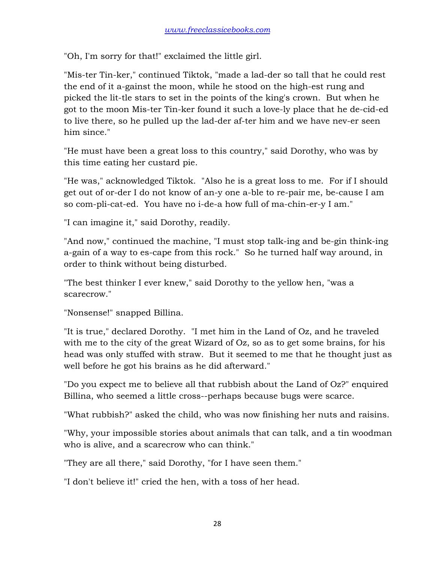"Oh, I'm sorry for that!" exclaimed the little girl.

"Mis-ter Tin-ker," continued Tiktok, "made a lad-der so tall that he could rest the end of it a-gainst the moon, while he stood on the high-est rung and picked the lit-tle stars to set in the points of the king's crown. But when he got to the moon Mis-ter Tin-ker found it such a love-ly place that he de-cid-ed to live there, so he pulled up the lad-der af-ter him and we have nev-er seen him since."

"He must have been a great loss to this country," said Dorothy, who was by this time eating her custard pie.

"He was," acknowledged Tiktok. "Also he is a great loss to me. For if I should get out of or-der I do not know of an-y one a-ble to re-pair me, be-cause I am so com-pli-cat-ed. You have no i-de-a how full of ma-chin-er-y I am."

"I can imagine it," said Dorothy, readily.

"And now," continued the machine, "I must stop talk-ing and be-gin think-ing a-gain of a way to es-cape from this rock." So he turned half way around, in order to think without being disturbed.

"The best thinker I ever knew," said Dorothy to the yellow hen, "was a scarecrow."

"Nonsense!" snapped Billina.

"It is true," declared Dorothy. "I met him in the Land of Oz, and he traveled with me to the city of the great Wizard of Oz, so as to get some brains, for his head was only stuffed with straw. But it seemed to me that he thought just as well before he got his brains as he did afterward."

"Do you expect me to believe all that rubbish about the Land of Oz?" enquired Billina, who seemed a little cross--perhaps because bugs were scarce.

"What rubbish?" asked the child, who was now finishing her nuts and raisins.

"Why, your impossible stories about animals that can talk, and a tin woodman who is alive, and a scarecrow who can think."

"They are all there," said Dorothy, "for I have seen them."

"I don't believe it!" cried the hen, with a toss of her head.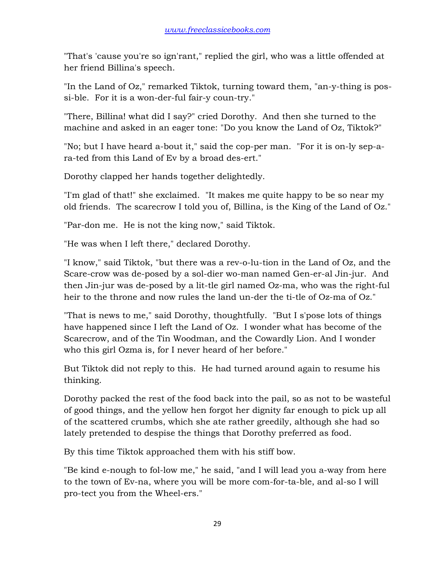"That's 'cause you're so ign'rant," replied the girl, who was a little offended at her friend Billina's speech.

"In the Land of Oz," remarked Tiktok, turning toward them, "an-y-thing is possi-ble. For it is a won-der-ful fair-y coun-try."

"There, Billina! what did I say?" cried Dorothy. And then she turned to the machine and asked in an eager tone: "Do you know the Land of Oz, Tiktok?"

"No; but I have heard a-bout it," said the cop-per man. "For it is on-ly sep-ara-ted from this Land of Ev by a broad des-ert."

Dorothy clapped her hands together delightedly.

"I'm glad of that!" she exclaimed. "It makes me quite happy to be so near my old friends. The scarecrow I told you of, Billina, is the King of the Land of Oz."

"Par-don me. He is not the king now," said Tiktok.

"He was when I left there," declared Dorothy.

"I know," said Tiktok, "but there was a rev-o-lu-tion in the Land of Oz, and the Scare-crow was de-posed by a sol-dier wo-man named Gen-er-al Jin-jur. And then Jin-jur was de-posed by a lit-tle girl named Oz-ma, who was the right-ful heir to the throne and now rules the land un-der the ti-tle of Oz-ma of Oz."

"That is news to me," said Dorothy, thoughtfully. "But I s'pose lots of things have happened since I left the Land of Oz. I wonder what has become of the Scarecrow, and of the Tin Woodman, and the Cowardly Lion. And I wonder who this girl Ozma is, for I never heard of her before."

But Tiktok did not reply to this. He had turned around again to resume his thinking.

Dorothy packed the rest of the food back into the pail, so as not to be wasteful of good things, and the yellow hen forgot her dignity far enough to pick up all of the scattered crumbs, which she ate rather greedily, although she had so lately pretended to despise the things that Dorothy preferred as food.

By this time Tiktok approached them with his stiff bow.

"Be kind e-nough to fol-low me," he said, "and I will lead you a-way from here to the town of Ev-na, where you will be more com-for-ta-ble, and al-so I will pro-tect you from the Wheel-ers."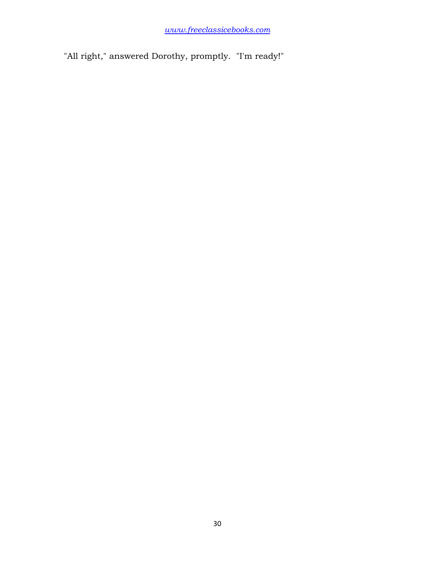"All right," answered Dorothy, promptly. "I'm ready!"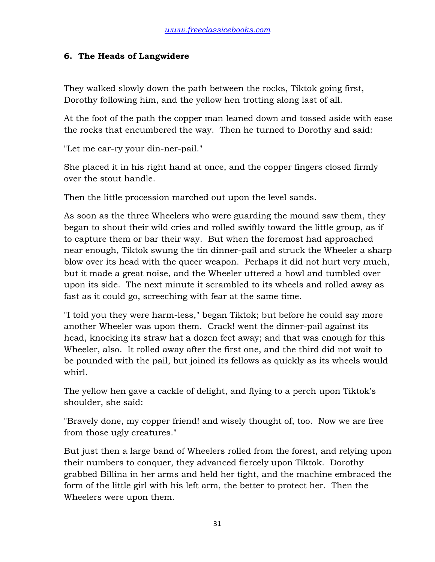## **6. The Heads of Langwidere**

They walked slowly down the path between the rocks, Tiktok going first, Dorothy following him, and the yellow hen trotting along last of all.

At the foot of the path the copper man leaned down and tossed aside with ease the rocks that encumbered the way. Then he turned to Dorothy and said:

"Let me car-ry your din-ner-pail."

She placed it in his right hand at once, and the copper fingers closed firmly over the stout handle.

Then the little procession marched out upon the level sands.

As soon as the three Wheelers who were guarding the mound saw them, they began to shout their wild cries and rolled swiftly toward the little group, as if to capture them or bar their way. But when the foremost had approached near enough, Tiktok swung the tin dinner-pail and struck the Wheeler a sharp blow over its head with the queer weapon. Perhaps it did not hurt very much, but it made a great noise, and the Wheeler uttered a howl and tumbled over upon its side. The next minute it scrambled to its wheels and rolled away as fast as it could go, screeching with fear at the same time.

"I told you they were harm-less," began Tiktok; but before he could say more another Wheeler was upon them. Crack! went the dinner-pail against its head, knocking its straw hat a dozen feet away; and that was enough for this Wheeler, also. It rolled away after the first one, and the third did not wait to be pounded with the pail, but joined its fellows as quickly as its wheels would whirl.

The yellow hen gave a cackle of delight, and flying to a perch upon Tiktok's shoulder, she said:

"Bravely done, my copper friend! and wisely thought of, too. Now we are free from those ugly creatures."

But just then a large band of Wheelers rolled from the forest, and relying upon their numbers to conquer, they advanced fiercely upon Tiktok. Dorothy grabbed Billina in her arms and held her tight, and the machine embraced the form of the little girl with his left arm, the better to protect her. Then the Wheelers were upon them.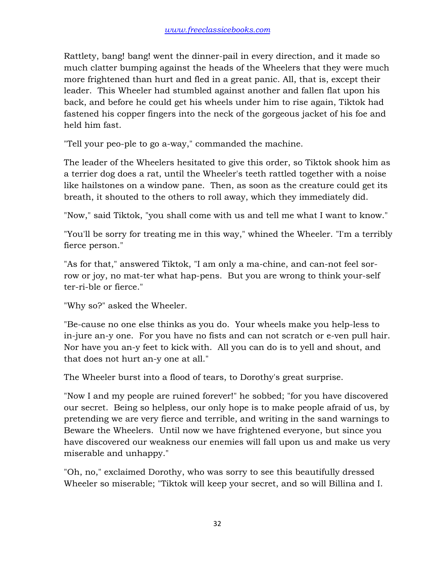Rattlety, bang! bang! went the dinner-pail in every direction, and it made so much clatter bumping against the heads of the Wheelers that they were much more frightened than hurt and fled in a great panic. All, that is, except their leader. This Wheeler had stumbled against another and fallen flat upon his back, and before he could get his wheels under him to rise again, Tiktok had fastened his copper fingers into the neck of the gorgeous jacket of his foe and held him fast.

"Tell your peo-ple to go a-way," commanded the machine.

The leader of the Wheelers hesitated to give this order, so Tiktok shook him as a terrier dog does a rat, until the Wheeler's teeth rattled together with a noise like hailstones on a window pane. Then, as soon as the creature could get its breath, it shouted to the others to roll away, which they immediately did.

"Now," said Tiktok, "you shall come with us and tell me what I want to know."

"You'll be sorry for treating me in this way," whined the Wheeler. "I'm a terribly fierce person."

"As for that," answered Tiktok, "I am only a ma-chine, and can-not feel sorrow or joy, no mat-ter what hap-pens. But you are wrong to think your-self ter-ri-ble or fierce."

"Why so?" asked the Wheeler.

"Be-cause no one else thinks as you do. Your wheels make you help-less to in-jure an-y one. For you have no fists and can not scratch or e-ven pull hair. Nor have you an-y feet to kick with. All you can do is to yell and shout, and that does not hurt an-y one at all."

The Wheeler burst into a flood of tears, to Dorothy's great surprise.

"Now I and my people are ruined forever!" he sobbed; "for you have discovered our secret. Being so helpless, our only hope is to make people afraid of us, by pretending we are very fierce and terrible, and writing in the sand warnings to Beware the Wheelers. Until now we have frightened everyone, but since you have discovered our weakness our enemies will fall upon us and make us very miserable and unhappy."

"Oh, no," exclaimed Dorothy, who was sorry to see this beautifully dressed Wheeler so miserable; "Tiktok will keep your secret, and so will Billina and I.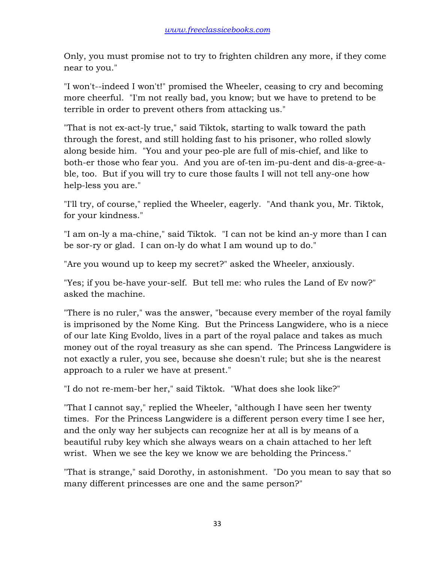Only, you must promise not to try to frighten children any more, if they come near to you."

"I won't--indeed I won't!" promised the Wheeler, ceasing to cry and becoming more cheerful. "I'm not really bad, you know; but we have to pretend to be terrible in order to prevent others from attacking us."

"That is not ex-act-ly true," said Tiktok, starting to walk toward the path through the forest, and still holding fast to his prisoner, who rolled slowly along beside him. "You and your peo-ple are full of mis-chief, and like to both-er those who fear you. And you are of-ten im-pu-dent and dis-a-gree-able, too. But if you will try to cure those faults I will not tell any-one how help-less you are."

"I'll try, of course," replied the Wheeler, eagerly. "And thank you, Mr. Tiktok, for your kindness."

"I am on-ly a ma-chine," said Tiktok. "I can not be kind an-y more than I can be sor-ry or glad. I can on-ly do what I am wound up to do."

"Are you wound up to keep my secret?" asked the Wheeler, anxiously.

"Yes; if you be-have your-self. But tell me: who rules the Land of Ev now?" asked the machine.

"There is no ruler," was the answer, "because every member of the royal family is imprisoned by the Nome King. But the Princess Langwidere, who is a niece of our late King Evoldo, lives in a part of the royal palace and takes as much money out of the royal treasury as she can spend. The Princess Langwidere is not exactly a ruler, you see, because she doesn't rule; but she is the nearest approach to a ruler we have at present."

"I do not re-mem-ber her," said Tiktok. "What does she look like?"

"That I cannot say," replied the Wheeler, "although I have seen her twenty times. For the Princess Langwidere is a different person every time I see her, and the only way her subjects can recognize her at all is by means of a beautiful ruby key which she always wears on a chain attached to her left wrist. When we see the key we know we are beholding the Princess."

"That is strange," said Dorothy, in astonishment. "Do you mean to say that so many different princesses are one and the same person?"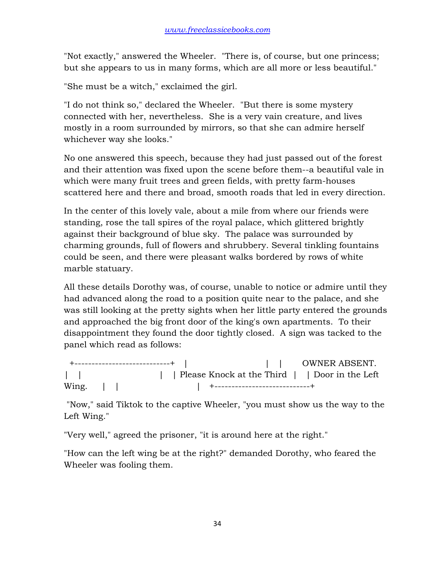"Not exactly," answered the Wheeler. "There is, of course, but one princess; but she appears to us in many forms, which are all more or less beautiful."

"She must be a witch," exclaimed the girl.

"I do not think so," declared the Wheeler. "But there is some mystery connected with her, nevertheless. She is a very vain creature, and lives mostly in a room surrounded by mirrors, so that she can admire herself whichever way she looks."

No one answered this speech, because they had just passed out of the forest and their attention was fixed upon the scene before them--a beautiful vale in which were many fruit trees and green fields, with pretty farm-houses scattered here and there and broad, smooth roads that led in every direction.

In the center of this lovely vale, about a mile from where our friends were standing, rose the tall spires of the royal palace, which glittered brightly against their background of blue sky. The palace was surrounded by charming grounds, full of flowers and shrubbery. Several tinkling fountains could be seen, and there were pleasant walks bordered by rows of white marble statuary.

All these details Dorothy was, of course, unable to notice or admire until they had advanced along the road to a position quite near to the palace, and she was still looking at the pretty sights when her little party entered the grounds and approached the big front door of the king's own apartments. To their disappointment they found the door tightly closed. A sign was tacked to the panel which read as follows:

 +----------------------------+ | | | OWNER ABSENT. | | | | Please Knock at the Third | | Door in the Left Wing. | | | +----------------------------+

 "Now," said Tiktok to the captive Wheeler, "you must show us the way to the Left Wing."

"Very well," agreed the prisoner, "it is around here at the right."

"How can the left wing be at the right?" demanded Dorothy, who feared the Wheeler was fooling them.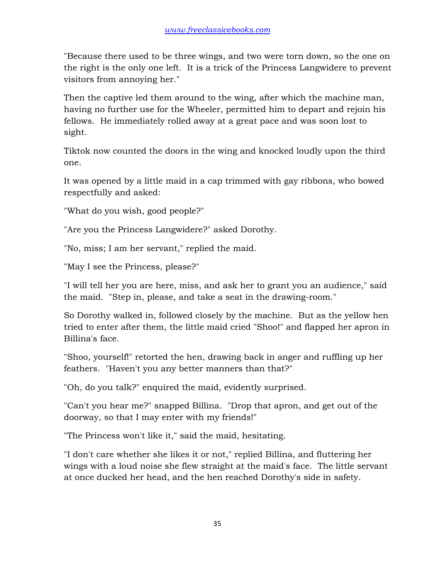"Because there used to be three wings, and two were torn down, so the one on the right is the only one left. It is a trick of the Princess Langwidere to prevent visitors from annoying her."

Then the captive led them around to the wing, after which the machine man, having no further use for the Wheeler, permitted him to depart and rejoin his fellows. He immediately rolled away at a great pace and was soon lost to sight.

Tiktok now counted the doors in the wing and knocked loudly upon the third one.

It was opened by a little maid in a cap trimmed with gay ribbons, who bowed respectfully and asked:

"What do you wish, good people?"

"Are you the Princess Langwidere?" asked Dorothy.

"No, miss; I am her servant," replied the maid.

"May I see the Princess, please?"

"I will tell her you are here, miss, and ask her to grant you an audience," said the maid. "Step in, please, and take a seat in the drawing-room."

So Dorothy walked in, followed closely by the machine. But as the yellow hen tried to enter after them, the little maid cried "Shoo!" and flapped her apron in Billina's face.

"Shoo, yourself!" retorted the hen, drawing back in anger and ruffling up her feathers. "Haven't you any better manners than that?"

"Oh, do you talk?" enquired the maid, evidently surprised.

"Can't you hear me?" snapped Billina. "Drop that apron, and get out of the doorway, so that I may enter with my friends!"

"The Princess won't like it," said the maid, hesitating.

"I don't care whether she likes it or not," replied Billina, and fluttering her wings with a loud noise she flew straight at the maid's face. The little servant at once ducked her head, and the hen reached Dorothy's side in safety.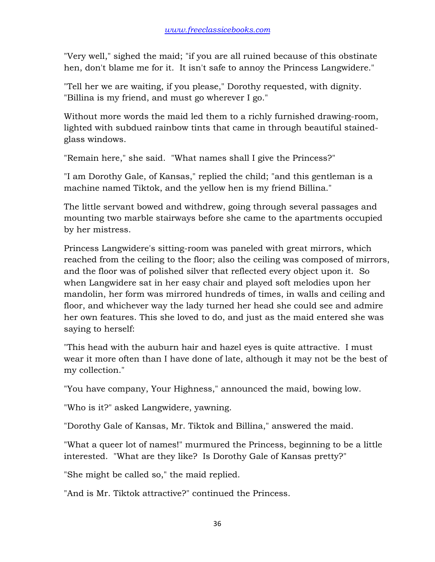"Very well," sighed the maid; "if you are all ruined because of this obstinate hen, don't blame me for it. It isn't safe to annoy the Princess Langwidere."

"Tell her we are waiting, if you please," Dorothy requested, with dignity. "Billina is my friend, and must go wherever I go."

Without more words the maid led them to a richly furnished drawing-room, lighted with subdued rainbow tints that came in through beautiful stainedglass windows.

"Remain here," she said. "What names shall I give the Princess?"

"I am Dorothy Gale, of Kansas," replied the child; "and this gentleman is a machine named Tiktok, and the yellow hen is my friend Billina."

The little servant bowed and withdrew, going through several passages and mounting two marble stairways before she came to the apartments occupied by her mistress.

Princess Langwidere's sitting-room was paneled with great mirrors, which reached from the ceiling to the floor; also the ceiling was composed of mirrors, and the floor was of polished silver that reflected every object upon it. So when Langwidere sat in her easy chair and played soft melodies upon her mandolin, her form was mirrored hundreds of times, in walls and ceiling and floor, and whichever way the lady turned her head she could see and admire her own features. This she loved to do, and just as the maid entered she was saying to herself:

"This head with the auburn hair and hazel eyes is quite attractive. I must wear it more often than I have done of late, although it may not be the best of my collection."

"You have company, Your Highness," announced the maid, bowing low.

"Who is it?" asked Langwidere, yawning.

"Dorothy Gale of Kansas, Mr. Tiktok and Billina," answered the maid.

"What a queer lot of names!" murmured the Princess, beginning to be a little interested. "What are they like? Is Dorothy Gale of Kansas pretty?"

"She might be called so," the maid replied.

"And is Mr. Tiktok attractive?" continued the Princess.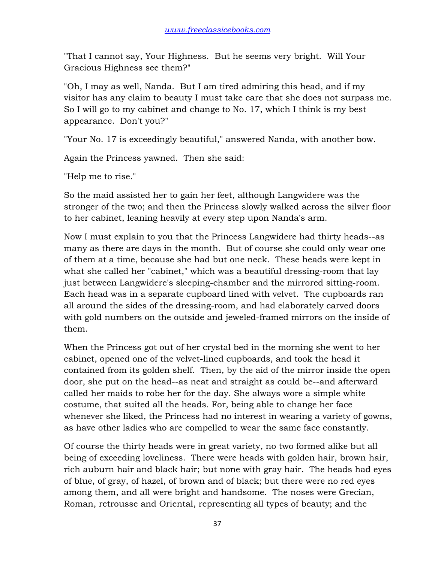"That I cannot say, Your Highness. But he seems very bright. Will Your Gracious Highness see them?"

"Oh, I may as well, Nanda. But I am tired admiring this head, and if my visitor has any claim to beauty I must take care that she does not surpass me. So I will go to my cabinet and change to No. 17, which I think is my best appearance. Don't you?"

"Your No. 17 is exceedingly beautiful," answered Nanda, with another bow.

Again the Princess yawned. Then she said:

"Help me to rise."

So the maid assisted her to gain her feet, although Langwidere was the stronger of the two; and then the Princess slowly walked across the silver floor to her cabinet, leaning heavily at every step upon Nanda's arm.

Now I must explain to you that the Princess Langwidere had thirty heads--as many as there are days in the month. But of course she could only wear one of them at a time, because she had but one neck. These heads were kept in what she called her "cabinet," which was a beautiful dressing-room that lay just between Langwidere's sleeping-chamber and the mirrored sitting-room. Each head was in a separate cupboard lined with velvet. The cupboards ran all around the sides of the dressing-room, and had elaborately carved doors with gold numbers on the outside and jeweled-framed mirrors on the inside of them.

When the Princess got out of her crystal bed in the morning she went to her cabinet, opened one of the velvet-lined cupboards, and took the head it contained from its golden shelf. Then, by the aid of the mirror inside the open door, she put on the head--as neat and straight as could be--and afterward called her maids to robe her for the day. She always wore a simple white costume, that suited all the heads. For, being able to change her face whenever she liked, the Princess had no interest in wearing a variety of gowns, as have other ladies who are compelled to wear the same face constantly.

Of course the thirty heads were in great variety, no two formed alike but all being of exceeding loveliness. There were heads with golden hair, brown hair, rich auburn hair and black hair; but none with gray hair. The heads had eyes of blue, of gray, of hazel, of brown and of black; but there were no red eyes among them, and all were bright and handsome. The noses were Grecian, Roman, retrousse and Oriental, representing all types of beauty; and the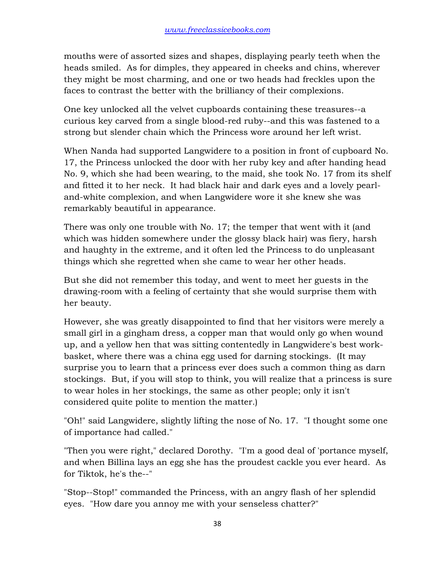mouths were of assorted sizes and shapes, displaying pearly teeth when the heads smiled. As for dimples, they appeared in cheeks and chins, wherever they might be most charming, and one or two heads had freckles upon the faces to contrast the better with the brilliancy of their complexions.

One key unlocked all the velvet cupboards containing these treasures--a curious key carved from a single blood-red ruby--and this was fastened to a strong but slender chain which the Princess wore around her left wrist.

When Nanda had supported Langwidere to a position in front of cupboard No. 17, the Princess unlocked the door with her ruby key and after handing head No. 9, which she had been wearing, to the maid, she took No. 17 from its shelf and fitted it to her neck. It had black hair and dark eyes and a lovely pearland-white complexion, and when Langwidere wore it she knew she was remarkably beautiful in appearance.

There was only one trouble with No. 17; the temper that went with it (and which was hidden somewhere under the glossy black hair) was fiery, harsh and haughty in the extreme, and it often led the Princess to do unpleasant things which she regretted when she came to wear her other heads.

But she did not remember this today, and went to meet her guests in the drawing-room with a feeling of certainty that she would surprise them with her beauty.

However, she was greatly disappointed to find that her visitors were merely a small girl in a gingham dress, a copper man that would only go when wound up, and a yellow hen that was sitting contentedly in Langwidere's best workbasket, where there was a china egg used for darning stockings. (It may surprise you to learn that a princess ever does such a common thing as darn stockings. But, if you will stop to think, you will realize that a princess is sure to wear holes in her stockings, the same as other people; only it isn't considered quite polite to mention the matter.)

"Oh!" said Langwidere, slightly lifting the nose of No. 17. "I thought some one of importance had called."

"Then you were right," declared Dorothy. "I'm a good deal of 'portance myself, and when Billina lays an egg she has the proudest cackle you ever heard. As for Tiktok, he's the--"

"Stop--Stop!" commanded the Princess, with an angry flash of her splendid eyes. "How dare you annoy me with your senseless chatter?"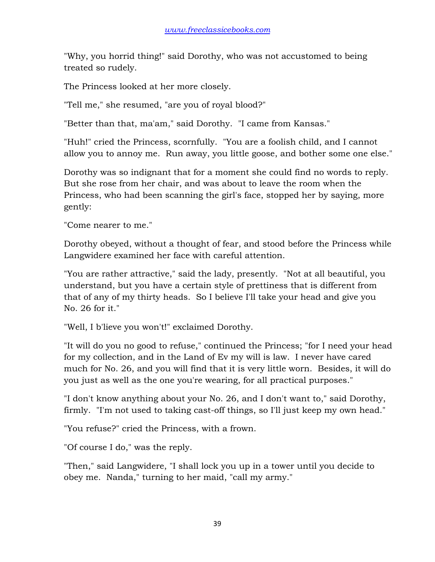"Why, you horrid thing!" said Dorothy, who was not accustomed to being treated so rudely.

The Princess looked at her more closely.

"Tell me," she resumed, "are you of royal blood?"

"Better than that, ma'am," said Dorothy. "I came from Kansas."

"Huh!" cried the Princess, scornfully. "You are a foolish child, and I cannot allow you to annoy me. Run away, you little goose, and bother some one else."

Dorothy was so indignant that for a moment she could find no words to reply. But she rose from her chair, and was about to leave the room when the Princess, who had been scanning the girl's face, stopped her by saying, more gently:

"Come nearer to me."

Dorothy obeyed, without a thought of fear, and stood before the Princess while Langwidere examined her face with careful attention.

"You are rather attractive," said the lady, presently. "Not at all beautiful, you understand, but you have a certain style of prettiness that is different from that of any of my thirty heads. So I believe I'll take your head and give you No. 26 for it."

"Well, I b'lieve you won't!" exclaimed Dorothy.

"It will do you no good to refuse," continued the Princess; "for I need your head for my collection, and in the Land of Ev my will is law. I never have cared much for No. 26, and you will find that it is very little worn. Besides, it will do you just as well as the one you're wearing, for all practical purposes."

"I don't know anything about your No. 26, and I don't want to," said Dorothy, firmly. "I'm not used to taking cast-off things, so I'll just keep my own head."

"You refuse?" cried the Princess, with a frown.

"Of course I do," was the reply.

"Then," said Langwidere, "I shall lock you up in a tower until you decide to obey me. Nanda," turning to her maid, "call my army."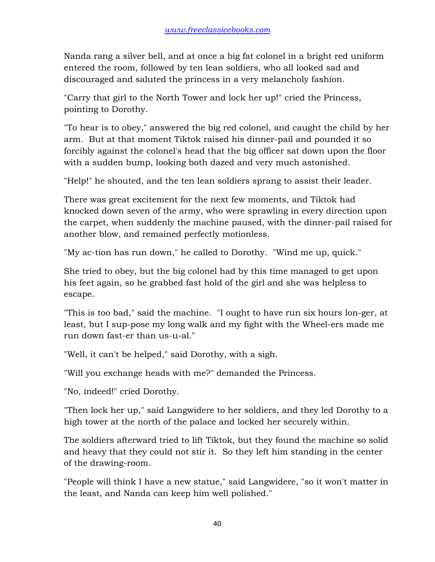Nanda rang a silver bell, and at once a big fat colonel in a bright red uniform entered the room, followed by ten lean soldiers, who all looked sad and discouraged and saluted the princess in a very melancholy fashion.

"Carry that girl to the North Tower and lock her up!" cried the Princess, pointing to Dorothy.

"To hear is to obey," answered the big red colonel, and caught the child by her arm. But at that moment Tiktok raised his dinner-pail and pounded it so forcibly against the colonel's head that the big officer sat down upon the floor with a sudden bump, looking both dazed and very much astonished.

"Help!" he shouted, and the ten lean soldiers sprang to assist their leader.

There was great excitement for the next few moments, and Tiktok had knocked down seven of the army, who were sprawling in every direction upon the carpet, when suddenly the machine paused, with the dinner-pail raised for another blow, and remained perfectly motionless.

"My ac-tion has run down," he called to Dorothy. "Wind me up, quick."

She tried to obey, but the big colonel had by this time managed to get upon his feet again, so he grabbed fast hold of the girl and she was helpless to escape.

"This is too bad," said the machine. "I ought to have run six hours lon-ger, at least, but I sup-pose my long walk and my fight with the Wheel-ers made me run down fast-er than us-u-al."

"Well, it can't be helped," said Dorothy, with a sigh.

"Will you exchange heads with me?" demanded the Princess.

"No, indeed!" cried Dorothy.

"Then lock her up," said Langwidere to her soldiers, and they led Dorothy to a high tower at the north of the palace and locked her securely within.

The soldiers afterward tried to lift Tiktok, but they found the machine so solid and heavy that they could not stir it. So they left him standing in the center of the drawing-room.

"People will think I have a new statue," said Langwidere, "so it won't matter in the least, and Nanda can keep him well polished."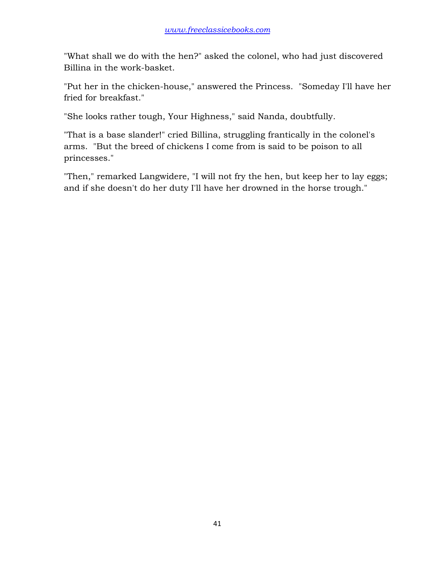"What shall we do with the hen?" asked the colonel, who had just discovered Billina in the work-basket.

"Put her in the chicken-house," answered the Princess. "Someday I'll have her fried for breakfast."

"She looks rather tough, Your Highness," said Nanda, doubtfully.

"That is a base slander!" cried Billina, struggling frantically in the colonel's arms. "But the breed of chickens I come from is said to be poison to all princesses."

"Then," remarked Langwidere, "I will not fry the hen, but keep her to lay eggs; and if she doesn't do her duty I'll have her drowned in the horse trough."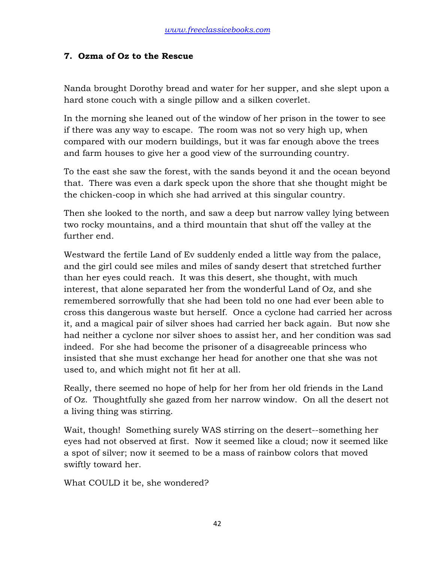#### **7. Ozma of Oz to the Rescue**

Nanda brought Dorothy bread and water for her supper, and she slept upon a hard stone couch with a single pillow and a silken coverlet.

In the morning she leaned out of the window of her prison in the tower to see if there was any way to escape. The room was not so very high up, when compared with our modern buildings, but it was far enough above the trees and farm houses to give her a good view of the surrounding country.

To the east she saw the forest, with the sands beyond it and the ocean beyond that. There was even a dark speck upon the shore that she thought might be the chicken-coop in which she had arrived at this singular country.

Then she looked to the north, and saw a deep but narrow valley lying between two rocky mountains, and a third mountain that shut off the valley at the further end.

Westward the fertile Land of Ev suddenly ended a little way from the palace, and the girl could see miles and miles of sandy desert that stretched further than her eyes could reach. It was this desert, she thought, with much interest, that alone separated her from the wonderful Land of Oz, and she remembered sorrowfully that she had been told no one had ever been able to cross this dangerous waste but herself. Once a cyclone had carried her across it, and a magical pair of silver shoes had carried her back again. But now she had neither a cyclone nor silver shoes to assist her, and her condition was sad indeed. For she had become the prisoner of a disagreeable princess who insisted that she must exchange her head for another one that she was not used to, and which might not fit her at all.

Really, there seemed no hope of help for her from her old friends in the Land of Oz. Thoughtfully she gazed from her narrow window. On all the desert not a living thing was stirring.

Wait, though! Something surely WAS stirring on the desert--something her eyes had not observed at first. Now it seemed like a cloud; now it seemed like a spot of silver; now it seemed to be a mass of rainbow colors that moved swiftly toward her.

What COULD it be, she wondered?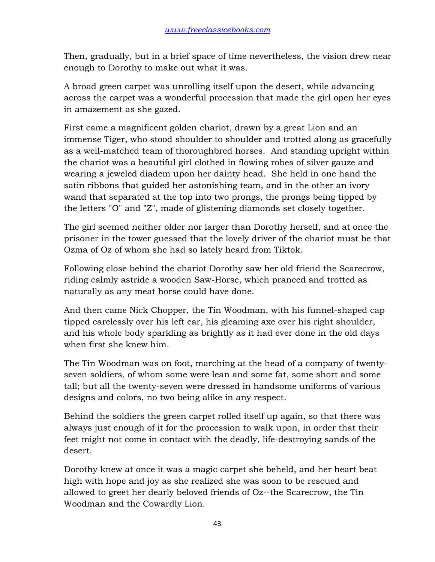Then, gradually, but in a brief space of time nevertheless, the vision drew near enough to Dorothy to make out what it was.

A broad green carpet was unrolling itself upon the desert, while advancing across the carpet was a wonderful procession that made the girl open her eyes in amazement as she gazed.

First came a magnificent golden chariot, drawn by a great Lion and an immense Tiger, who stood shoulder to shoulder and trotted along as gracefully as a well-matched team of thoroughbred horses. And standing upright within the chariot was a beautiful girl clothed in flowing robes of silver gauze and wearing a jeweled diadem upon her dainty head. She held in one hand the satin ribbons that guided her astonishing team, and in the other an ivory wand that separated at the top into two prongs, the prongs being tipped by the letters "O" and "Z", made of glistening diamonds set closely together.

The girl seemed neither older nor larger than Dorothy herself, and at once the prisoner in the tower guessed that the lovely driver of the chariot must be that Ozma of Oz of whom she had so lately heard from Tiktok.

Following close behind the chariot Dorothy saw her old friend the Scarecrow, riding calmly astride a wooden Saw-Horse, which pranced and trotted as naturally as any meat horse could have done.

And then came Nick Chopper, the Tin Woodman, with his funnel-shaped cap tipped carelessly over his left ear, his gleaming axe over his right shoulder, and his whole body sparkling as brightly as it had ever done in the old days when first she knew him.

The Tin Woodman was on foot, marching at the head of a company of twentyseven soldiers, of whom some were lean and some fat, some short and some tall; but all the twenty-seven were dressed in handsome uniforms of various designs and colors, no two being alike in any respect.

Behind the soldiers the green carpet rolled itself up again, so that there was always just enough of it for the procession to walk upon, in order that their feet might not come in contact with the deadly, life-destroying sands of the desert.

Dorothy knew at once it was a magic carpet she beheld, and her heart beat high with hope and joy as she realized she was soon to be rescued and allowed to greet her dearly beloved friends of Oz--the Scarecrow, the Tin Woodman and the Cowardly Lion.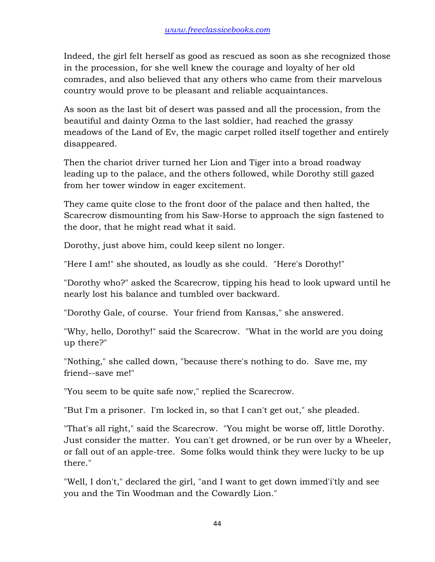Indeed, the girl felt herself as good as rescued as soon as she recognized those in the procession, for she well knew the courage and loyalty of her old comrades, and also believed that any others who came from their marvelous country would prove to be pleasant and reliable acquaintances.

As soon as the last bit of desert was passed and all the procession, from the beautiful and dainty Ozma to the last soldier, had reached the grassy meadows of the Land of Ev, the magic carpet rolled itself together and entirely disappeared.

Then the chariot driver turned her Lion and Tiger into a broad roadway leading up to the palace, and the others followed, while Dorothy still gazed from her tower window in eager excitement.

They came quite close to the front door of the palace and then halted, the Scarecrow dismounting from his Saw-Horse to approach the sign fastened to the door, that he might read what it said.

Dorothy, just above him, could keep silent no longer.

"Here I am!" she shouted, as loudly as she could. "Here's Dorothy!"

"Dorothy who?" asked the Scarecrow, tipping his head to look upward until he nearly lost his balance and tumbled over backward.

"Dorothy Gale, of course. Your friend from Kansas," she answered.

"Why, hello, Dorothy!" said the Scarecrow. "What in the world are you doing up there?"

"Nothing," she called down, "because there's nothing to do. Save me, my friend--save me!"

"You seem to be quite safe now," replied the Scarecrow.

"But I'm a prisoner. I'm locked in, so that I can't get out," she pleaded.

"That's all right," said the Scarecrow. "You might be worse off, little Dorothy. Just consider the matter. You can't get drowned, or be run over by a Wheeler, or fall out of an apple-tree. Some folks would think they were lucky to be up there."

"Well, I don't," declared the girl, "and I want to get down immed'i'tly and see you and the Tin Woodman and the Cowardly Lion."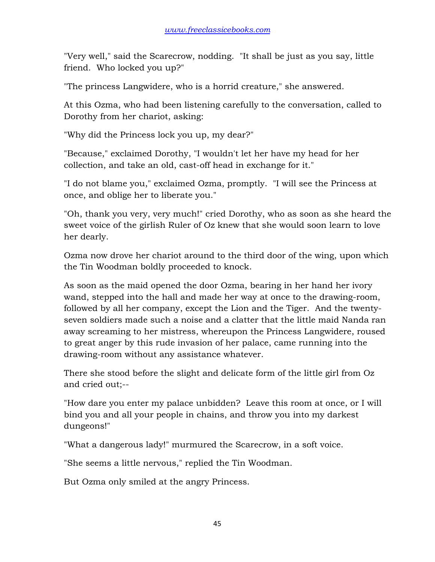"Very well," said the Scarecrow, nodding. "It shall be just as you say, little friend. Who locked you up?"

"The princess Langwidere, who is a horrid creature," she answered.

At this Ozma, who had been listening carefully to the conversation, called to Dorothy from her chariot, asking:

"Why did the Princess lock you up, my dear?"

"Because," exclaimed Dorothy, "I wouldn't let her have my head for her collection, and take an old, cast-off head in exchange for it."

"I do not blame you," exclaimed Ozma, promptly. "I will see the Princess at once, and oblige her to liberate you."

"Oh, thank you very, very much!" cried Dorothy, who as soon as she heard the sweet voice of the girlish Ruler of Oz knew that she would soon learn to love her dearly.

Ozma now drove her chariot around to the third door of the wing, upon which the Tin Woodman boldly proceeded to knock.

As soon as the maid opened the door Ozma, bearing in her hand her ivory wand, stepped into the hall and made her way at once to the drawing-room, followed by all her company, except the Lion and the Tiger. And the twentyseven soldiers made such a noise and a clatter that the little maid Nanda ran away screaming to her mistress, whereupon the Princess Langwidere, roused to great anger by this rude invasion of her palace, came running into the drawing-room without any assistance whatever.

There she stood before the slight and delicate form of the little girl from Oz and cried out;--

"How dare you enter my palace unbidden? Leave this room at once, or I will bind you and all your people in chains, and throw you into my darkest dungeons!"

"What a dangerous lady!" murmured the Scarecrow, in a soft voice.

"She seems a little nervous," replied the Tin Woodman.

But Ozma only smiled at the angry Princess.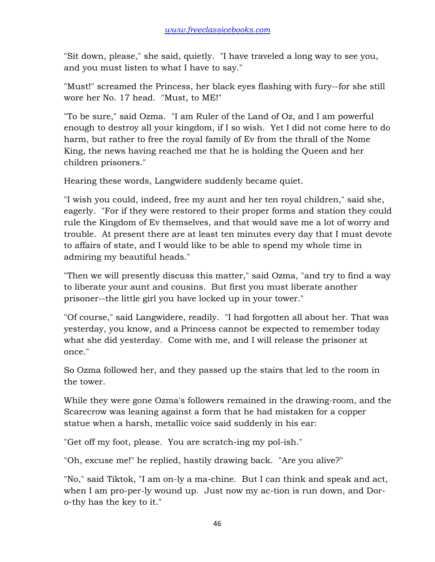"Sit down, please," she said, quietly. "I have traveled a long way to see you, and you must listen to what I have to say."

"Must!" screamed the Princess, her black eyes flashing with fury--for she still wore her No. 17 head. "Must, to ME!"

"To be sure," said Ozma. "I am Ruler of the Land of Oz, and I am powerful enough to destroy all your kingdom, if I so wish. Yet I did not come here to do harm, but rather to free the royal family of Ev from the thrall of the Nome King, the news having reached me that he is holding the Queen and her children prisoners."

Hearing these words, Langwidere suddenly became quiet.

"I wish you could, indeed, free my aunt and her ten royal children," said she, eagerly. "For if they were restored to their proper forms and station they could rule the Kingdom of Ev themselves, and that would save me a lot of worry and trouble. At present there are at least ten minutes every day that I must devote to affairs of state, and I would like to be able to spend my whole time in admiring my beautiful heads."

"Then we will presently discuss this matter," said Ozma, "and try to find a way to liberate your aunt and cousins. But first you must liberate another prisoner--the little girl you have locked up in your tower."

"Of course," said Langwidere, readily. "I had forgotten all about her. That was yesterday, you know, and a Princess cannot be expected to remember today what she did yesterday. Come with me, and I will release the prisoner at once."

So Ozma followed her, and they passed up the stairs that led to the room in the tower.

While they were gone Ozma's followers remained in the drawing-room, and the Scarecrow was leaning against a form that he had mistaken for a copper statue when a harsh, metallic voice said suddenly in his ear:

"Get off my foot, please. You are scratch-ing my pol-ish."

"Oh, excuse me!" he replied, hastily drawing back. "Are you alive?"

"No," said Tiktok, "I am on-ly a ma-chine. But I can think and speak and act, when I am pro-per-ly wound up. Just now my ac-tion is run down, and Doro-thy has the key to it."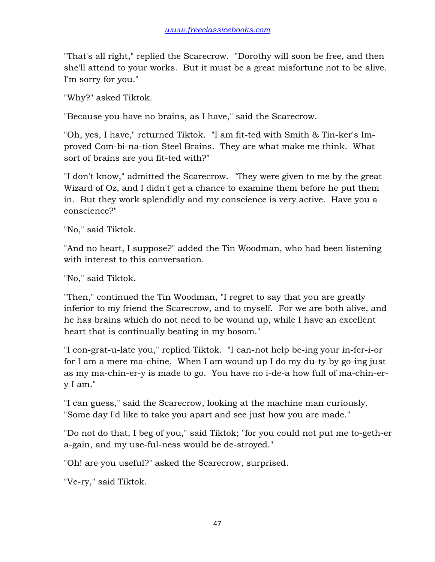"That's all right," replied the Scarecrow. "Dorothy will soon be free, and then she'll attend to your works. But it must be a great misfortune not to be alive. I'm sorry for you."

"Why?" asked Tiktok.

"Because you have no brains, as I have," said the Scarecrow.

"Oh, yes, I have," returned Tiktok. "I am fit-ted with Smith & Tin-ker's Improved Com-bi-na-tion Steel Brains. They are what make me think. What sort of brains are you fit-ted with?"

"I don't know," admitted the Scarecrow. "They were given to me by the great Wizard of Oz, and I didn't get a chance to examine them before he put them in. But they work splendidly and my conscience is very active. Have you a conscience?"

"No," said Tiktok.

"And no heart, I suppose?" added the Tin Woodman, who had been listening with interest to this conversation.

"No," said Tiktok.

"Then," continued the Tin Woodman, "I regret to say that you are greatly inferior to my friend the Scarecrow, and to myself. For we are both alive, and he has brains which do not need to be wound up, while I have an excellent heart that is continually beating in my bosom."

"I con-grat-u-late you," replied Tiktok. "I can-not help be-ing your in-fer-i-or for I am a mere ma-chine. When I am wound up I do my du-ty by go-ing just as my ma-chin-er-y is made to go. You have no i-de-a how full of ma-chin-ery I am."

"I can guess," said the Scarecrow, looking at the machine man curiously. "Some day I'd like to take you apart and see just how you are made."

"Do not do that, I beg of you," said Tiktok; "for you could not put me to-geth-er a-gain, and my use-ful-ness would be de-stroyed."

"Oh! are you useful?" asked the Scarecrow, surprised.

"Ve-ry," said Tiktok.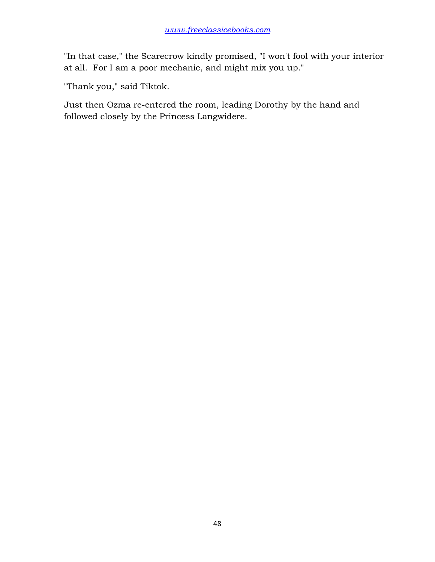"In that case," the Scarecrow kindly promised, "I won't fool with your interior at all. For I am a poor mechanic, and might mix you up."

"Thank you," said Tiktok.

Just then Ozma re-entered the room, leading Dorothy by the hand and followed closely by the Princess Langwidere.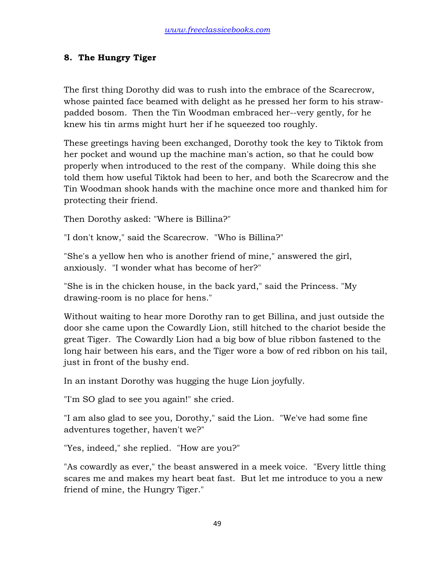# **8. The Hungry Tiger**

The first thing Dorothy did was to rush into the embrace of the Scarecrow, whose painted face beamed with delight as he pressed her form to his strawpadded bosom. Then the Tin Woodman embraced her--very gently, for he knew his tin arms might hurt her if he squeezed too roughly.

These greetings having been exchanged, Dorothy took the key to Tiktok from her pocket and wound up the machine man's action, so that he could bow properly when introduced to the rest of the company. While doing this she told them how useful Tiktok had been to her, and both the Scarecrow and the Tin Woodman shook hands with the machine once more and thanked him for protecting their friend.

Then Dorothy asked: "Where is Billina?"

"I don't know," said the Scarecrow. "Who is Billina?"

"She's a yellow hen who is another friend of mine," answered the girl, anxiously. "I wonder what has become of her?"

"She is in the chicken house, in the back yard," said the Princess. "My drawing-room is no place for hens."

Without waiting to hear more Dorothy ran to get Billina, and just outside the door she came upon the Cowardly Lion, still hitched to the chariot beside the great Tiger. The Cowardly Lion had a big bow of blue ribbon fastened to the long hair between his ears, and the Tiger wore a bow of red ribbon on his tail, just in front of the bushy end.

In an instant Dorothy was hugging the huge Lion joyfully.

"I'm SO glad to see you again!" she cried.

"I am also glad to see you, Dorothy," said the Lion. "We've had some fine adventures together, haven't we?"

"Yes, indeed," she replied. "How are you?"

"As cowardly as ever," the beast answered in a meek voice. "Every little thing scares me and makes my heart beat fast. But let me introduce to you a new friend of mine, the Hungry Tiger."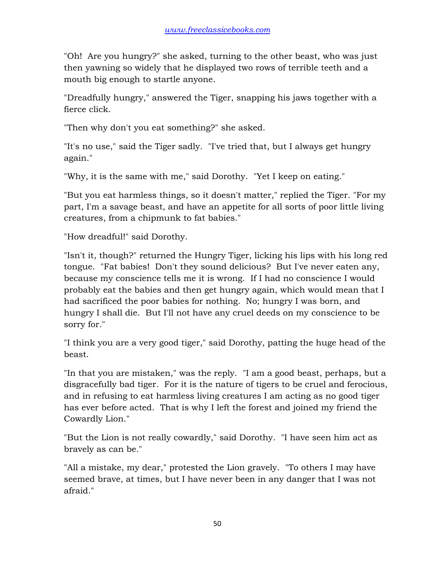"Oh! Are you hungry?" she asked, turning to the other beast, who was just then yawning so widely that he displayed two rows of terrible teeth and a mouth big enough to startle anyone.

"Dreadfully hungry," answered the Tiger, snapping his jaws together with a fierce click.

"Then why don't you eat something?" she asked.

"It's no use," said the Tiger sadly. "I've tried that, but I always get hungry again."

"Why, it is the same with me," said Dorothy. "Yet I keep on eating."

"But you eat harmless things, so it doesn't matter," replied the Tiger. "For my part, I'm a savage beast, and have an appetite for all sorts of poor little living creatures, from a chipmunk to fat babies."

"How dreadful!" said Dorothy.

"Isn't it, though?" returned the Hungry Tiger, licking his lips with his long red tongue. "Fat babies! Don't they sound delicious? But I've never eaten any, because my conscience tells me it is wrong. If I had no conscience I would probably eat the babies and then get hungry again, which would mean that I had sacrificed the poor babies for nothing. No; hungry I was born, and hungry I shall die. But I'll not have any cruel deeds on my conscience to be sorry for."

"I think you are a very good tiger," said Dorothy, patting the huge head of the beast.

"In that you are mistaken," was the reply. "I am a good beast, perhaps, but a disgracefully bad tiger. For it is the nature of tigers to be cruel and ferocious, and in refusing to eat harmless living creatures I am acting as no good tiger has ever before acted. That is why I left the forest and joined my friend the Cowardly Lion."

"But the Lion is not really cowardly," said Dorothy. "I have seen him act as bravely as can be."

"All a mistake, my dear," protested the Lion gravely. "To others I may have seemed brave, at times, but I have never been in any danger that I was not afraid."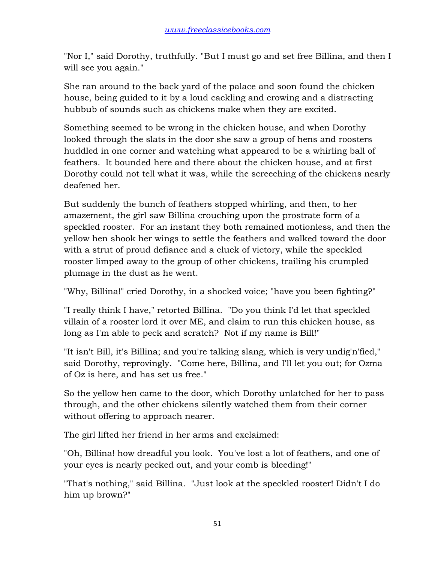"Nor I," said Dorothy, truthfully. "But I must go and set free Billina, and then I will see you again."

She ran around to the back yard of the palace and soon found the chicken house, being guided to it by a loud cackling and crowing and a distracting hubbub of sounds such as chickens make when they are excited.

Something seemed to be wrong in the chicken house, and when Dorothy looked through the slats in the door she saw a group of hens and roosters huddled in one corner and watching what appeared to be a whirling ball of feathers. It bounded here and there about the chicken house, and at first Dorothy could not tell what it was, while the screeching of the chickens nearly deafened her.

But suddenly the bunch of feathers stopped whirling, and then, to her amazement, the girl saw Billina crouching upon the prostrate form of a speckled rooster. For an instant they both remained motionless, and then the yellow hen shook her wings to settle the feathers and walked toward the door with a strut of proud defiance and a cluck of victory, while the speckled rooster limped away to the group of other chickens, trailing his crumpled plumage in the dust as he went.

"Why, Billina!" cried Dorothy, in a shocked voice; "have you been fighting?"

"I really think I have," retorted Billina. "Do you think I'd let that speckled villain of a rooster lord it over ME, and claim to run this chicken house, as long as I'm able to peck and scratch? Not if my name is Bill!"

"It isn't Bill, it's Billina; and you're talking slang, which is very undig'n'fied," said Dorothy, reprovingly. "Come here, Billina, and I'll let you out; for Ozma of Oz is here, and has set us free."

So the yellow hen came to the door, which Dorothy unlatched for her to pass through, and the other chickens silently watched them from their corner without offering to approach nearer.

The girl lifted her friend in her arms and exclaimed:

"Oh, Billina! how dreadful you look. You've lost a lot of feathers, and one of your eyes is nearly pecked out, and your comb is bleeding!"

"That's nothing," said Billina. "Just look at the speckled rooster! Didn't I do him up brown?"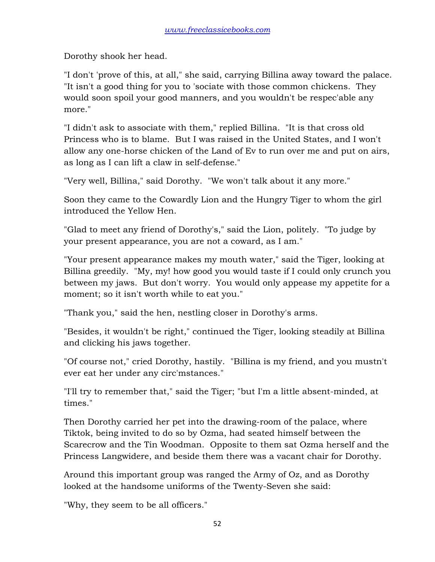Dorothy shook her head.

"I don't 'prove of this, at all," she said, carrying Billina away toward the palace. "It isn't a good thing for you to 'sociate with those common chickens. They would soon spoil your good manners, and you wouldn't be respec'able any more."

"I didn't ask to associate with them," replied Billina. "It is that cross old Princess who is to blame. But I was raised in the United States, and I won't allow any one-horse chicken of the Land of Ev to run over me and put on airs, as long as I can lift a claw in self-defense."

"Very well, Billina," said Dorothy. "We won't talk about it any more."

Soon they came to the Cowardly Lion and the Hungry Tiger to whom the girl introduced the Yellow Hen.

"Glad to meet any friend of Dorothy's," said the Lion, politely. "To judge by your present appearance, you are not a coward, as I am."

"Your present appearance makes my mouth water," said the Tiger, looking at Billina greedily. "My, my! how good you would taste if I could only crunch you between my jaws. But don't worry. You would only appease my appetite for a moment; so it isn't worth while to eat you."

"Thank you," said the hen, nestling closer in Dorothy's arms.

"Besides, it wouldn't be right," continued the Tiger, looking steadily at Billina and clicking his jaws together.

"Of course not," cried Dorothy, hastily. "Billina is my friend, and you mustn't ever eat her under any circ'mstances."

"I'll try to remember that," said the Tiger; "but I'm a little absent-minded, at times."

Then Dorothy carried her pet into the drawing-room of the palace, where Tiktok, being invited to do so by Ozma, had seated himself between the Scarecrow and the Tin Woodman. Opposite to them sat Ozma herself and the Princess Langwidere, and beside them there was a vacant chair for Dorothy.

Around this important group was ranged the Army of Oz, and as Dorothy looked at the handsome uniforms of the Twenty-Seven she said:

"Why, they seem to be all officers."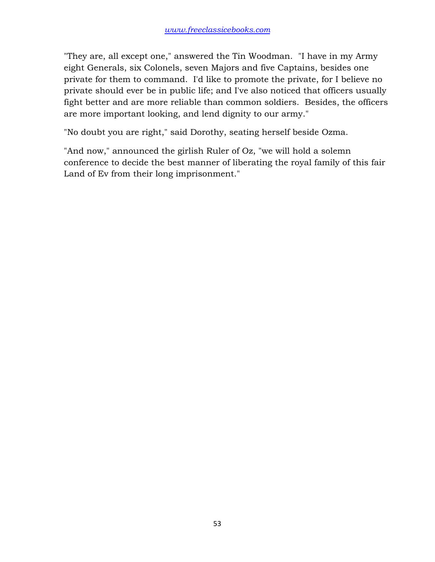"They are, all except one," answered the Tin Woodman. "I have in my Army eight Generals, six Colonels, seven Majors and five Captains, besides one private for them to command. I'd like to promote the private, for I believe no private should ever be in public life; and I've also noticed that officers usually fight better and are more reliable than common soldiers. Besides, the officers are more important looking, and lend dignity to our army."

"No doubt you are right," said Dorothy, seating herself beside Ozma.

"And now," announced the girlish Ruler of Oz, "we will hold a solemn conference to decide the best manner of liberating the royal family of this fair Land of Ev from their long imprisonment."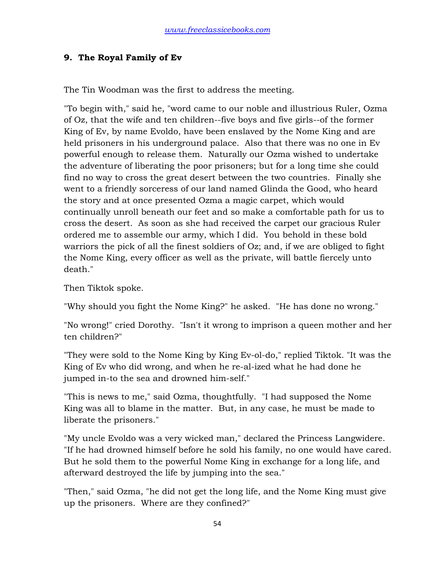## **9. The Royal Family of Ev**

The Tin Woodman was the first to address the meeting.

"To begin with," said he, "word came to our noble and illustrious Ruler, Ozma of Oz, that the wife and ten children--five boys and five girls--of the former King of Ev, by name Evoldo, have been enslaved by the Nome King and are held prisoners in his underground palace. Also that there was no one in Ev powerful enough to release them. Naturally our Ozma wished to undertake the adventure of liberating the poor prisoners; but for a long time she could find no way to cross the great desert between the two countries. Finally she went to a friendly sorceress of our land named Glinda the Good, who heard the story and at once presented Ozma a magic carpet, which would continually unroll beneath our feet and so make a comfortable path for us to cross the desert. As soon as she had received the carpet our gracious Ruler ordered me to assemble our army, which I did. You behold in these bold warriors the pick of all the finest soldiers of Oz; and, if we are obliged to fight the Nome King, every officer as well as the private, will battle fiercely unto death."

Then Tiktok spoke.

"Why should you fight the Nome King?" he asked. "He has done no wrong."

"No wrong!" cried Dorothy. "Isn't it wrong to imprison a queen mother and her ten children?"

"They were sold to the Nome King by King Ev-ol-do," replied Tiktok. "It was the King of Ev who did wrong, and when he re-al-ized what he had done he jumped in-to the sea and drowned him-self."

"This is news to me," said Ozma, thoughtfully. "I had supposed the Nome King was all to blame in the matter. But, in any case, he must be made to liberate the prisoners."

"My uncle Evoldo was a very wicked man," declared the Princess Langwidere. "If he had drowned himself before he sold his family, no one would have cared. But he sold them to the powerful Nome King in exchange for a long life, and afterward destroyed the life by jumping into the sea."

"Then," said Ozma, "he did not get the long life, and the Nome King must give up the prisoners. Where are they confined?"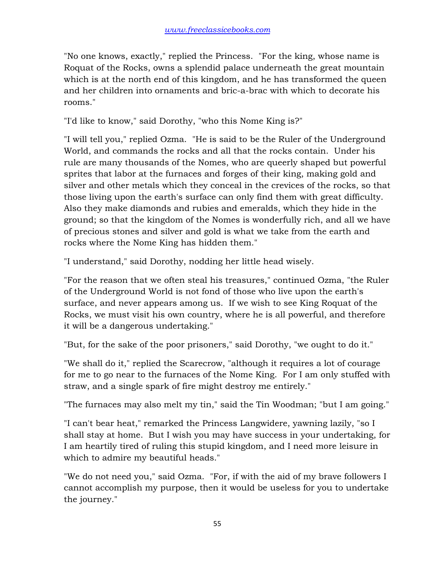"No one knows, exactly," replied the Princess. "For the king, whose name is Roquat of the Rocks, owns a splendid palace underneath the great mountain which is at the north end of this kingdom, and he has transformed the queen and her children into ornaments and bric-a-brac with which to decorate his rooms."

"I'd like to know," said Dorothy, "who this Nome King is?"

"I will tell you," replied Ozma. "He is said to be the Ruler of the Underground World, and commands the rocks and all that the rocks contain. Under his rule are many thousands of the Nomes, who are queerly shaped but powerful sprites that labor at the furnaces and forges of their king, making gold and silver and other metals which they conceal in the crevices of the rocks, so that those living upon the earth's surface can only find them with great difficulty. Also they make diamonds and rubies and emeralds, which they hide in the ground; so that the kingdom of the Nomes is wonderfully rich, and all we have of precious stones and silver and gold is what we take from the earth and rocks where the Nome King has hidden them."

"I understand," said Dorothy, nodding her little head wisely.

"For the reason that we often steal his treasures," continued Ozma, "the Ruler of the Underground World is not fond of those who live upon the earth's surface, and never appears among us. If we wish to see King Roquat of the Rocks, we must visit his own country, where he is all powerful, and therefore it will be a dangerous undertaking."

"But, for the sake of the poor prisoners," said Dorothy, "we ought to do it."

"We shall do it," replied the Scarecrow, "although it requires a lot of courage for me to go near to the furnaces of the Nome King. For I am only stuffed with straw, and a single spark of fire might destroy me entirely."

"The furnaces may also melt my tin," said the Tin Woodman; "but I am going."

"I can't bear heat," remarked the Princess Langwidere, yawning lazily, "so I shall stay at home. But I wish you may have success in your undertaking, for I am heartily tired of ruling this stupid kingdom, and I need more leisure in which to admire my beautiful heads."

"We do not need you," said Ozma. "For, if with the aid of my brave followers I cannot accomplish my purpose, then it would be useless for you to undertake the journey."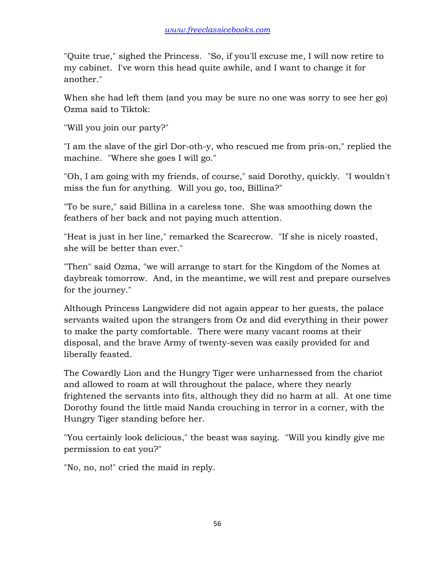"Quite true," sighed the Princess. "So, if you'll excuse me, I will now retire to my cabinet. I've worn this head quite awhile, and I want to change it for another."

When she had left them (and you may be sure no one was sorry to see her go) Ozma said to Tiktok:

"Will you join our party?"

"I am the slave of the girl Dor-oth-y, who rescued me from pris-on," replied the machine. "Where she goes I will go."

"Oh, I am going with my friends, of course," said Dorothy, quickly. "I wouldn't miss the fun for anything. Will you go, too, Billina?"

"To be sure," said Billina in a careless tone. She was smoothing down the feathers of her back and not paying much attention.

"Heat is just in her line," remarked the Scarecrow. "If she is nicely roasted, she will be better than ever."

"Then" said Ozma, "we will arrange to start for the Kingdom of the Nomes at daybreak tomorrow. And, in the meantime, we will rest and prepare ourselves for the journey."

Although Princess Langwidere did not again appear to her guests, the palace servants waited upon the strangers from Oz and did everything in their power to make the party comfortable. There were many vacant rooms at their disposal, and the brave Army of twenty-seven was easily provided for and liberally feasted.

The Cowardly Lion and the Hungry Tiger were unharnessed from the chariot and allowed to roam at will throughout the palace, where they nearly frightened the servants into fits, although they did no harm at all. At one time Dorothy found the little maid Nanda crouching in terror in a corner, with the Hungry Tiger standing before her.

"You certainly look delicious," the beast was saying. "Will you kindly give me permission to eat you?"

"No, no, no!" cried the maid in reply.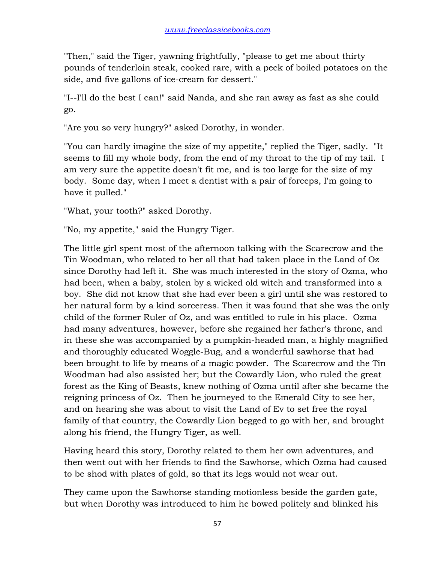"Then," said the Tiger, yawning frightfully, "please to get me about thirty pounds of tenderloin steak, cooked rare, with a peck of boiled potatoes on the side, and five gallons of ice-cream for dessert."

"I--I'll do the best I can!" said Nanda, and she ran away as fast as she could go.

"Are you so very hungry?" asked Dorothy, in wonder.

"You can hardly imagine the size of my appetite," replied the Tiger, sadly. "It seems to fill my whole body, from the end of my throat to the tip of my tail. I am very sure the appetite doesn't fit me, and is too large for the size of my body. Some day, when I meet a dentist with a pair of forceps, I'm going to have it pulled."

"What, your tooth?" asked Dorothy.

"No, my appetite," said the Hungry Tiger.

The little girl spent most of the afternoon talking with the Scarecrow and the Tin Woodman, who related to her all that had taken place in the Land of Oz since Dorothy had left it. She was much interested in the story of Ozma, who had been, when a baby, stolen by a wicked old witch and transformed into a boy. She did not know that she had ever been a girl until she was restored to her natural form by a kind sorceress. Then it was found that she was the only child of the former Ruler of Oz, and was entitled to rule in his place. Ozma had many adventures, however, before she regained her father's throne, and in these she was accompanied by a pumpkin-headed man, a highly magnified and thoroughly educated Woggle-Bug, and a wonderful sawhorse that had been brought to life by means of a magic powder. The Scarecrow and the Tin Woodman had also assisted her; but the Cowardly Lion, who ruled the great forest as the King of Beasts, knew nothing of Ozma until after she became the reigning princess of Oz. Then he journeyed to the Emerald City to see her, and on hearing she was about to visit the Land of Ev to set free the royal family of that country, the Cowardly Lion begged to go with her, and brought along his friend, the Hungry Tiger, as well.

Having heard this story, Dorothy related to them her own adventures, and then went out with her friends to find the Sawhorse, which Ozma had caused to be shod with plates of gold, so that its legs would not wear out.

They came upon the Sawhorse standing motionless beside the garden gate, but when Dorothy was introduced to him he bowed politely and blinked his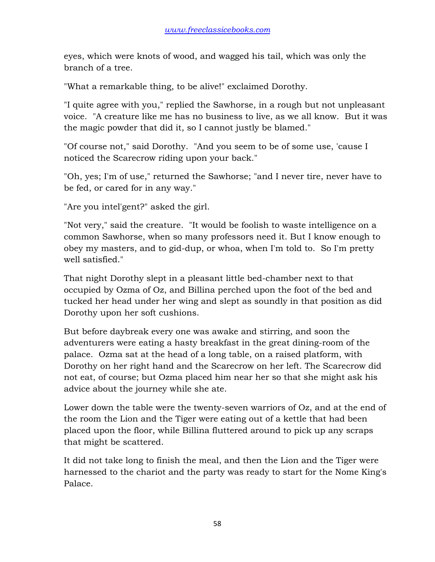eyes, which were knots of wood, and wagged his tail, which was only the branch of a tree.

"What a remarkable thing, to be alive!" exclaimed Dorothy.

"I quite agree with you," replied the Sawhorse, in a rough but not unpleasant voice. "A creature like me has no business to live, as we all know. But it was the magic powder that did it, so I cannot justly be blamed."

"Of course not," said Dorothy. "And you seem to be of some use, 'cause I noticed the Scarecrow riding upon your back."

"Oh, yes; I'm of use," returned the Sawhorse; "and I never tire, never have to be fed, or cared for in any way."

"Are you intel'gent?" asked the girl.

"Not very," said the creature. "It would be foolish to waste intelligence on a common Sawhorse, when so many professors need it. But I know enough to obey my masters, and to gid-dup, or whoa, when I'm told to. So I'm pretty well satisfied."

That night Dorothy slept in a pleasant little bed-chamber next to that occupied by Ozma of Oz, and Billina perched upon the foot of the bed and tucked her head under her wing and slept as soundly in that position as did Dorothy upon her soft cushions.

But before daybreak every one was awake and stirring, and soon the adventurers were eating a hasty breakfast in the great dining-room of the palace. Ozma sat at the head of a long table, on a raised platform, with Dorothy on her right hand and the Scarecrow on her left. The Scarecrow did not eat, of course; but Ozma placed him near her so that she might ask his advice about the journey while she ate.

Lower down the table were the twenty-seven warriors of Oz, and at the end of the room the Lion and the Tiger were eating out of a kettle that had been placed upon the floor, while Billina fluttered around to pick up any scraps that might be scattered.

It did not take long to finish the meal, and then the Lion and the Tiger were harnessed to the chariot and the party was ready to start for the Nome King's Palace.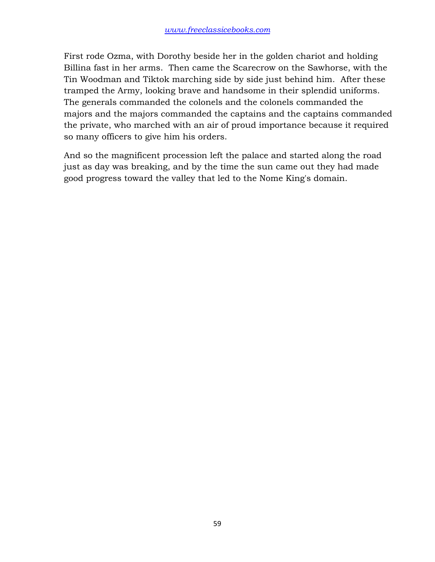First rode Ozma, with Dorothy beside her in the golden chariot and holding Billina fast in her arms. Then came the Scarecrow on the Sawhorse, with the Tin Woodman and Tiktok marching side by side just behind him. After these tramped the Army, looking brave and handsome in their splendid uniforms. The generals commanded the colonels and the colonels commanded the majors and the majors commanded the captains and the captains commanded the private, who marched with an air of proud importance because it required so many officers to give him his orders.

And so the magnificent procession left the palace and started along the road just as day was breaking, and by the time the sun came out they had made good progress toward the valley that led to the Nome King's domain.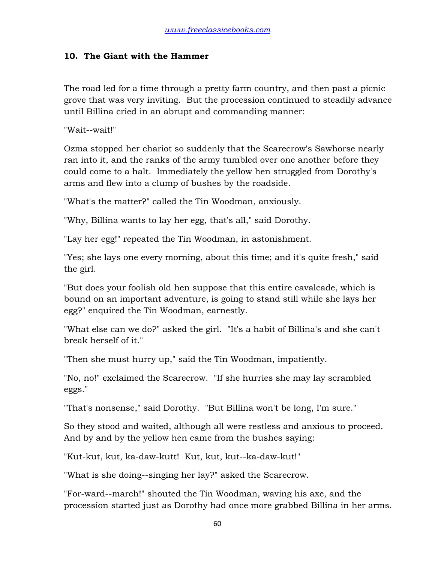#### **10. The Giant with the Hammer**

The road led for a time through a pretty farm country, and then past a picnic grove that was very inviting. But the procession continued to steadily advance until Billina cried in an abrupt and commanding manner:

"Wait--wait!"

Ozma stopped her chariot so suddenly that the Scarecrow's Sawhorse nearly ran into it, and the ranks of the army tumbled over one another before they could come to a halt. Immediately the yellow hen struggled from Dorothy's arms and flew into a clump of bushes by the roadside.

"What's the matter?" called the Tin Woodman, anxiously.

"Why, Billina wants to lay her egg, that's all," said Dorothy.

"Lay her egg!" repeated the Tin Woodman, in astonishment.

"Yes; she lays one every morning, about this time; and it's quite fresh," said the girl.

"But does your foolish old hen suppose that this entire cavalcade, which is bound on an important adventure, is going to stand still while she lays her egg?" enquired the Tin Woodman, earnestly.

"What else can we do?" asked the girl. "It's a habit of Billina's and she can't break herself of it."

"Then she must hurry up," said the Tin Woodman, impatiently.

"No, no!" exclaimed the Scarecrow. "If she hurries she may lay scrambled eggs."

"That's nonsense," said Dorothy. "But Billina won't be long, I'm sure."

So they stood and waited, although all were restless and anxious to proceed. And by and by the yellow hen came from the bushes saying:

"Kut-kut, kut, ka-daw-kutt! Kut, kut, kut--ka-daw-kut!"

"What is she doing--singing her lay?" asked the Scarecrow.

"For-ward--march!" shouted the Tin Woodman, waving his axe, and the procession started just as Dorothy had once more grabbed Billina in her arms.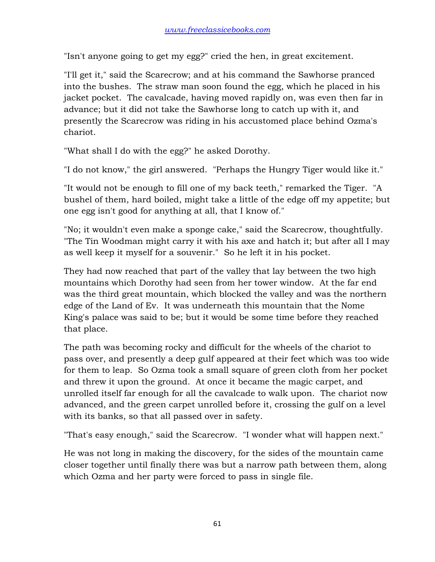"Isn't anyone going to get my egg?" cried the hen, in great excitement.

"I'll get it," said the Scarecrow; and at his command the Sawhorse pranced into the bushes. The straw man soon found the egg, which he placed in his jacket pocket. The cavalcade, having moved rapidly on, was even then far in advance; but it did not take the Sawhorse long to catch up with it, and presently the Scarecrow was riding in his accustomed place behind Ozma's chariot.

"What shall I do with the egg?" he asked Dorothy.

"I do not know," the girl answered. "Perhaps the Hungry Tiger would like it."

"It would not be enough to fill one of my back teeth," remarked the Tiger. "A bushel of them, hard boiled, might take a little of the edge off my appetite; but one egg isn't good for anything at all, that I know of."

"No; it wouldn't even make a sponge cake," said the Scarecrow, thoughtfully. "The Tin Woodman might carry it with his axe and hatch it; but after all I may as well keep it myself for a souvenir." So he left it in his pocket.

They had now reached that part of the valley that lay between the two high mountains which Dorothy had seen from her tower window. At the far end was the third great mountain, which blocked the valley and was the northern edge of the Land of Ev. It was underneath this mountain that the Nome King's palace was said to be; but it would be some time before they reached that place.

The path was becoming rocky and difficult for the wheels of the chariot to pass over, and presently a deep gulf appeared at their feet which was too wide for them to leap. So Ozma took a small square of green cloth from her pocket and threw it upon the ground. At once it became the magic carpet, and unrolled itself far enough for all the cavalcade to walk upon. The chariot now advanced, and the green carpet unrolled before it, crossing the gulf on a level with its banks, so that all passed over in safety.

"That's easy enough," said the Scarecrow. "I wonder what will happen next."

He was not long in making the discovery, for the sides of the mountain came closer together until finally there was but a narrow path between them, along which Ozma and her party were forced to pass in single file.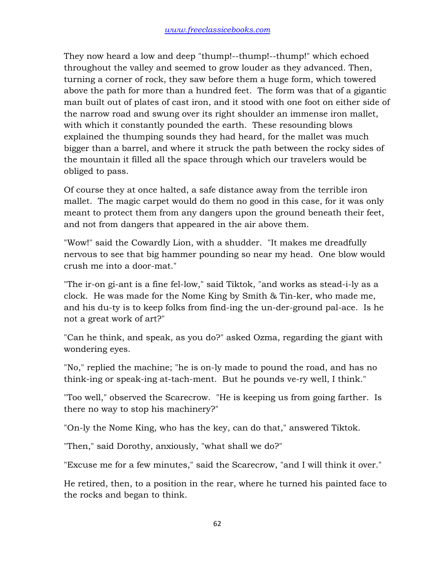They now heard a low and deep "thump!--thump!--thump!" which echoed throughout the valley and seemed to grow louder as they advanced. Then, turning a corner of rock, they saw before them a huge form, which towered above the path for more than a hundred feet. The form was that of a gigantic man built out of plates of cast iron, and it stood with one foot on either side of the narrow road and swung over its right shoulder an immense iron mallet, with which it constantly pounded the earth. These resounding blows explained the thumping sounds they had heard, for the mallet was much bigger than a barrel, and where it struck the path between the rocky sides of the mountain it filled all the space through which our travelers would be obliged to pass.

Of course they at once halted, a safe distance away from the terrible iron mallet. The magic carpet would do them no good in this case, for it was only meant to protect them from any dangers upon the ground beneath their feet, and not from dangers that appeared in the air above them.

"Wow!" said the Cowardly Lion, with a shudder. "It makes me dreadfully nervous to see that big hammer pounding so near my head. One blow would crush me into a door-mat."

"The ir-on gi-ant is a fine fel-low," said Tiktok, "and works as stead-i-ly as a clock. He was made for the Nome King by Smith & Tin-ker, who made me, and his du-ty is to keep folks from find-ing the un-der-ground pal-ace. Is he not a great work of art?"

"Can he think, and speak, as you do?" asked Ozma, regarding the giant with wondering eyes.

"No," replied the machine; "he is on-ly made to pound the road, and has no think-ing or speak-ing at-tach-ment. But he pounds ve-ry well, I think."

"Too well," observed the Scarecrow. "He is keeping us from going farther. Is there no way to stop his machinery?"

"On-ly the Nome King, who has the key, can do that," answered Tiktok.

"Then," said Dorothy, anxiously, "what shall we do?"

"Excuse me for a few minutes," said the Scarecrow, "and I will think it over."

He retired, then, to a position in the rear, where he turned his painted face to the rocks and began to think.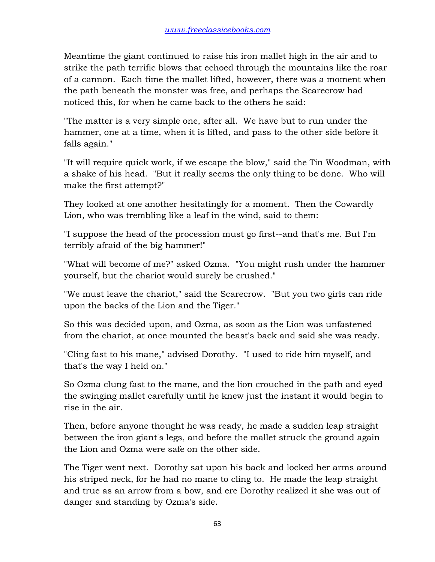Meantime the giant continued to raise his iron mallet high in the air and to strike the path terrific blows that echoed through the mountains like the roar of a cannon. Each time the mallet lifted, however, there was a moment when the path beneath the monster was free, and perhaps the Scarecrow had noticed this, for when he came back to the others he said:

"The matter is a very simple one, after all. We have but to run under the hammer, one at a time, when it is lifted, and pass to the other side before it falls again."

"It will require quick work, if we escape the blow," said the Tin Woodman, with a shake of his head. "But it really seems the only thing to be done. Who will make the first attempt?"

They looked at one another hesitatingly for a moment. Then the Cowardly Lion, who was trembling like a leaf in the wind, said to them:

"I suppose the head of the procession must go first--and that's me. But I'm terribly afraid of the big hammer!"

"What will become of me?" asked Ozma. "You might rush under the hammer yourself, but the chariot would surely be crushed."

"We must leave the chariot," said the Scarecrow. "But you two girls can ride upon the backs of the Lion and the Tiger."

So this was decided upon, and Ozma, as soon as the Lion was unfastened from the chariot, at once mounted the beast's back and said she was ready.

"Cling fast to his mane," advised Dorothy. "I used to ride him myself, and that's the way I held on."

So Ozma clung fast to the mane, and the lion crouched in the path and eyed the swinging mallet carefully until he knew just the instant it would begin to rise in the air.

Then, before anyone thought he was ready, he made a sudden leap straight between the iron giant's legs, and before the mallet struck the ground again the Lion and Ozma were safe on the other side.

The Tiger went next. Dorothy sat upon his back and locked her arms around his striped neck, for he had no mane to cling to. He made the leap straight and true as an arrow from a bow, and ere Dorothy realized it she was out of danger and standing by Ozma's side.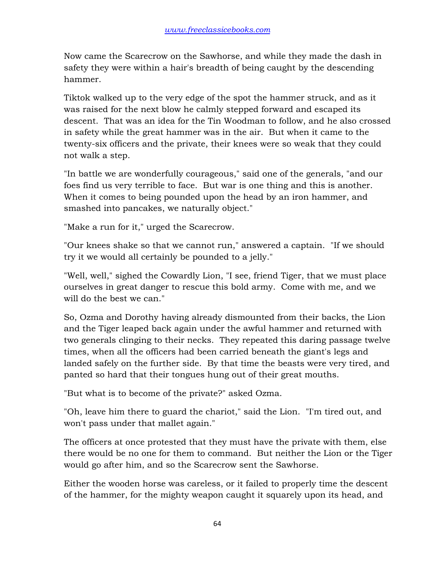Now came the Scarecrow on the Sawhorse, and while they made the dash in safety they were within a hair's breadth of being caught by the descending hammer.

Tiktok walked up to the very edge of the spot the hammer struck, and as it was raised for the next blow he calmly stepped forward and escaped its descent. That was an idea for the Tin Woodman to follow, and he also crossed in safety while the great hammer was in the air. But when it came to the twenty-six officers and the private, their knees were so weak that they could not walk a step.

"In battle we are wonderfully courageous," said one of the generals, "and our foes find us very terrible to face. But war is one thing and this is another. When it comes to being pounded upon the head by an iron hammer, and smashed into pancakes, we naturally object."

"Make a run for it," urged the Scarecrow.

"Our knees shake so that we cannot run," answered a captain. "If we should try it we would all certainly be pounded to a jelly."

"Well, well," sighed the Cowardly Lion, "I see, friend Tiger, that we must place ourselves in great danger to rescue this bold army. Come with me, and we will do the best we can."

So, Ozma and Dorothy having already dismounted from their backs, the Lion and the Tiger leaped back again under the awful hammer and returned with two generals clinging to their necks. They repeated this daring passage twelve times, when all the officers had been carried beneath the giant's legs and landed safely on the further side. By that time the beasts were very tired, and panted so hard that their tongues hung out of their great mouths.

"But what is to become of the private?" asked Ozma.

"Oh, leave him there to guard the chariot," said the Lion. "I'm tired out, and won't pass under that mallet again."

The officers at once protested that they must have the private with them, else there would be no one for them to command. But neither the Lion or the Tiger would go after him, and so the Scarecrow sent the Sawhorse.

Either the wooden horse was careless, or it failed to properly time the descent of the hammer, for the mighty weapon caught it squarely upon its head, and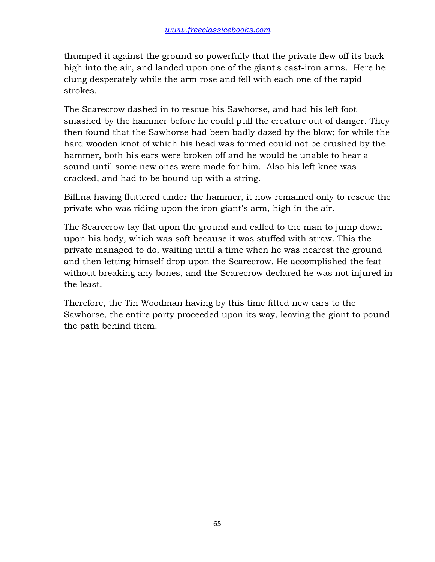thumped it against the ground so powerfully that the private flew off its back high into the air, and landed upon one of the giant's cast-iron arms. Here he clung desperately while the arm rose and fell with each one of the rapid strokes.

The Scarecrow dashed in to rescue his Sawhorse, and had his left foot smashed by the hammer before he could pull the creature out of danger. They then found that the Sawhorse had been badly dazed by the blow; for while the hard wooden knot of which his head was formed could not be crushed by the hammer, both his ears were broken off and he would be unable to hear a sound until some new ones were made for him. Also his left knee was cracked, and had to be bound up with a string.

Billina having fluttered under the hammer, it now remained only to rescue the private who was riding upon the iron giant's arm, high in the air.

The Scarecrow lay flat upon the ground and called to the man to jump down upon his body, which was soft because it was stuffed with straw. This the private managed to do, waiting until a time when he was nearest the ground and then letting himself drop upon the Scarecrow. He accomplished the feat without breaking any bones, and the Scarecrow declared he was not injured in the least.

Therefore, the Tin Woodman having by this time fitted new ears to the Sawhorse, the entire party proceeded upon its way, leaving the giant to pound the path behind them.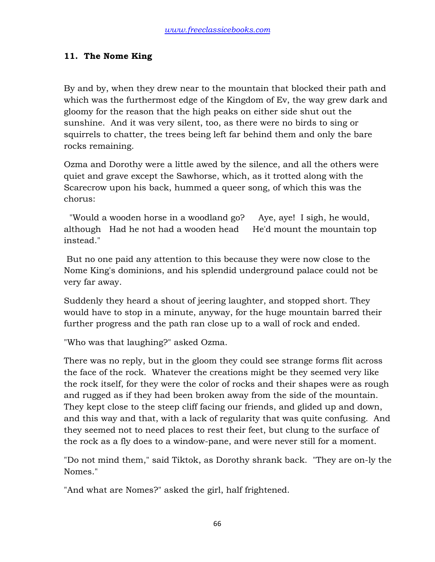## **11. The Nome King**

By and by, when they drew near to the mountain that blocked their path and which was the furthermost edge of the Kingdom of Ev, the way grew dark and gloomy for the reason that the high peaks on either side shut out the sunshine. And it was very silent, too, as there were no birds to sing or squirrels to chatter, the trees being left far behind them and only the bare rocks remaining.

Ozma and Dorothy were a little awed by the silence, and all the others were quiet and grave except the Sawhorse, which, as it trotted along with the Scarecrow upon his back, hummed a queer song, of which this was the chorus:

 "Would a wooden horse in a woodland go? Aye, aye! I sigh, he would, although Had he not had a wooden head He'd mount the mountain top instead."

 But no one paid any attention to this because they were now close to the Nome King's dominions, and his splendid underground palace could not be very far away.

Suddenly they heard a shout of jeering laughter, and stopped short. They would have to stop in a minute, anyway, for the huge mountain barred their further progress and the path ran close up to a wall of rock and ended.

"Who was that laughing?" asked Ozma.

There was no reply, but in the gloom they could see strange forms flit across the face of the rock. Whatever the creations might be they seemed very like the rock itself, for they were the color of rocks and their shapes were as rough and rugged as if they had been broken away from the side of the mountain. They kept close to the steep cliff facing our friends, and glided up and down, and this way and that, with a lack of regularity that was quite confusing. And they seemed not to need places to rest their feet, but clung to the surface of the rock as a fly does to a window-pane, and were never still for a moment.

"Do not mind them," said Tiktok, as Dorothy shrank back. "They are on-ly the Nomes."

"And what are Nomes?" asked the girl, half frightened.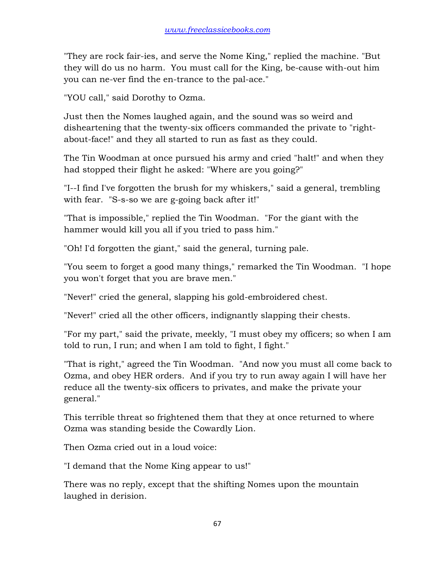"They are rock fair-ies, and serve the Nome King," replied the machine. "But they will do us no harm. You must call for the King, be-cause with-out him you can ne-ver find the en-trance to the pal-ace."

"YOU call," said Dorothy to Ozma.

Just then the Nomes laughed again, and the sound was so weird and disheartening that the twenty-six officers commanded the private to "rightabout-face!" and they all started to run as fast as they could.

The Tin Woodman at once pursued his army and cried "halt!" and when they had stopped their flight he asked: "Where are you going?"

"I--I find I've forgotten the brush for my whiskers," said a general, trembling with fear. "S-s-so we are g-going back after it!"

"That is impossible," replied the Tin Woodman. "For the giant with the hammer would kill you all if you tried to pass him."

"Oh! I'd forgotten the giant," said the general, turning pale.

"You seem to forget a good many things," remarked the Tin Woodman. "I hope you won't forget that you are brave men."

"Never!" cried the general, slapping his gold-embroidered chest.

"Never!" cried all the other officers, indignantly slapping their chests.

"For my part," said the private, meekly, "I must obey my officers; so when I am told to run, I run; and when I am told to fight, I fight."

"That is right," agreed the Tin Woodman. "And now you must all come back to Ozma, and obey HER orders. And if you try to run away again I will have her reduce all the twenty-six officers to privates, and make the private your general."

This terrible threat so frightened them that they at once returned to where Ozma was standing beside the Cowardly Lion.

Then Ozma cried out in a loud voice:

"I demand that the Nome King appear to us!"

There was no reply, except that the shifting Nomes upon the mountain laughed in derision.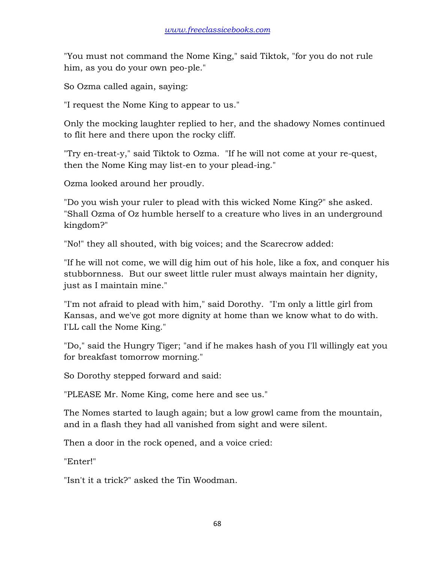"You must not command the Nome King," said Tiktok, "for you do not rule him, as you do your own peo-ple."

So Ozma called again, saying:

"I request the Nome King to appear to us."

Only the mocking laughter replied to her, and the shadowy Nomes continued to flit here and there upon the rocky cliff.

"Try en-treat-y," said Tiktok to Ozma. "If he will not come at your re-quest, then the Nome King may list-en to your plead-ing."

Ozma looked around her proudly.

"Do you wish your ruler to plead with this wicked Nome King?" she asked. "Shall Ozma of Oz humble herself to a creature who lives in an underground kingdom?"

"No!" they all shouted, with big voices; and the Scarecrow added:

"If he will not come, we will dig him out of his hole, like a fox, and conquer his stubbornness. But our sweet little ruler must always maintain her dignity, just as I maintain mine."

"I'm not afraid to plead with him," said Dorothy. "I'm only a little girl from Kansas, and we've got more dignity at home than we know what to do with. I'LL call the Nome King."

"Do," said the Hungry Tiger; "and if he makes hash of you I'll willingly eat you for breakfast tomorrow morning."

So Dorothy stepped forward and said:

"PLEASE Mr. Nome King, come here and see us."

The Nomes started to laugh again; but a low growl came from the mountain, and in a flash they had all vanished from sight and were silent.

Then a door in the rock opened, and a voice cried:

"Enter!"

"Isn't it a trick?" asked the Tin Woodman.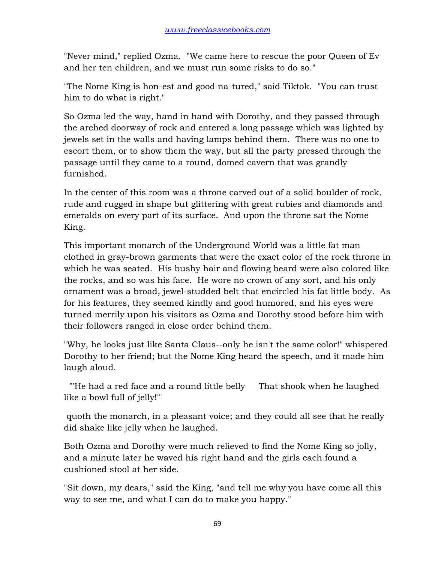"Never mind," replied Ozma. "We came here to rescue the poor Queen of Ev and her ten children, and we must run some risks to do so."

"The Nome King is hon-est and good na-tured," said Tiktok. "You can trust him to do what is right."

So Ozma led the way, hand in hand with Dorothy, and they passed through the arched doorway of rock and entered a long passage which was lighted by jewels set in the walls and having lamps behind them. There was no one to escort them, or to show them the way, but all the party pressed through the passage until they came to a round, domed cavern that was grandly furnished.

In the center of this room was a throne carved out of a solid boulder of rock, rude and rugged in shape but glittering with great rubies and diamonds and emeralds on every part of its surface. And upon the throne sat the Nome King.

This important monarch of the Underground World was a little fat man clothed in gray-brown garments that were the exact color of the rock throne in which he was seated. His bushy hair and flowing beard were also colored like the rocks, and so was his face. He wore no crown of any sort, and his only ornament was a broad, jewel-studded belt that encircled his fat little body. As for his features, they seemed kindly and good humored, and his eyes were turned merrily upon his visitors as Ozma and Dorothy stood before him with their followers ranged in close order behind them.

"Why, he looks just like Santa Claus--only he isn't the same color!" whispered Dorothy to her friend; but the Nome King heard the speech, and it made him laugh aloud.

 "'He had a red face and a round little belly That shook when he laughed like a bowl full of jelly!'"

 quoth the monarch, in a pleasant voice; and they could all see that he really did shake like jelly when he laughed.

Both Ozma and Dorothy were much relieved to find the Nome King so jolly, and a minute later he waved his right hand and the girls each found a cushioned stool at her side.

"Sit down, my dears," said the King, "and tell me why you have come all this way to see me, and what I can do to make you happy."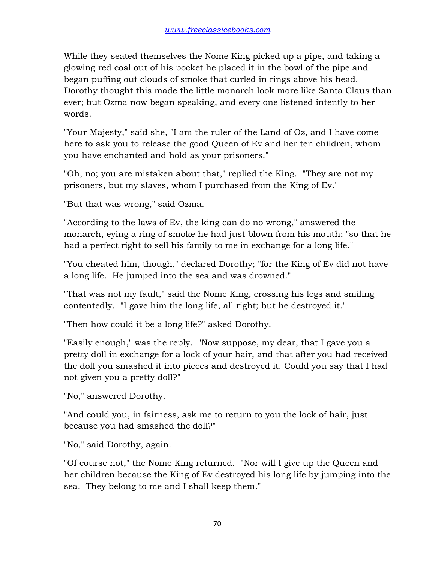While they seated themselves the Nome King picked up a pipe, and taking a glowing red coal out of his pocket he placed it in the bowl of the pipe and began puffing out clouds of smoke that curled in rings above his head. Dorothy thought this made the little monarch look more like Santa Claus than ever; but Ozma now began speaking, and every one listened intently to her words.

"Your Majesty," said she, "I am the ruler of the Land of Oz, and I have come here to ask you to release the good Queen of Ev and her ten children, whom you have enchanted and hold as your prisoners."

"Oh, no; you are mistaken about that," replied the King. "They are not my prisoners, but my slaves, whom I purchased from the King of Ev."

"But that was wrong," said Ozma.

"According to the laws of Ev, the king can do no wrong," answered the monarch, eying a ring of smoke he had just blown from his mouth; "so that he had a perfect right to sell his family to me in exchange for a long life."

"You cheated him, though," declared Dorothy; "for the King of Ev did not have a long life. He jumped into the sea and was drowned."

"That was not my fault," said the Nome King, crossing his legs and smiling contentedly. "I gave him the long life, all right; but he destroyed it."

"Then how could it be a long life?" asked Dorothy.

"Easily enough," was the reply. "Now suppose, my dear, that I gave you a pretty doll in exchange for a lock of your hair, and that after you had received the doll you smashed it into pieces and destroyed it. Could you say that I had not given you a pretty doll?"

"No," answered Dorothy.

"And could you, in fairness, ask me to return to you the lock of hair, just because you had smashed the doll?"

"No," said Dorothy, again.

"Of course not," the Nome King returned. "Nor will I give up the Queen and her children because the King of Ev destroyed his long life by jumping into the sea. They belong to me and I shall keep them."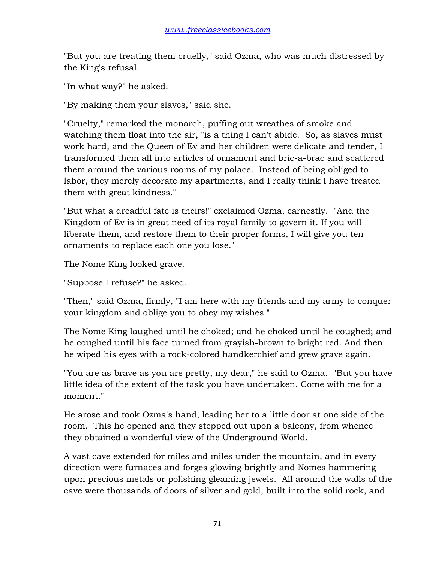"But you are treating them cruelly," said Ozma, who was much distressed by the King's refusal.

"In what way?" he asked.

"By making them your slaves," said she.

"Cruelty," remarked the monarch, puffing out wreathes of smoke and watching them float into the air, "is a thing I can't abide. So, as slaves must work hard, and the Queen of Ev and her children were delicate and tender, I transformed them all into articles of ornament and bric-a-brac and scattered them around the various rooms of my palace. Instead of being obliged to labor, they merely decorate my apartments, and I really think I have treated them with great kindness."

"But what a dreadful fate is theirs!" exclaimed Ozma, earnestly. "And the Kingdom of Ev is in great need of its royal family to govern it. If you will liberate them, and restore them to their proper forms, I will give you ten ornaments to replace each one you lose."

The Nome King looked grave.

"Suppose I refuse?" he asked.

"Then," said Ozma, firmly, "I am here with my friends and my army to conquer your kingdom and oblige you to obey my wishes."

The Nome King laughed until he choked; and he choked until he coughed; and he coughed until his face turned from grayish-brown to bright red. And then he wiped his eyes with a rock-colored handkerchief and grew grave again.

"You are as brave as you are pretty, my dear," he said to Ozma. "But you have little idea of the extent of the task you have undertaken. Come with me for a moment."

He arose and took Ozma's hand, leading her to a little door at one side of the room. This he opened and they stepped out upon a balcony, from whence they obtained a wonderful view of the Underground World.

A vast cave extended for miles and miles under the mountain, and in every direction were furnaces and forges glowing brightly and Nomes hammering upon precious metals or polishing gleaming jewels. All around the walls of the cave were thousands of doors of silver and gold, built into the solid rock, and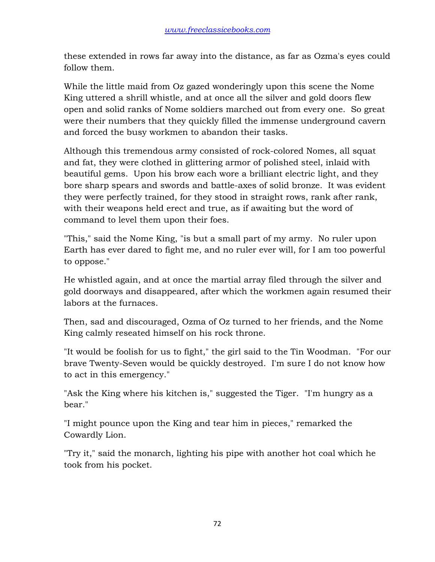these extended in rows far away into the distance, as far as Ozma's eyes could follow them.

While the little maid from Oz gazed wonderingly upon this scene the Nome King uttered a shrill whistle, and at once all the silver and gold doors flew open and solid ranks of Nome soldiers marched out from every one. So great were their numbers that they quickly filled the immense underground cavern and forced the busy workmen to abandon their tasks.

Although this tremendous army consisted of rock-colored Nomes, all squat and fat, they were clothed in glittering armor of polished steel, inlaid with beautiful gems. Upon his brow each wore a brilliant electric light, and they bore sharp spears and swords and battle-axes of solid bronze. It was evident they were perfectly trained, for they stood in straight rows, rank after rank, with their weapons held erect and true, as if awaiting but the word of command to level them upon their foes.

"This," said the Nome King, "is but a small part of my army. No ruler upon Earth has ever dared to fight me, and no ruler ever will, for I am too powerful to oppose."

He whistled again, and at once the martial array filed through the silver and gold doorways and disappeared, after which the workmen again resumed their labors at the furnaces.

Then, sad and discouraged, Ozma of Oz turned to her friends, and the Nome King calmly reseated himself on his rock throne.

"It would be foolish for us to fight," the girl said to the Tin Woodman. "For our brave Twenty-Seven would be quickly destroyed. I'm sure I do not know how to act in this emergency."

"Ask the King where his kitchen is," suggested the Tiger. "I'm hungry as a bear."

"I might pounce upon the King and tear him in pieces," remarked the Cowardly Lion.

"Try it," said the monarch, lighting his pipe with another hot coal which he took from his pocket.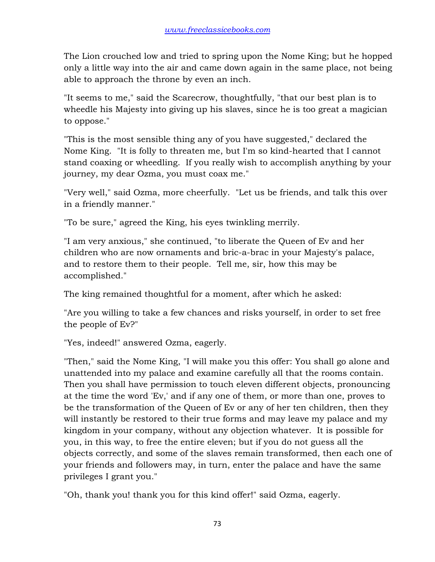The Lion crouched low and tried to spring upon the Nome King; but he hopped only a little way into the air and came down again in the same place, not being able to approach the throne by even an inch.

"It seems to me," said the Scarecrow, thoughtfully, "that our best plan is to wheedle his Majesty into giving up his slaves, since he is too great a magician to oppose."

"This is the most sensible thing any of you have suggested," declared the Nome King. "It is folly to threaten me, but I'm so kind-hearted that I cannot stand coaxing or wheedling. If you really wish to accomplish anything by your journey, my dear Ozma, you must coax me."

"Very well," said Ozma, more cheerfully. "Let us be friends, and talk this over in a friendly manner."

"To be sure," agreed the King, his eyes twinkling merrily.

"I am very anxious," she continued, "to liberate the Queen of Ev and her children who are now ornaments and bric-a-brac in your Majesty's palace, and to restore them to their people. Tell me, sir, how this may be accomplished."

The king remained thoughtful for a moment, after which he asked:

"Are you willing to take a few chances and risks yourself, in order to set free the people of Ev?"

"Yes, indeed!" answered Ozma, eagerly.

"Then," said the Nome King, "I will make you this offer: You shall go alone and unattended into my palace and examine carefully all that the rooms contain. Then you shall have permission to touch eleven different objects, pronouncing at the time the word 'Ev,' and if any one of them, or more than one, proves to be the transformation of the Queen of Ev or any of her ten children, then they will instantly be restored to their true forms and may leave my palace and my kingdom in your company, without any objection whatever. It is possible for you, in this way, to free the entire eleven; but if you do not guess all the objects correctly, and some of the slaves remain transformed, then each one of your friends and followers may, in turn, enter the palace and have the same privileges I grant you."

"Oh, thank you! thank you for this kind offer!" said Ozma, eagerly.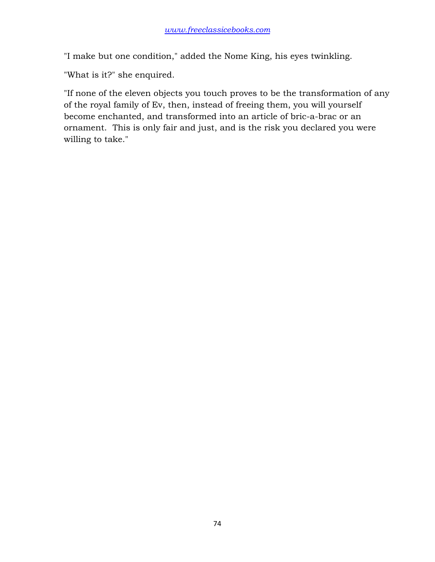"I make but one condition," added the Nome King, his eyes twinkling.

"What is it?" she enquired.

"If none of the eleven objects you touch proves to be the transformation of any of the royal family of Ev, then, instead of freeing them, you will yourself become enchanted, and transformed into an article of bric-a-brac or an ornament. This is only fair and just, and is the risk you declared you were willing to take."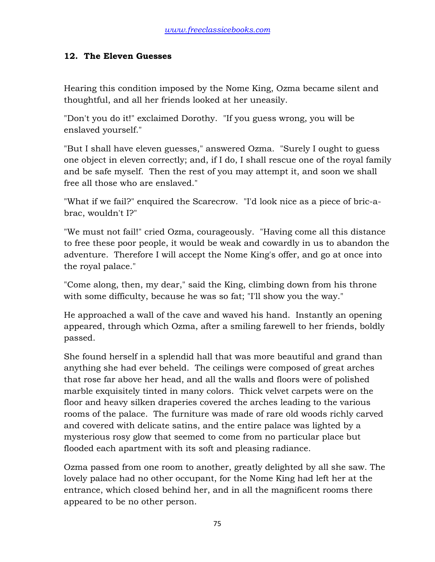## **12. The Eleven Guesses**

Hearing this condition imposed by the Nome King, Ozma became silent and thoughtful, and all her friends looked at her uneasily.

"Don't you do it!" exclaimed Dorothy. "If you guess wrong, you will be enslaved yourself."

"But I shall have eleven guesses," answered Ozma. "Surely I ought to guess one object in eleven correctly; and, if I do, I shall rescue one of the royal family and be safe myself. Then the rest of you may attempt it, and soon we shall free all those who are enslaved."

"What if we fail?" enquired the Scarecrow. "I'd look nice as a piece of bric-abrac, wouldn't I?"

"We must not fail!" cried Ozma, courageously. "Having come all this distance to free these poor people, it would be weak and cowardly in us to abandon the adventure. Therefore I will accept the Nome King's offer, and go at once into the royal palace."

"Come along, then, my dear," said the King, climbing down from his throne with some difficulty, because he was so fat; "I'll show you the way."

He approached a wall of the cave and waved his hand. Instantly an opening appeared, through which Ozma, after a smiling farewell to her friends, boldly passed.

She found herself in a splendid hall that was more beautiful and grand than anything she had ever beheld. The ceilings were composed of great arches that rose far above her head, and all the walls and floors were of polished marble exquisitely tinted in many colors. Thick velvet carpets were on the floor and heavy silken draperies covered the arches leading to the various rooms of the palace. The furniture was made of rare old woods richly carved and covered with delicate satins, and the entire palace was lighted by a mysterious rosy glow that seemed to come from no particular place but flooded each apartment with its soft and pleasing radiance.

Ozma passed from one room to another, greatly delighted by all she saw. The lovely palace had no other occupant, for the Nome King had left her at the entrance, which closed behind her, and in all the magnificent rooms there appeared to be no other person.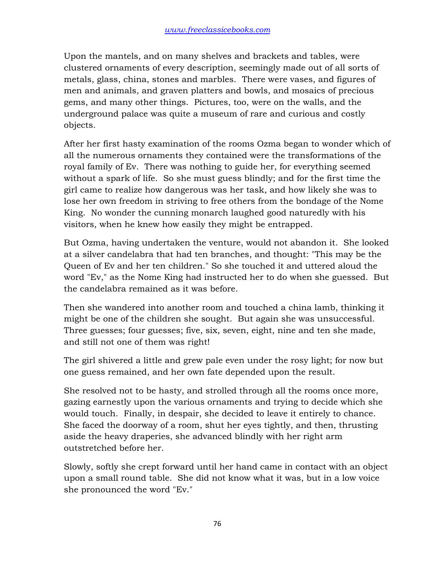Upon the mantels, and on many shelves and brackets and tables, were clustered ornaments of every description, seemingly made out of all sorts of metals, glass, china, stones and marbles. There were vases, and figures of men and animals, and graven platters and bowls, and mosaics of precious gems, and many other things. Pictures, too, were on the walls, and the underground palace was quite a museum of rare and curious and costly objects.

After her first hasty examination of the rooms Ozma began to wonder which of all the numerous ornaments they contained were the transformations of the royal family of Ev. There was nothing to guide her, for everything seemed without a spark of life. So she must guess blindly; and for the first time the girl came to realize how dangerous was her task, and how likely she was to lose her own freedom in striving to free others from the bondage of the Nome King. No wonder the cunning monarch laughed good naturedly with his visitors, when he knew how easily they might be entrapped.

But Ozma, having undertaken the venture, would not abandon it. She looked at a silver candelabra that had ten branches, and thought: "This may be the Queen of Ev and her ten children." So she touched it and uttered aloud the word "Ev," as the Nome King had instructed her to do when she guessed. But the candelabra remained as it was before.

Then she wandered into another room and touched a china lamb, thinking it might be one of the children she sought. But again she was unsuccessful. Three guesses; four guesses; five, six, seven, eight, nine and ten she made, and still not one of them was right!

The girl shivered a little and grew pale even under the rosy light; for now but one guess remained, and her own fate depended upon the result.

She resolved not to be hasty, and strolled through all the rooms once more, gazing earnestly upon the various ornaments and trying to decide which she would touch. Finally, in despair, she decided to leave it entirely to chance. She faced the doorway of a room, shut her eyes tightly, and then, thrusting aside the heavy draperies, she advanced blindly with her right arm outstretched before her.

Slowly, softly she crept forward until her hand came in contact with an object upon a small round table. She did not know what it was, but in a low voice she pronounced the word "Ev."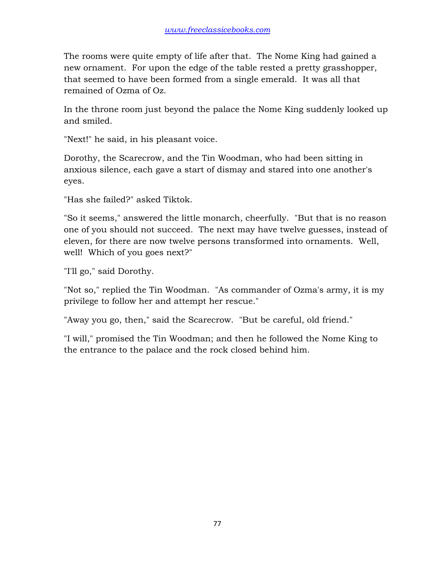The rooms were quite empty of life after that. The Nome King had gained a new ornament. For upon the edge of the table rested a pretty grasshopper, that seemed to have been formed from a single emerald. It was all that remained of Ozma of Oz.

In the throne room just beyond the palace the Nome King suddenly looked up and smiled.

"Next!" he said, in his pleasant voice.

Dorothy, the Scarecrow, and the Tin Woodman, who had been sitting in anxious silence, each gave a start of dismay and stared into one another's eyes.

"Has she failed?" asked Tiktok.

"So it seems," answered the little monarch, cheerfully. "But that is no reason one of you should not succeed. The next may have twelve guesses, instead of eleven, for there are now twelve persons transformed into ornaments. Well, well! Which of you goes next?"

"I'll go," said Dorothy.

"Not so," replied the Tin Woodman. "As commander of Ozma's army, it is my privilege to follow her and attempt her rescue."

"Away you go, then," said the Scarecrow. "But be careful, old friend."

"I will," promised the Tin Woodman; and then he followed the Nome King to the entrance to the palace and the rock closed behind him.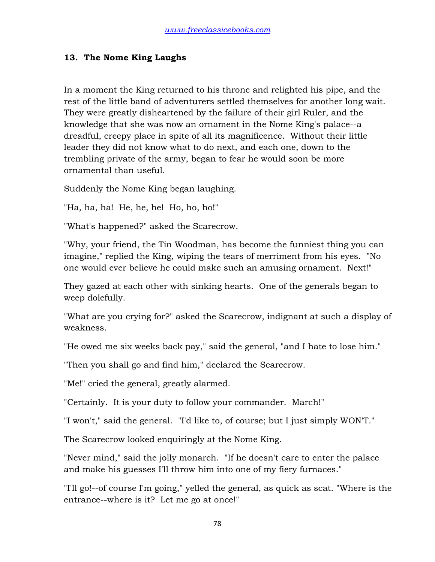## **13. The Nome King Laughs**

In a moment the King returned to his throne and relighted his pipe, and the rest of the little band of adventurers settled themselves for another long wait. They were greatly disheartened by the failure of their girl Ruler, and the knowledge that she was now an ornament in the Nome King's palace--a dreadful, creepy place in spite of all its magnificence. Without their little leader they did not know what to do next, and each one, down to the trembling private of the army, began to fear he would soon be more ornamental than useful.

Suddenly the Nome King began laughing.

"Ha, ha, ha! He, he, he! Ho, ho, ho!"

"What's happened?" asked the Scarecrow.

"Why, your friend, the Tin Woodman, has become the funniest thing you can imagine," replied the King, wiping the tears of merriment from his eyes. "No one would ever believe he could make such an amusing ornament. Next!"

They gazed at each other with sinking hearts. One of the generals began to weep dolefully.

"What are you crying for?" asked the Scarecrow, indignant at such a display of weakness.

"He owed me six weeks back pay," said the general, "and I hate to lose him."

"Then you shall go and find him," declared the Scarecrow.

"Me!" cried the general, greatly alarmed.

"Certainly. It is your duty to follow your commander. March!"

"I won't," said the general. "I'd like to, of course; but I just simply WON'T."

The Scarecrow looked enquiringly at the Nome King.

"Never mind," said the jolly monarch. "If he doesn't care to enter the palace and make his guesses I'll throw him into one of my fiery furnaces."

"I'll go!--of course I'm going," yelled the general, as quick as scat. "Where is the entrance--where is it? Let me go at once!"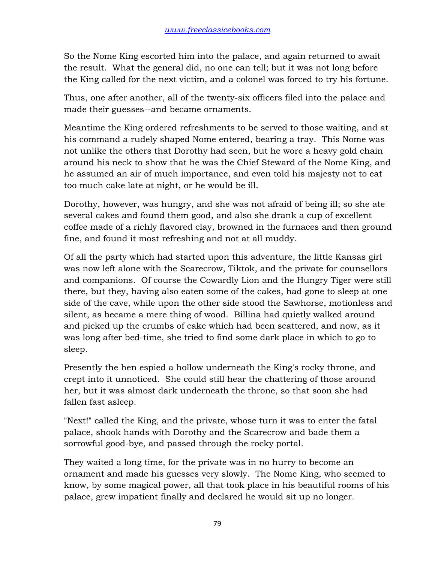So the Nome King escorted him into the palace, and again returned to await the result. What the general did, no one can tell; but it was not long before the King called for the next victim, and a colonel was forced to try his fortune.

Thus, one after another, all of the twenty-six officers filed into the palace and made their guesses--and became ornaments.

Meantime the King ordered refreshments to be served to those waiting, and at his command a rudely shaped Nome entered, bearing a tray. This Nome was not unlike the others that Dorothy had seen, but he wore a heavy gold chain around his neck to show that he was the Chief Steward of the Nome King, and he assumed an air of much importance, and even told his majesty not to eat too much cake late at night, or he would be ill.

Dorothy, however, was hungry, and she was not afraid of being ill; so she ate several cakes and found them good, and also she drank a cup of excellent coffee made of a richly flavored clay, browned in the furnaces and then ground fine, and found it most refreshing and not at all muddy.

Of all the party which had started upon this adventure, the little Kansas girl was now left alone with the Scarecrow, Tiktok, and the private for counsellors and companions. Of course the Cowardly Lion and the Hungry Tiger were still there, but they, having also eaten some of the cakes, had gone to sleep at one side of the cave, while upon the other side stood the Sawhorse, motionless and silent, as became a mere thing of wood. Billina had quietly walked around and picked up the crumbs of cake which had been scattered, and now, as it was long after bed-time, she tried to find some dark place in which to go to sleep.

Presently the hen espied a hollow underneath the King's rocky throne, and crept into it unnoticed. She could still hear the chattering of those around her, but it was almost dark underneath the throne, so that soon she had fallen fast asleep.

"Next!" called the King, and the private, whose turn it was to enter the fatal palace, shook hands with Dorothy and the Scarecrow and bade them a sorrowful good-bye, and passed through the rocky portal.

They waited a long time, for the private was in no hurry to become an ornament and made his guesses very slowly. The Nome King, who seemed to know, by some magical power, all that took place in his beautiful rooms of his palace, grew impatient finally and declared he would sit up no longer.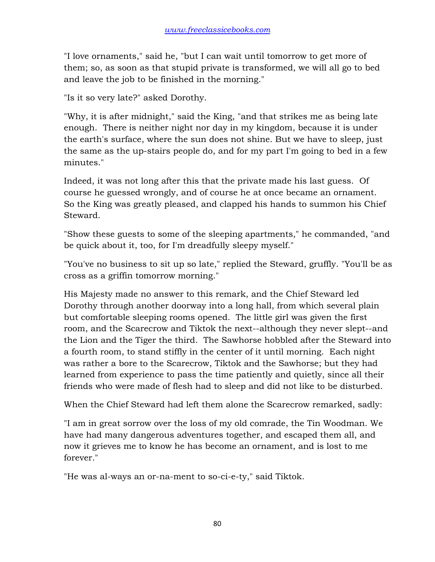"I love ornaments," said he, "but I can wait until tomorrow to get more of them; so, as soon as that stupid private is transformed, we will all go to bed and leave the job to be finished in the morning."

"Is it so very late?" asked Dorothy.

"Why, it is after midnight," said the King, "and that strikes me as being late enough. There is neither night nor day in my kingdom, because it is under the earth's surface, where the sun does not shine. But we have to sleep, just the same as the up-stairs people do, and for my part I'm going to bed in a few minutes."

Indeed, it was not long after this that the private made his last guess. Of course he guessed wrongly, and of course he at once became an ornament. So the King was greatly pleased, and clapped his hands to summon his Chief Steward.

"Show these guests to some of the sleeping apartments," he commanded, "and be quick about it, too, for I'm dreadfully sleepy myself."

"You've no business to sit up so late," replied the Steward, gruffly. "You'll be as cross as a griffin tomorrow morning."

His Majesty made no answer to this remark, and the Chief Steward led Dorothy through another doorway into a long hall, from which several plain but comfortable sleeping rooms opened. The little girl was given the first room, and the Scarecrow and Tiktok the next--although they never slept--and the Lion and the Tiger the third. The Sawhorse hobbled after the Steward into a fourth room, to stand stiffly in the center of it until morning. Each night was rather a bore to the Scarecrow, Tiktok and the Sawhorse; but they had learned from experience to pass the time patiently and quietly, since all their friends who were made of flesh had to sleep and did not like to be disturbed.

When the Chief Steward had left them alone the Scarecrow remarked, sadly:

"I am in great sorrow over the loss of my old comrade, the Tin Woodman. We have had many dangerous adventures together, and escaped them all, and now it grieves me to know he has become an ornament, and is lost to me forever."

"He was al-ways an or-na-ment to so-ci-e-ty," said Tiktok.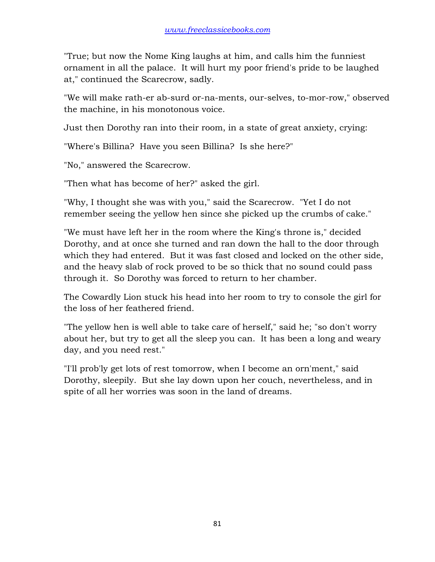"True; but now the Nome King laughs at him, and calls him the funniest ornament in all the palace. It will hurt my poor friend's pride to be laughed at," continued the Scarecrow, sadly.

"We will make rath-er ab-surd or-na-ments, our-selves, to-mor-row," observed the machine, in his monotonous voice.

Just then Dorothy ran into their room, in a state of great anxiety, crying:

"Where's Billina? Have you seen Billina? Is she here?"

"No," answered the Scarecrow.

"Then what has become of her?" asked the girl.

"Why, I thought she was with you," said the Scarecrow. "Yet I do not remember seeing the yellow hen since she picked up the crumbs of cake."

"We must have left her in the room where the King's throne is," decided Dorothy, and at once she turned and ran down the hall to the door through which they had entered. But it was fast closed and locked on the other side, and the heavy slab of rock proved to be so thick that no sound could pass through it. So Dorothy was forced to return to her chamber.

The Cowardly Lion stuck his head into her room to try to console the girl for the loss of her feathered friend.

"The yellow hen is well able to take care of herself," said he; "so don't worry about her, but try to get all the sleep you can. It has been a long and weary day, and you need rest."

"I'll prob'ly get lots of rest tomorrow, when I become an orn'ment," said Dorothy, sleepily. But she lay down upon her couch, nevertheless, and in spite of all her worries was soon in the land of dreams.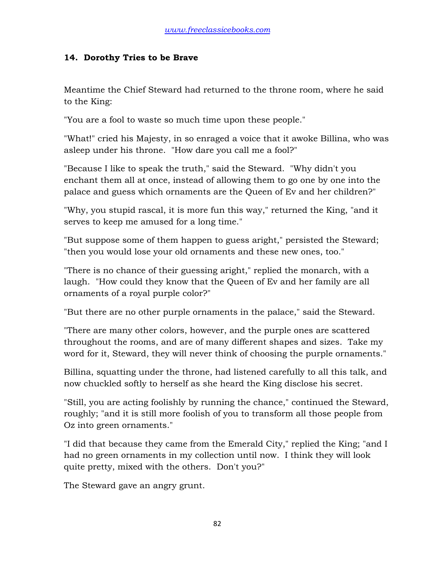### **14. Dorothy Tries to be Brave**

Meantime the Chief Steward had returned to the throne room, where he said to the King:

"You are a fool to waste so much time upon these people."

"What!" cried his Majesty, in so enraged a voice that it awoke Billina, who was asleep under his throne. "How dare you call me a fool?"

"Because I like to speak the truth," said the Steward. "Why didn't you enchant them all at once, instead of allowing them to go one by one into the palace and guess which ornaments are the Queen of Ev and her children?"

"Why, you stupid rascal, it is more fun this way," returned the King, "and it serves to keep me amused for a long time."

"But suppose some of them happen to guess aright," persisted the Steward; "then you would lose your old ornaments and these new ones, too."

"There is no chance of their guessing aright," replied the monarch, with a laugh. "How could they know that the Queen of Ev and her family are all ornaments of a royal purple color?"

"But there are no other purple ornaments in the palace," said the Steward.

"There are many other colors, however, and the purple ones are scattered throughout the rooms, and are of many different shapes and sizes. Take my word for it, Steward, they will never think of choosing the purple ornaments."

Billina, squatting under the throne, had listened carefully to all this talk, and now chuckled softly to herself as she heard the King disclose his secret.

"Still, you are acting foolishly by running the chance," continued the Steward, roughly; "and it is still more foolish of you to transform all those people from Oz into green ornaments."

"I did that because they came from the Emerald City," replied the King; "and I had no green ornaments in my collection until now. I think they will look quite pretty, mixed with the others. Don't you?"

The Steward gave an angry grunt.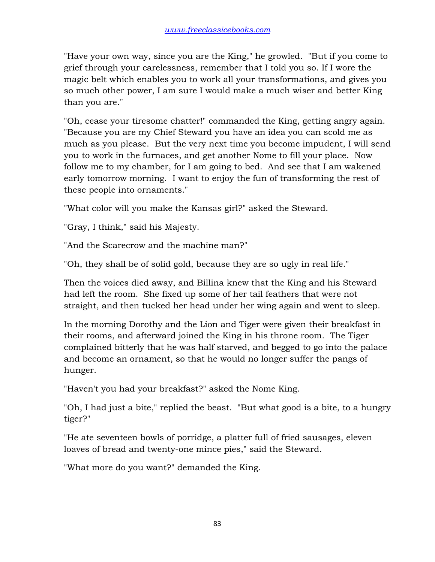"Have your own way, since you are the King," he growled. "But if you come to grief through your carelessness, remember that I told you so. If I wore the magic belt which enables you to work all your transformations, and gives you so much other power, I am sure I would make a much wiser and better King than you are."

"Oh, cease your tiresome chatter!" commanded the King, getting angry again. "Because you are my Chief Steward you have an idea you can scold me as much as you please. But the very next time you become impudent, I will send you to work in the furnaces, and get another Nome to fill your place. Now follow me to my chamber, for I am going to bed. And see that I am wakened early tomorrow morning. I want to enjoy the fun of transforming the rest of these people into ornaments."

"What color will you make the Kansas girl?" asked the Steward.

"Gray, I think," said his Majesty.

"And the Scarecrow and the machine man?"

"Oh, they shall be of solid gold, because they are so ugly in real life."

Then the voices died away, and Billina knew that the King and his Steward had left the room. She fixed up some of her tail feathers that were not straight, and then tucked her head under her wing again and went to sleep.

In the morning Dorothy and the Lion and Tiger were given their breakfast in their rooms, and afterward joined the King in his throne room. The Tiger complained bitterly that he was half starved, and begged to go into the palace and become an ornament, so that he would no longer suffer the pangs of hunger.

"Haven't you had your breakfast?" asked the Nome King.

"Oh, I had just a bite," replied the beast. "But what good is a bite, to a hungry tiger?"

"He ate seventeen bowls of porridge, a platter full of fried sausages, eleven loaves of bread and twenty-one mince pies," said the Steward.

"What more do you want?" demanded the King.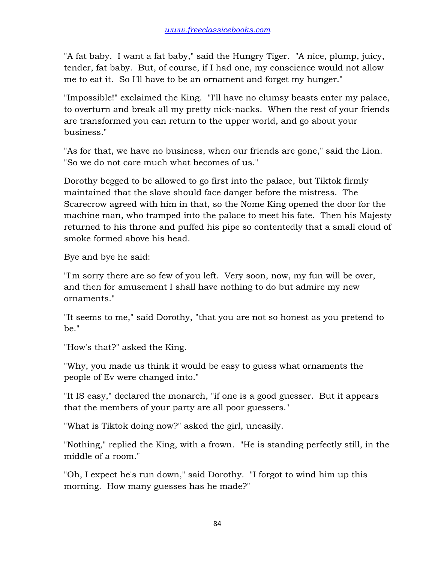"A fat baby. I want a fat baby," said the Hungry Tiger. "A nice, plump, juicy, tender, fat baby. But, of course, if I had one, my conscience would not allow me to eat it. So I'll have to be an ornament and forget my hunger."

"Impossible!" exclaimed the King. "I'll have no clumsy beasts enter my palace, to overturn and break all my pretty nick-nacks. When the rest of your friends are transformed you can return to the upper world, and go about your business."

"As for that, we have no business, when our friends are gone," said the Lion. "So we do not care much what becomes of us."

Dorothy begged to be allowed to go first into the palace, but Tiktok firmly maintained that the slave should face danger before the mistress. The Scarecrow agreed with him in that, so the Nome King opened the door for the machine man, who tramped into the palace to meet his fate. Then his Majesty returned to his throne and puffed his pipe so contentedly that a small cloud of smoke formed above his head.

Bye and bye he said:

"I'm sorry there are so few of you left. Very soon, now, my fun will be over, and then for amusement I shall have nothing to do but admire my new ornaments."

"It seems to me," said Dorothy, "that you are not so honest as you pretend to be."

"How's that?" asked the King.

"Why, you made us think it would be easy to guess what ornaments the people of Ev were changed into."

"It IS easy," declared the monarch, "if one is a good guesser. But it appears that the members of your party are all poor guessers."

"What is Tiktok doing now?" asked the girl, uneasily.

"Nothing," replied the King, with a frown. "He is standing perfectly still, in the middle of a room."

"Oh, I expect he's run down," said Dorothy. "I forgot to wind him up this morning. How many guesses has he made?"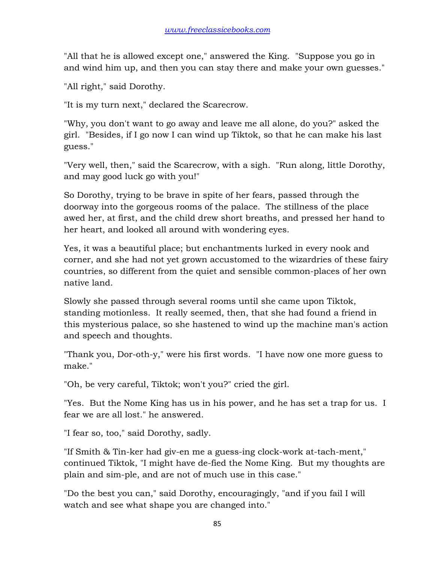"All that he is allowed except one," answered the King. "Suppose you go in and wind him up, and then you can stay there and make your own guesses."

"All right," said Dorothy.

"It is my turn next," declared the Scarecrow.

"Why, you don't want to go away and leave me all alone, do you?" asked the girl. "Besides, if I go now I can wind up Tiktok, so that he can make his last guess."

"Very well, then," said the Scarecrow, with a sigh. "Run along, little Dorothy, and may good luck go with you!"

So Dorothy, trying to be brave in spite of her fears, passed through the doorway into the gorgeous rooms of the palace. The stillness of the place awed her, at first, and the child drew short breaths, and pressed her hand to her heart, and looked all around with wondering eyes.

Yes, it was a beautiful place; but enchantments lurked in every nook and corner, and she had not yet grown accustomed to the wizardries of these fairy countries, so different from the quiet and sensible common-places of her own native land.

Slowly she passed through several rooms until she came upon Tiktok, standing motionless. It really seemed, then, that she had found a friend in this mysterious palace, so she hastened to wind up the machine man's action and speech and thoughts.

"Thank you, Dor-oth-y," were his first words. "I have now one more guess to make."

"Oh, be very careful, Tiktok; won't you?" cried the girl.

"Yes. But the Nome King has us in his power, and he has set a trap for us. I fear we are all lost." he answered.

"I fear so, too," said Dorothy, sadly.

"If Smith & Tin-ker had giv-en me a guess-ing clock-work at-tach-ment," continued Tiktok, "I might have de-fied the Nome King. But my thoughts are plain and sim-ple, and are not of much use in this case."

"Do the best you can," said Dorothy, encouragingly, "and if you fail I will watch and see what shape you are changed into."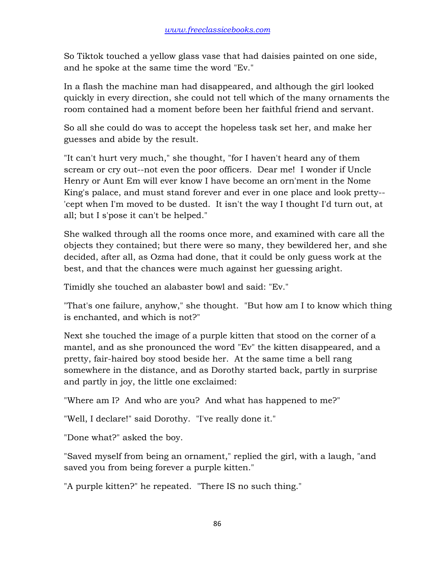So Tiktok touched a yellow glass vase that had daisies painted on one side, and he spoke at the same time the word "Ev."

In a flash the machine man had disappeared, and although the girl looked quickly in every direction, she could not tell which of the many ornaments the room contained had a moment before been her faithful friend and servant.

So all she could do was to accept the hopeless task set her, and make her guesses and abide by the result.

"It can't hurt very much," she thought, "for I haven't heard any of them scream or cry out--not even the poor officers. Dear me! I wonder if Uncle Henry or Aunt Em will ever know I have become an orn'ment in the Nome King's palace, and must stand forever and ever in one place and look pretty-- 'cept when I'm moved to be dusted. It isn't the way I thought I'd turn out, at all; but I s'pose it can't be helped."

She walked through all the rooms once more, and examined with care all the objects they contained; but there were so many, they bewildered her, and she decided, after all, as Ozma had done, that it could be only guess work at the best, and that the chances were much against her guessing aright.

Timidly she touched an alabaster bowl and said: "Ev."

"That's one failure, anyhow," she thought. "But how am I to know which thing is enchanted, and which is not?"

Next she touched the image of a purple kitten that stood on the corner of a mantel, and as she pronounced the word "Ev" the kitten disappeared, and a pretty, fair-haired boy stood beside her. At the same time a bell rang somewhere in the distance, and as Dorothy started back, partly in surprise and partly in joy, the little one exclaimed:

"Where am I? And who are you? And what has happened to me?"

"Well, I declare!" said Dorothy. "I've really done it."

"Done what?" asked the boy.

"Saved myself from being an ornament," replied the girl, with a laugh, "and saved you from being forever a purple kitten."

"A purple kitten?" he repeated. "There IS no such thing."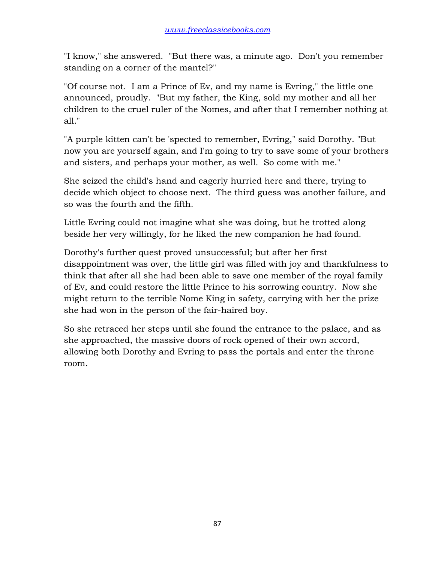"I know," she answered. "But there was, a minute ago. Don't you remember standing on a corner of the mantel?"

"Of course not. I am a Prince of Ev, and my name is Evring," the little one announced, proudly. "But my father, the King, sold my mother and all her children to the cruel ruler of the Nomes, and after that I remember nothing at all."

"A purple kitten can't be 'spected to remember, Evring," said Dorothy. "But now you are yourself again, and I'm going to try to save some of your brothers and sisters, and perhaps your mother, as well. So come with me."

She seized the child's hand and eagerly hurried here and there, trying to decide which object to choose next. The third guess was another failure, and so was the fourth and the fifth.

Little Evring could not imagine what she was doing, but he trotted along beside her very willingly, for he liked the new companion he had found.

Dorothy's further quest proved unsuccessful; but after her first disappointment was over, the little girl was filled with joy and thankfulness to think that after all she had been able to save one member of the royal family of Ev, and could restore the little Prince to his sorrowing country. Now she might return to the terrible Nome King in safety, carrying with her the prize she had won in the person of the fair-haired boy.

So she retraced her steps until she found the entrance to the palace, and as she approached, the massive doors of rock opened of their own accord, allowing both Dorothy and Evring to pass the portals and enter the throne room.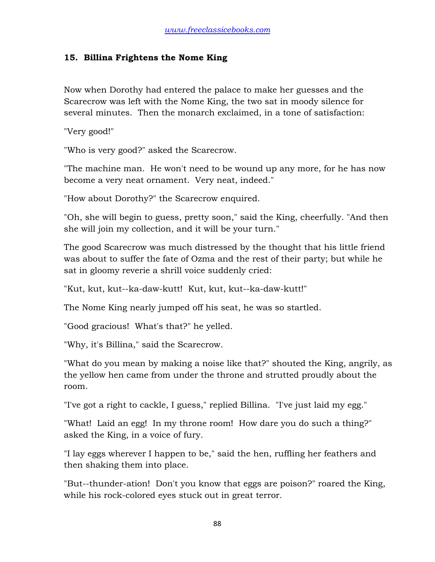### **15. Billina Frightens the Nome King**

Now when Dorothy had entered the palace to make her guesses and the Scarecrow was left with the Nome King, the two sat in moody silence for several minutes. Then the monarch exclaimed, in a tone of satisfaction:

"Very good!"

"Who is very good?" asked the Scarecrow.

"The machine man. He won't need to be wound up any more, for he has now become a very neat ornament. Very neat, indeed."

"How about Dorothy?" the Scarecrow enquired.

"Oh, she will begin to guess, pretty soon," said the King, cheerfully. "And then she will join my collection, and it will be your turn."

The good Scarecrow was much distressed by the thought that his little friend was about to suffer the fate of Ozma and the rest of their party; but while he sat in gloomy reverie a shrill voice suddenly cried:

"Kut, kut, kut--ka-daw-kutt! Kut, kut, kut--ka-daw-kutt!"

The Nome King nearly jumped off his seat, he was so startled.

"Good gracious! What's that?" he yelled.

"Why, it's Billina," said the Scarecrow.

"What do you mean by making a noise like that?" shouted the King, angrily, as the yellow hen came from under the throne and strutted proudly about the room.

"I've got a right to cackle, I guess," replied Billina. "I've just laid my egg."

"What! Laid an egg! In my throne room! How dare you do such a thing?" asked the King, in a voice of fury.

"I lay eggs wherever I happen to be," said the hen, ruffling her feathers and then shaking them into place.

"But--thunder-ation! Don't you know that eggs are poison?" roared the King, while his rock-colored eyes stuck out in great terror.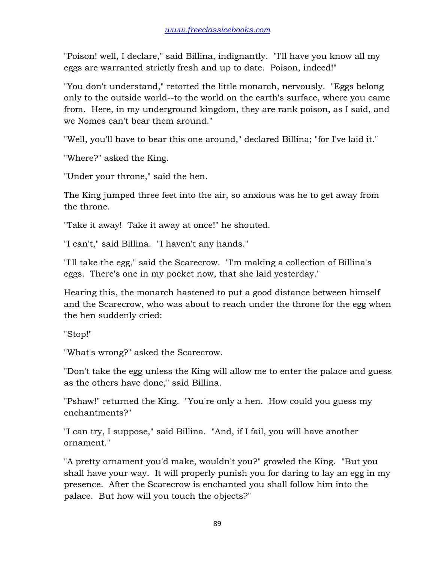"Poison! well, I declare," said Billina, indignantly. "I'll have you know all my eggs are warranted strictly fresh and up to date. Poison, indeed!"

"You don't understand," retorted the little monarch, nervously. "Eggs belong only to the outside world--to the world on the earth's surface, where you came from. Here, in my underground kingdom, they are rank poison, as I said, and we Nomes can't bear them around."

"Well, you'll have to bear this one around," declared Billina; "for I've laid it."

"Where?" asked the King.

"Under your throne," said the hen.

The King jumped three feet into the air, so anxious was he to get away from the throne.

"Take it away! Take it away at once!" he shouted.

"I can't," said Billina. "I haven't any hands."

"I'll take the egg," said the Scarecrow. "I'm making a collection of Billina's eggs. There's one in my pocket now, that she laid yesterday."

Hearing this, the monarch hastened to put a good distance between himself and the Scarecrow, who was about to reach under the throne for the egg when the hen suddenly cried:

"Stop!"

"What's wrong?" asked the Scarecrow.

"Don't take the egg unless the King will allow me to enter the palace and guess as the others have done," said Billina.

"Pshaw!" returned the King. "You're only a hen. How could you guess my enchantments?"

"I can try, I suppose," said Billina. "And, if I fail, you will have another ornament."

"A pretty ornament you'd make, wouldn't you?" growled the King. "But you shall have your way. It will properly punish you for daring to lay an egg in my presence. After the Scarecrow is enchanted you shall follow him into the palace. But how will you touch the objects?"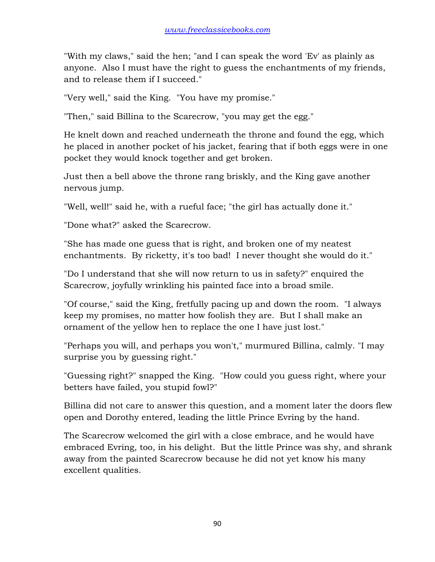"With my claws," said the hen; "and I can speak the word 'Ev' as plainly as anyone. Also I must have the right to guess the enchantments of my friends, and to release them if I succeed."

"Very well," said the King. "You have my promise."

"Then," said Billina to the Scarecrow, "you may get the egg."

He knelt down and reached underneath the throne and found the egg, which he placed in another pocket of his jacket, fearing that if both eggs were in one pocket they would knock together and get broken.

Just then a bell above the throne rang briskly, and the King gave another nervous jump.

"Well, well!" said he, with a rueful face; "the girl has actually done it."

"Done what?" asked the Scarecrow.

"She has made one guess that is right, and broken one of my neatest enchantments. By ricketty, it's too bad! I never thought she would do it."

"Do I understand that she will now return to us in safety?" enquired the Scarecrow, joyfully wrinkling his painted face into a broad smile.

"Of course," said the King, fretfully pacing up and down the room. "I always keep my promises, no matter how foolish they are. But I shall make an ornament of the yellow hen to replace the one I have just lost."

"Perhaps you will, and perhaps you won't," murmured Billina, calmly. "I may surprise you by guessing right."

"Guessing right?" snapped the King. "How could you guess right, where your betters have failed, you stupid fowl?"

Billina did not care to answer this question, and a moment later the doors flew open and Dorothy entered, leading the little Prince Evring by the hand.

The Scarecrow welcomed the girl with a close embrace, and he would have embraced Evring, too, in his delight. But the little Prince was shy, and shrank away from the painted Scarecrow because he did not yet know his many excellent qualities.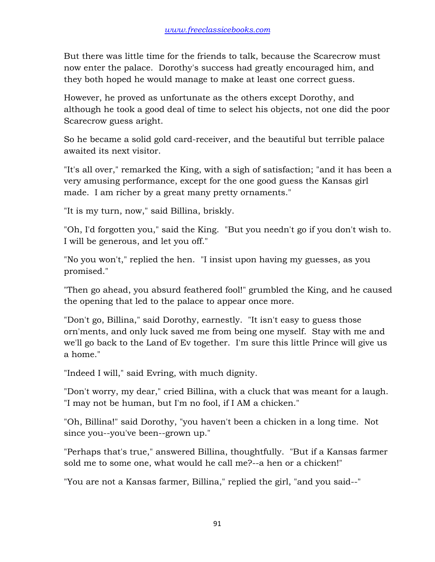But there was little time for the friends to talk, because the Scarecrow must now enter the palace. Dorothy's success had greatly encouraged him, and they both hoped he would manage to make at least one correct guess.

However, he proved as unfortunate as the others except Dorothy, and although he took a good deal of time to select his objects, not one did the poor Scarecrow guess aright.

So he became a solid gold card-receiver, and the beautiful but terrible palace awaited its next visitor.

"It's all over," remarked the King, with a sigh of satisfaction; "and it has been a very amusing performance, except for the one good guess the Kansas girl made. I am richer by a great many pretty ornaments."

"It is my turn, now," said Billina, briskly.

"Oh, I'd forgotten you," said the King. "But you needn't go if you don't wish to. I will be generous, and let you off."

"No you won't," replied the hen. "I insist upon having my guesses, as you promised."

"Then go ahead, you absurd feathered fool!" grumbled the King, and he caused the opening that led to the palace to appear once more.

"Don't go, Billina," said Dorothy, earnestly. "It isn't easy to guess those orn'ments, and only luck saved me from being one myself. Stay with me and we'll go back to the Land of Ev together. I'm sure this little Prince will give us a home."

"Indeed I will," said Evring, with much dignity.

"Don't worry, my dear," cried Billina, with a cluck that was meant for a laugh. "I may not be human, but I'm no fool, if I AM a chicken."

"Oh, Billina!" said Dorothy, "you haven't been a chicken in a long time. Not since you--you've been--grown up."

"Perhaps that's true," answered Billina, thoughtfully. "But if a Kansas farmer sold me to some one, what would he call me?--a hen or a chicken!"

"You are not a Kansas farmer, Billina," replied the girl, "and you said--"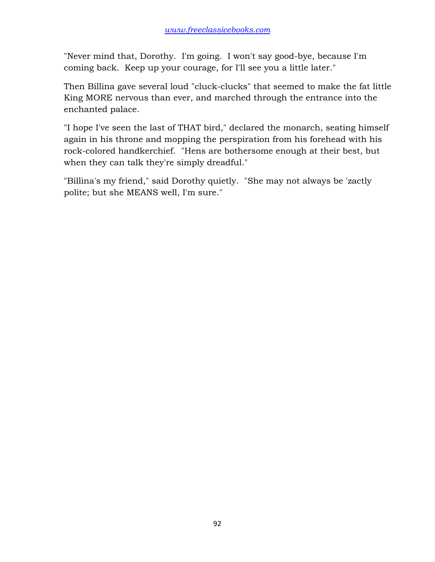"Never mind that, Dorothy. I'm going. I won't say good-bye, because I'm coming back. Keep up your courage, for I'll see you a little later."

Then Billina gave several loud "cluck-clucks" that seemed to make the fat little King MORE nervous than ever, and marched through the entrance into the enchanted palace.

"I hope I've seen the last of THAT bird," declared the monarch, seating himself again in his throne and mopping the perspiration from his forehead with his rock-colored handkerchief. "Hens are bothersome enough at their best, but when they can talk they're simply dreadful."

"Billina's my friend," said Dorothy quietly. "She may not always be 'zactly polite; but she MEANS well, I'm sure."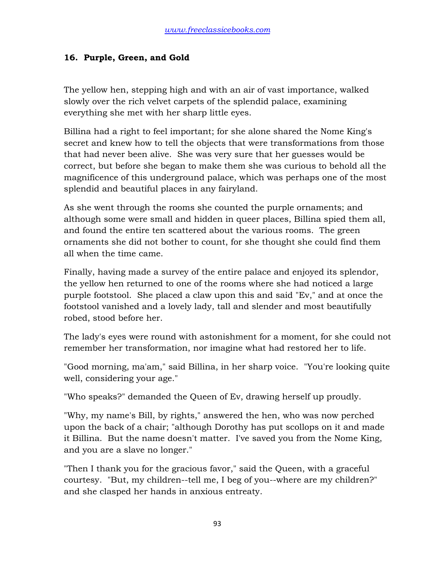## **16. Purple, Green, and Gold**

The yellow hen, stepping high and with an air of vast importance, walked slowly over the rich velvet carpets of the splendid palace, examining everything she met with her sharp little eyes.

Billina had a right to feel important; for she alone shared the Nome King's secret and knew how to tell the objects that were transformations from those that had never been alive. She was very sure that her guesses would be correct, but before she began to make them she was curious to behold all the magnificence of this underground palace, which was perhaps one of the most splendid and beautiful places in any fairyland.

As she went through the rooms she counted the purple ornaments; and although some were small and hidden in queer places, Billina spied them all, and found the entire ten scattered about the various rooms. The green ornaments she did not bother to count, for she thought she could find them all when the time came.

Finally, having made a survey of the entire palace and enjoyed its splendor, the yellow hen returned to one of the rooms where she had noticed a large purple footstool. She placed a claw upon this and said "Ev," and at once the footstool vanished and a lovely lady, tall and slender and most beautifully robed, stood before her.

The lady's eyes were round with astonishment for a moment, for she could not remember her transformation, nor imagine what had restored her to life.

"Good morning, ma'am," said Billina, in her sharp voice. "You're looking quite well, considering your age."

"Who speaks?" demanded the Queen of Ev, drawing herself up proudly.

"Why, my name's Bill, by rights," answered the hen, who was now perched upon the back of a chair; "although Dorothy has put scollops on it and made it Billina. But the name doesn't matter. I've saved you from the Nome King, and you are a slave no longer."

"Then I thank you for the gracious favor," said the Queen, with a graceful courtesy. "But, my children--tell me, I beg of you--where are my children?" and she clasped her hands in anxious entreaty.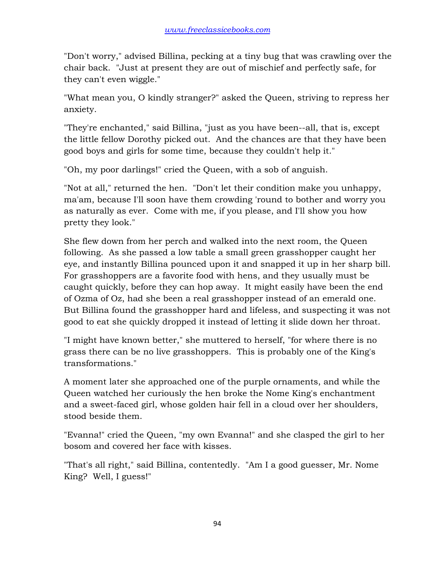"Don't worry," advised Billina, pecking at a tiny bug that was crawling over the chair back. "Just at present they are out of mischief and perfectly safe, for they can't even wiggle."

"What mean you, O kindly stranger?" asked the Queen, striving to repress her anxiety.

"They're enchanted," said Billina, "just as you have been--all, that is, except the little fellow Dorothy picked out. And the chances are that they have been good boys and girls for some time, because they couldn't help it."

"Oh, my poor darlings!" cried the Queen, with a sob of anguish.

"Not at all," returned the hen. "Don't let their condition make you unhappy, ma'am, because I'll soon have them crowding 'round to bother and worry you as naturally as ever. Come with me, if you please, and I'll show you how pretty they look."

She flew down from her perch and walked into the next room, the Queen following. As she passed a low table a small green grasshopper caught her eye, and instantly Billina pounced upon it and snapped it up in her sharp bill. For grasshoppers are a favorite food with hens, and they usually must be caught quickly, before they can hop away. It might easily have been the end of Ozma of Oz, had she been a real grasshopper instead of an emerald one. But Billina found the grasshopper hard and lifeless, and suspecting it was not good to eat she quickly dropped it instead of letting it slide down her throat.

"I might have known better," she muttered to herself, "for where there is no grass there can be no live grasshoppers. This is probably one of the King's transformations."

A moment later she approached one of the purple ornaments, and while the Queen watched her curiously the hen broke the Nome King's enchantment and a sweet-faced girl, whose golden hair fell in a cloud over her shoulders, stood beside them.

"Evanna!" cried the Queen, "my own Evanna!" and she clasped the girl to her bosom and covered her face with kisses.

"That's all right," said Billina, contentedly. "Am I a good guesser, Mr. Nome King? Well, I guess!"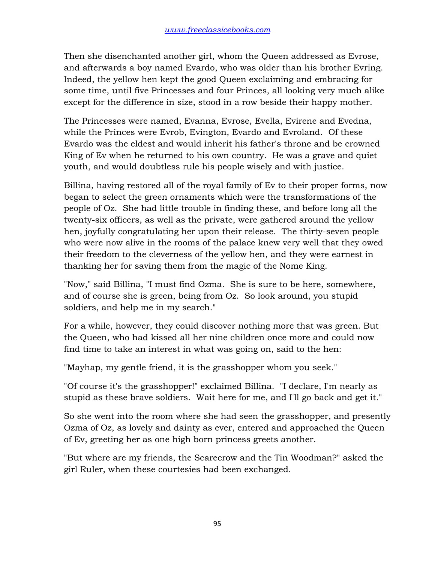Then she disenchanted another girl, whom the Queen addressed as Evrose, and afterwards a boy named Evardo, who was older than his brother Evring. Indeed, the yellow hen kept the good Queen exclaiming and embracing for some time, until five Princesses and four Princes, all looking very much alike except for the difference in size, stood in a row beside their happy mother.

The Princesses were named, Evanna, Evrose, Evella, Evirene and Evedna, while the Princes were Evrob, Evington, Evardo and Evroland. Of these Evardo was the eldest and would inherit his father's throne and be crowned King of Ev when he returned to his own country. He was a grave and quiet youth, and would doubtless rule his people wisely and with justice.

Billina, having restored all of the royal family of Ev to their proper forms, now began to select the green ornaments which were the transformations of the people of Oz. She had little trouble in finding these, and before long all the twenty-six officers, as well as the private, were gathered around the yellow hen, joyfully congratulating her upon their release. The thirty-seven people who were now alive in the rooms of the palace knew very well that they owed their freedom to the cleverness of the yellow hen, and they were earnest in thanking her for saving them from the magic of the Nome King.

"Now," said Billina, "I must find Ozma. She is sure to be here, somewhere, and of course she is green, being from Oz. So look around, you stupid soldiers, and help me in my search."

For a while, however, they could discover nothing more that was green. But the Queen, who had kissed all her nine children once more and could now find time to take an interest in what was going on, said to the hen:

"Mayhap, my gentle friend, it is the grasshopper whom you seek."

"Of course it's the grasshopper!" exclaimed Billina. "I declare, I'm nearly as stupid as these brave soldiers. Wait here for me, and I'll go back and get it."

So she went into the room where she had seen the grasshopper, and presently Ozma of Oz, as lovely and dainty as ever, entered and approached the Queen of Ev, greeting her as one high born princess greets another.

"But where are my friends, the Scarecrow and the Tin Woodman?" asked the girl Ruler, when these courtesies had been exchanged.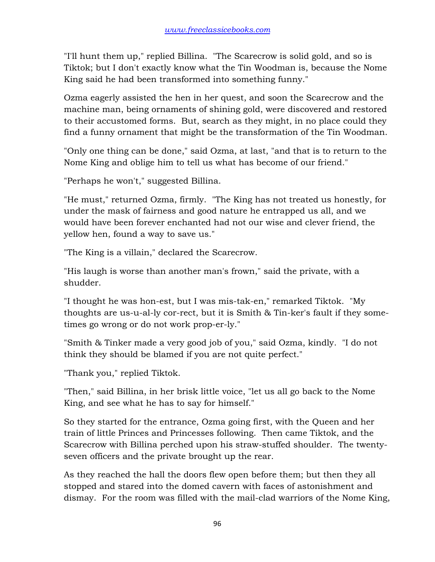"I'll hunt them up," replied Billina. "The Scarecrow is solid gold, and so is Tiktok; but I don't exactly know what the Tin Woodman is, because the Nome King said he had been transformed into something funny."

Ozma eagerly assisted the hen in her quest, and soon the Scarecrow and the machine man, being ornaments of shining gold, were discovered and restored to their accustomed forms. But, search as they might, in no place could they find a funny ornament that might be the transformation of the Tin Woodman.

"Only one thing can be done," said Ozma, at last, "and that is to return to the Nome King and oblige him to tell us what has become of our friend."

"Perhaps he won't," suggested Billina.

"He must," returned Ozma, firmly. "The King has not treated us honestly, for under the mask of fairness and good nature he entrapped us all, and we would have been forever enchanted had not our wise and clever friend, the yellow hen, found a way to save us."

"The King is a villain," declared the Scarecrow.

"His laugh is worse than another man's frown," said the private, with a shudder.

"I thought he was hon-est, but I was mis-tak-en," remarked Tiktok. "My thoughts are us-u-al-ly cor-rect, but it is Smith & Tin-ker's fault if they sometimes go wrong or do not work prop-er-ly."

"Smith & Tinker made a very good job of you," said Ozma, kindly. "I do not think they should be blamed if you are not quite perfect."

"Thank you," replied Tiktok.

"Then," said Billina, in her brisk little voice, "let us all go back to the Nome King, and see what he has to say for himself."

So they started for the entrance, Ozma going first, with the Queen and her train of little Princes and Princesses following. Then came Tiktok, and the Scarecrow with Billina perched upon his straw-stuffed shoulder. The twentyseven officers and the private brought up the rear.

As they reached the hall the doors flew open before them; but then they all stopped and stared into the domed cavern with faces of astonishment and dismay. For the room was filled with the mail-clad warriors of the Nome King,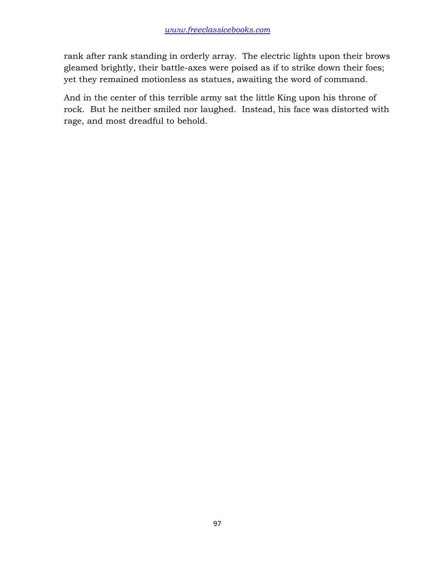rank after rank standing in orderly array. The electric lights upon their brows gleamed brightly, their battle-axes were poised as if to strike down their foes; yet they remained motionless as statues, awaiting the word of command.

And in the center of this terrible army sat the little King upon his throne of rock. But he neither smiled nor laughed. Instead, his face was distorted with rage, and most dreadful to behold.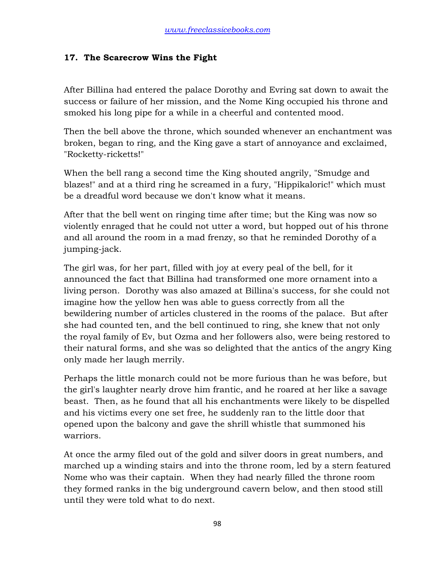### **17. The Scarecrow Wins the Fight**

After Billina had entered the palace Dorothy and Evring sat down to await the success or failure of her mission, and the Nome King occupied his throne and smoked his long pipe for a while in a cheerful and contented mood.

Then the bell above the throne, which sounded whenever an enchantment was broken, began to ring, and the King gave a start of annoyance and exclaimed, "Rocketty-ricketts!"

When the bell rang a second time the King shouted angrily, "Smudge and blazes!" and at a third ring he screamed in a fury, "Hippikaloric!" which must be a dreadful word because we don't know what it means.

After that the bell went on ringing time after time; but the King was now so violently enraged that he could not utter a word, but hopped out of his throne and all around the room in a mad frenzy, so that he reminded Dorothy of a jumping-jack.

The girl was, for her part, filled with joy at every peal of the bell, for it announced the fact that Billina had transformed one more ornament into a living person. Dorothy was also amazed at Billina's success, for she could not imagine how the yellow hen was able to guess correctly from all the bewildering number of articles clustered in the rooms of the palace. But after she had counted ten, and the bell continued to ring, she knew that not only the royal family of Ev, but Ozma and her followers also, were being restored to their natural forms, and she was so delighted that the antics of the angry King only made her laugh merrily.

Perhaps the little monarch could not be more furious than he was before, but the girl's laughter nearly drove him frantic, and he roared at her like a savage beast. Then, as he found that all his enchantments were likely to be dispelled and his victims every one set free, he suddenly ran to the little door that opened upon the balcony and gave the shrill whistle that summoned his warriors.

At once the army filed out of the gold and silver doors in great numbers, and marched up a winding stairs and into the throne room, led by a stern featured Nome who was their captain. When they had nearly filled the throne room they formed ranks in the big underground cavern below, and then stood still until they were told what to do next.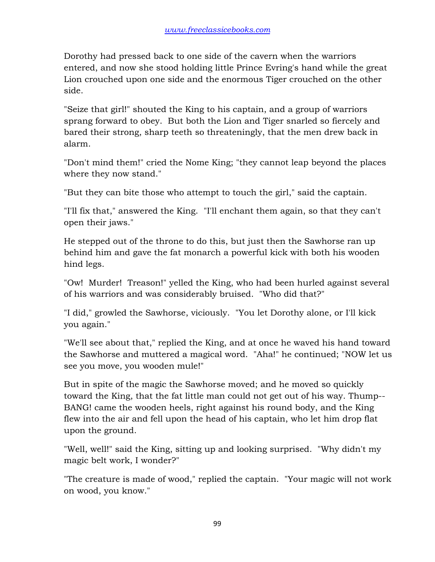Dorothy had pressed back to one side of the cavern when the warriors entered, and now she stood holding little Prince Evring's hand while the great Lion crouched upon one side and the enormous Tiger crouched on the other side.

"Seize that girl!" shouted the King to his captain, and a group of warriors sprang forward to obey. But both the Lion and Tiger snarled so fiercely and bared their strong, sharp teeth so threateningly, that the men drew back in alarm.

"Don't mind them!" cried the Nome King; "they cannot leap beyond the places where they now stand."

"But they can bite those who attempt to touch the girl," said the captain.

"I'll fix that," answered the King. "I'll enchant them again, so that they can't open their jaws."

He stepped out of the throne to do this, but just then the Sawhorse ran up behind him and gave the fat monarch a powerful kick with both his wooden hind legs.

"Ow! Murder! Treason!" yelled the King, who had been hurled against several of his warriors and was considerably bruised. "Who did that?"

"I did," growled the Sawhorse, viciously. "You let Dorothy alone, or I'll kick you again."

"We'll see about that," replied the King, and at once he waved his hand toward the Sawhorse and muttered a magical word. "Aha!" he continued; "NOW let us see you move, you wooden mule!"

But in spite of the magic the Sawhorse moved; and he moved so quickly toward the King, that the fat little man could not get out of his way. Thump-- BANG! came the wooden heels, right against his round body, and the King flew into the air and fell upon the head of his captain, who let him drop flat upon the ground.

"Well, well!" said the King, sitting up and looking surprised. "Why didn't my magic belt work, I wonder?"

"The creature is made of wood," replied the captain. "Your magic will not work on wood, you know."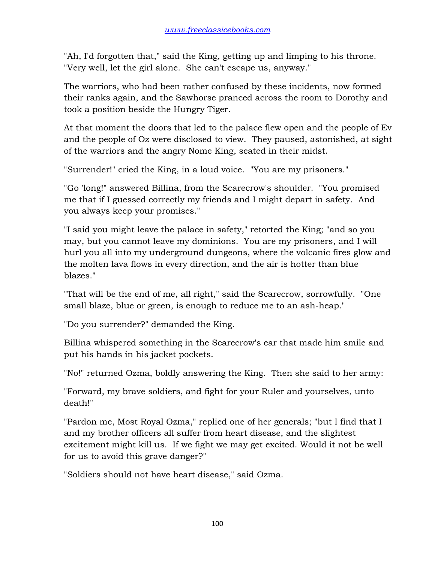"Ah, I'd forgotten that," said the King, getting up and limping to his throne. "Very well, let the girl alone. She can't escape us, anyway."

The warriors, who had been rather confused by these incidents, now formed their ranks again, and the Sawhorse pranced across the room to Dorothy and took a position beside the Hungry Tiger.

At that moment the doors that led to the palace flew open and the people of Ev and the people of Oz were disclosed to view. They paused, astonished, at sight of the warriors and the angry Nome King, seated in their midst.

"Surrender!" cried the King, in a loud voice. "You are my prisoners."

"Go 'long!" answered Billina, from the Scarecrow's shoulder. "You promised me that if I guessed correctly my friends and I might depart in safety. And you always keep your promises."

"I said you might leave the palace in safety," retorted the King; "and so you may, but you cannot leave my dominions. You are my prisoners, and I will hurl you all into my underground dungeons, where the volcanic fires glow and the molten lava flows in every direction, and the air is hotter than blue blazes."

"That will be the end of me, all right," said the Scarecrow, sorrowfully. "One small blaze, blue or green, is enough to reduce me to an ash-heap."

"Do you surrender?" demanded the King.

Billina whispered something in the Scarecrow's ear that made him smile and put his hands in his jacket pockets.

"No!" returned Ozma, boldly answering the King. Then she said to her army:

"Forward, my brave soldiers, and fight for your Ruler and yourselves, unto death!"

"Pardon me, Most Royal Ozma," replied one of her generals; "but I find that I and my brother officers all suffer from heart disease, and the slightest excitement might kill us. If we fight we may get excited. Would it not be well for us to avoid this grave danger?"

"Soldiers should not have heart disease," said Ozma.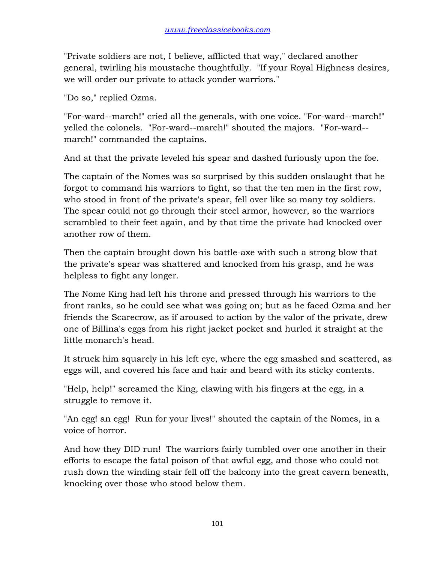"Private soldiers are not, I believe, afflicted that way," declared another general, twirling his moustache thoughtfully. "If your Royal Highness desires, we will order our private to attack yonder warriors."

"Do so," replied Ozma.

"For-ward--march!" cried all the generals, with one voice. "For-ward--march!" yelled the colonels. "For-ward--march!" shouted the majors. "For-ward- march!" commanded the captains.

And at that the private leveled his spear and dashed furiously upon the foe.

The captain of the Nomes was so surprised by this sudden onslaught that he forgot to command his warriors to fight, so that the ten men in the first row, who stood in front of the private's spear, fell over like so many toy soldiers. The spear could not go through their steel armor, however, so the warriors scrambled to their feet again, and by that time the private had knocked over another row of them.

Then the captain brought down his battle-axe with such a strong blow that the private's spear was shattered and knocked from his grasp, and he was helpless to fight any longer.

The Nome King had left his throne and pressed through his warriors to the front ranks, so he could see what was going on; but as he faced Ozma and her friends the Scarecrow, as if aroused to action by the valor of the private, drew one of Billina's eggs from his right jacket pocket and hurled it straight at the little monarch's head.

It struck him squarely in his left eye, where the egg smashed and scattered, as eggs will, and covered his face and hair and beard with its sticky contents.

"Help, help!" screamed the King, clawing with his fingers at the egg, in a struggle to remove it.

"An egg! an egg! Run for your lives!" shouted the captain of the Nomes, in a voice of horror.

And how they DID run! The warriors fairly tumbled over one another in their efforts to escape the fatal poison of that awful egg, and those who could not rush down the winding stair fell off the balcony into the great cavern beneath, knocking over those who stood below them.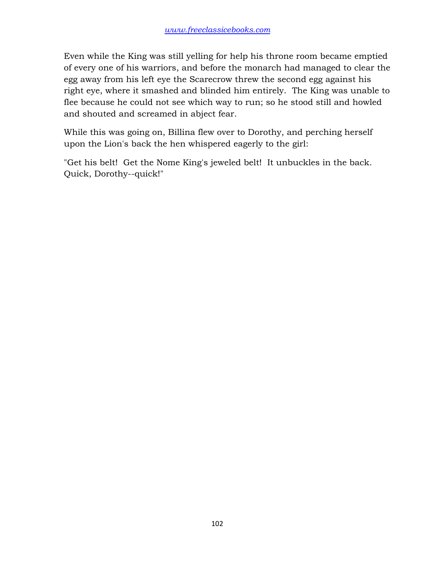Even while the King was still yelling for help his throne room became emptied of every one of his warriors, and before the monarch had managed to clear the egg away from his left eye the Scarecrow threw the second egg against his right eye, where it smashed and blinded him entirely. The King was unable to flee because he could not see which way to run; so he stood still and howled and shouted and screamed in abject fear.

While this was going on, Billina flew over to Dorothy, and perching herself upon the Lion's back the hen whispered eagerly to the girl:

"Get his belt! Get the Nome King's jeweled belt! It unbuckles in the back. Quick, Dorothy--quick!"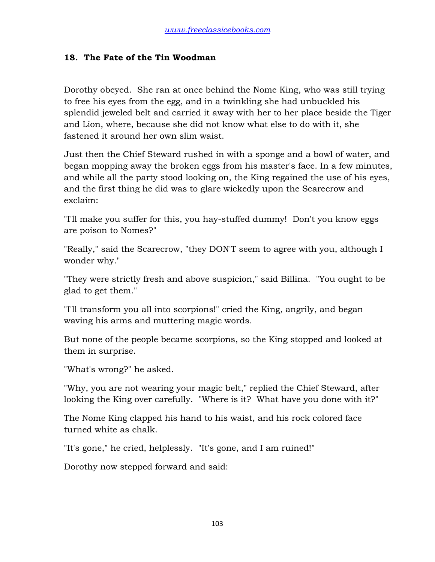#### **18. The Fate of the Tin Woodman**

Dorothy obeyed. She ran at once behind the Nome King, who was still trying to free his eyes from the egg, and in a twinkling she had unbuckled his splendid jeweled belt and carried it away with her to her place beside the Tiger and Lion, where, because she did not know what else to do with it, she fastened it around her own slim waist.

Just then the Chief Steward rushed in with a sponge and a bowl of water, and began mopping away the broken eggs from his master's face. In a few minutes, and while all the party stood looking on, the King regained the use of his eyes, and the first thing he did was to glare wickedly upon the Scarecrow and exclaim:

"I'll make you suffer for this, you hay-stuffed dummy! Don't you know eggs are poison to Nomes?"

"Really," said the Scarecrow, "they DON'T seem to agree with you, although I wonder why."

"They were strictly fresh and above suspicion," said Billina. "You ought to be glad to get them."

"I'll transform you all into scorpions!" cried the King, angrily, and began waving his arms and muttering magic words.

But none of the people became scorpions, so the King stopped and looked at them in surprise.

"What's wrong?" he asked.

"Why, you are not wearing your magic belt," replied the Chief Steward, after looking the King over carefully. "Where is it? What have you done with it?"

The Nome King clapped his hand to his waist, and his rock colored face turned white as chalk.

"It's gone," he cried, helplessly. "It's gone, and I am ruined!"

Dorothy now stepped forward and said: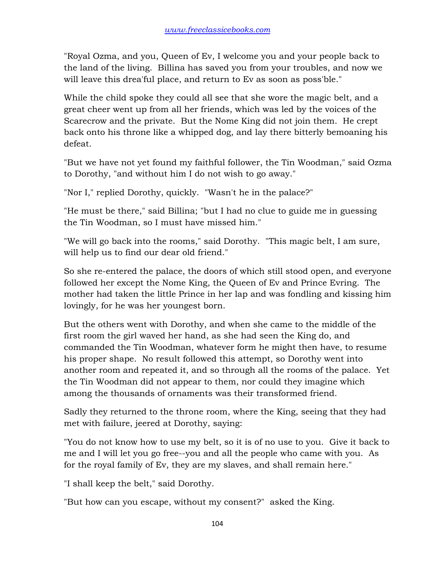"Royal Ozma, and you, Queen of Ev, I welcome you and your people back to the land of the living. Billina has saved you from your troubles, and now we will leave this drea'ful place, and return to Ev as soon as poss'ble."

While the child spoke they could all see that she wore the magic belt, and a great cheer went up from all her friends, which was led by the voices of the Scarecrow and the private. But the Nome King did not join them. He crept back onto his throne like a whipped dog, and lay there bitterly bemoaning his defeat.

"But we have not yet found my faithful follower, the Tin Woodman," said Ozma to Dorothy, "and without him I do not wish to go away."

"Nor I," replied Dorothy, quickly. "Wasn't he in the palace?"

"He must be there," said Billina; "but I had no clue to guide me in guessing the Tin Woodman, so I must have missed him."

"We will go back into the rooms," said Dorothy. "This magic belt, I am sure, will help us to find our dear old friend."

So she re-entered the palace, the doors of which still stood open, and everyone followed her except the Nome King, the Queen of Ev and Prince Evring. The mother had taken the little Prince in her lap and was fondling and kissing him lovingly, for he was her youngest born.

But the others went with Dorothy, and when she came to the middle of the first room the girl waved her hand, as she had seen the King do, and commanded the Tin Woodman, whatever form he might then have, to resume his proper shape. No result followed this attempt, so Dorothy went into another room and repeated it, and so through all the rooms of the palace. Yet the Tin Woodman did not appear to them, nor could they imagine which among the thousands of ornaments was their transformed friend.

Sadly they returned to the throne room, where the King, seeing that they had met with failure, jeered at Dorothy, saying:

"You do not know how to use my belt, so it is of no use to you. Give it back to me and I will let you go free--you and all the people who came with you. As for the royal family of Ev, they are my slaves, and shall remain here."

"I shall keep the belt," said Dorothy.

"But how can you escape, without my consent?" asked the King.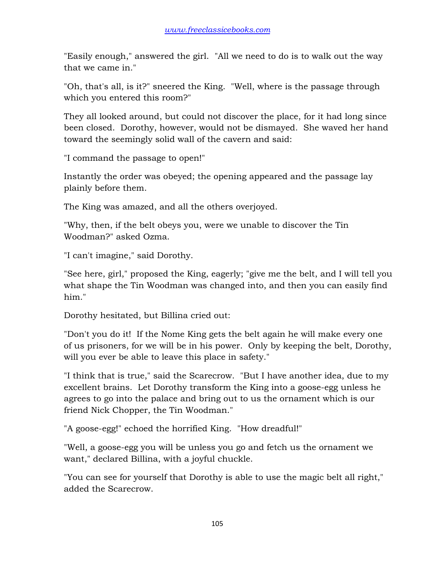"Easily enough," answered the girl. "All we need to do is to walk out the way that we came in."

"Oh, that's all, is it?" sneered the King. "Well, where is the passage through which you entered this room?"

They all looked around, but could not discover the place, for it had long since been closed. Dorothy, however, would not be dismayed. She waved her hand toward the seemingly solid wall of the cavern and said:

"I command the passage to open!"

Instantly the order was obeyed; the opening appeared and the passage lay plainly before them.

The King was amazed, and all the others overjoyed.

"Why, then, if the belt obeys you, were we unable to discover the Tin Woodman?" asked Ozma.

"I can't imagine," said Dorothy.

"See here, girl," proposed the King, eagerly; "give me the belt, and I will tell you what shape the Tin Woodman was changed into, and then you can easily find him."

Dorothy hesitated, but Billina cried out:

"Don't you do it! If the Nome King gets the belt again he will make every one of us prisoners, for we will be in his power. Only by keeping the belt, Dorothy, will you ever be able to leave this place in safety."

"I think that is true," said the Scarecrow. "But I have another idea, due to my excellent brains. Let Dorothy transform the King into a goose-egg unless he agrees to go into the palace and bring out to us the ornament which is our friend Nick Chopper, the Tin Woodman."

"A goose-egg!" echoed the horrified King. "How dreadful!"

"Well, a goose-egg you will be unless you go and fetch us the ornament we want," declared Billina, with a joyful chuckle.

"You can see for yourself that Dorothy is able to use the magic belt all right," added the Scarecrow.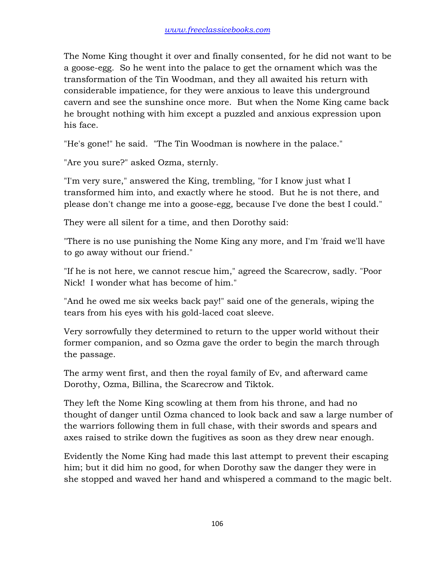The Nome King thought it over and finally consented, for he did not want to be a goose-egg. So he went into the palace to get the ornament which was the transformation of the Tin Woodman, and they all awaited his return with considerable impatience, for they were anxious to leave this underground cavern and see the sunshine once more. But when the Nome King came back he brought nothing with him except a puzzled and anxious expression upon his face.

"He's gone!" he said. "The Tin Woodman is nowhere in the palace."

"Are you sure?" asked Ozma, sternly.

"I'm very sure," answered the King, trembling, "for I know just what I transformed him into, and exactly where he stood. But he is not there, and please don't change me into a goose-egg, because I've done the best I could."

They were all silent for a time, and then Dorothy said:

"There is no use punishing the Nome King any more, and I'm 'fraid we'll have to go away without our friend."

"If he is not here, we cannot rescue him," agreed the Scarecrow, sadly. "Poor Nick! I wonder what has become of him."

"And he owed me six weeks back pay!" said one of the generals, wiping the tears from his eyes with his gold-laced coat sleeve.

Very sorrowfully they determined to return to the upper world without their former companion, and so Ozma gave the order to begin the march through the passage.

The army went first, and then the royal family of Ev, and afterward came Dorothy, Ozma, Billina, the Scarecrow and Tiktok.

They left the Nome King scowling at them from his throne, and had no thought of danger until Ozma chanced to look back and saw a large number of the warriors following them in full chase, with their swords and spears and axes raised to strike down the fugitives as soon as they drew near enough.

Evidently the Nome King had made this last attempt to prevent their escaping him; but it did him no good, for when Dorothy saw the danger they were in she stopped and waved her hand and whispered a command to the magic belt.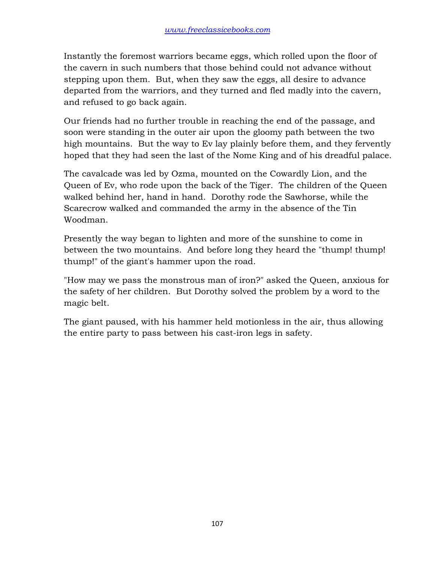Instantly the foremost warriors became eggs, which rolled upon the floor of the cavern in such numbers that those behind could not advance without stepping upon them. But, when they saw the eggs, all desire to advance departed from the warriors, and they turned and fled madly into the cavern, and refused to go back again.

Our friends had no further trouble in reaching the end of the passage, and soon were standing in the outer air upon the gloomy path between the two high mountains. But the way to Ev lay plainly before them, and they fervently hoped that they had seen the last of the Nome King and of his dreadful palace.

The cavalcade was led by Ozma, mounted on the Cowardly Lion, and the Queen of Ev, who rode upon the back of the Tiger. The children of the Queen walked behind her, hand in hand. Dorothy rode the Sawhorse, while the Scarecrow walked and commanded the army in the absence of the Tin Woodman.

Presently the way began to lighten and more of the sunshine to come in between the two mountains. And before long they heard the "thump! thump! thump!" of the giant's hammer upon the road.

"How may we pass the monstrous man of iron?" asked the Queen, anxious for the safety of her children. But Dorothy solved the problem by a word to the magic belt.

The giant paused, with his hammer held motionless in the air, thus allowing the entire party to pass between his cast-iron legs in safety.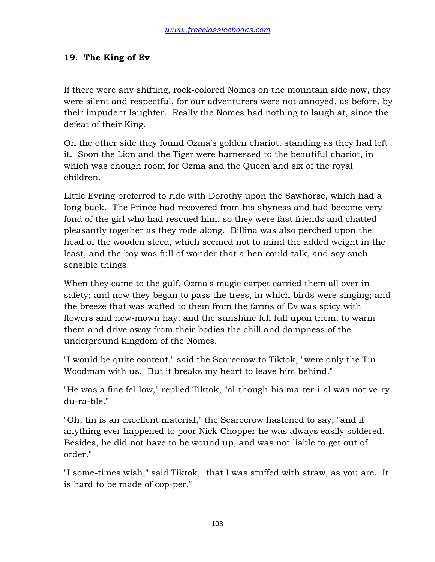# **19. The King of Ev**

If there were any shifting, rock-colored Nomes on the mountain side now, they were silent and respectful, for our adventurers were not annoyed, as before, by their impudent laughter. Really the Nomes had nothing to laugh at, since the defeat of their King.

On the other side they found Ozma's golden chariot, standing as they had left it. Soon the Lion and the Tiger were harnessed to the beautiful chariot, in which was enough room for Ozma and the Queen and six of the royal children.

Little Evring preferred to ride with Dorothy upon the Sawhorse, which had a long back. The Prince had recovered from his shyness and had become very fond of the girl who had rescued him, so they were fast friends and chatted pleasantly together as they rode along. Billina was also perched upon the head of the wooden steed, which seemed not to mind the added weight in the least, and the boy was full of wonder that a hen could talk, and say such sensible things.

When they came to the gulf, Ozma's magic carpet carried them all over in safety; and now they began to pass the trees, in which birds were singing; and the breeze that was wafted to them from the farms of Ev was spicy with flowers and new-mown hay; and the sunshine fell full upon them, to warm them and drive away from their bodies the chill and dampness of the underground kingdom of the Nomes.

"I would be quite content," said the Scarecrow to Tiktok, "were only the Tin Woodman with us. But it breaks my heart to leave him behind."

"He was a fine fel-low," replied Tiktok, "al-though his ma-ter-i-al was not ve-ry du-ra-ble."

"Oh, tin is an excellent material," the Scarecrow hastened to say; "and if anything ever happened to poor Nick Chopper he was always easily soldered. Besides, he did not have to be wound up, and was not liable to get out of order."

"I some-times wish," said Tiktok, "that I was stuffed with straw, as you are. It is hard to be made of cop-per."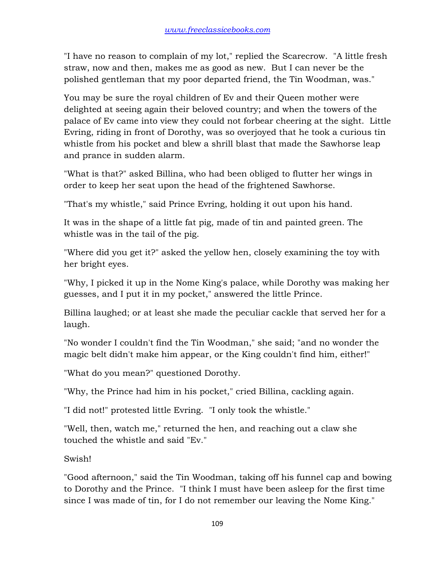"I have no reason to complain of my lot," replied the Scarecrow. "A little fresh straw, now and then, makes me as good as new. But I can never be the polished gentleman that my poor departed friend, the Tin Woodman, was."

You may be sure the royal children of Ev and their Queen mother were delighted at seeing again their beloved country; and when the towers of the palace of Ev came into view they could not forbear cheering at the sight. Little Evring, riding in front of Dorothy, was so overjoyed that he took a curious tin whistle from his pocket and blew a shrill blast that made the Sawhorse leap and prance in sudden alarm.

"What is that?" asked Billina, who had been obliged to flutter her wings in order to keep her seat upon the head of the frightened Sawhorse.

"That's my whistle," said Prince Evring, holding it out upon his hand.

It was in the shape of a little fat pig, made of tin and painted green. The whistle was in the tail of the pig.

"Where did you get it?" asked the yellow hen, closely examining the toy with her bright eyes.

"Why, I picked it up in the Nome King's palace, while Dorothy was making her guesses, and I put it in my pocket," answered the little Prince.

Billina laughed; or at least she made the peculiar cackle that served her for a laugh.

"No wonder I couldn't find the Tin Woodman," she said; "and no wonder the magic belt didn't make him appear, or the King couldn't find him, either!"

"What do you mean?" questioned Dorothy.

"Why, the Prince had him in his pocket," cried Billina, cackling again.

"I did not!" protested little Evring. "I only took the whistle."

"Well, then, watch me," returned the hen, and reaching out a claw she touched the whistle and said "Ev."

Swish!

"Good afternoon," said the Tin Woodman, taking off his funnel cap and bowing to Dorothy and the Prince. "I think I must have been asleep for the first time since I was made of tin, for I do not remember our leaving the Nome King."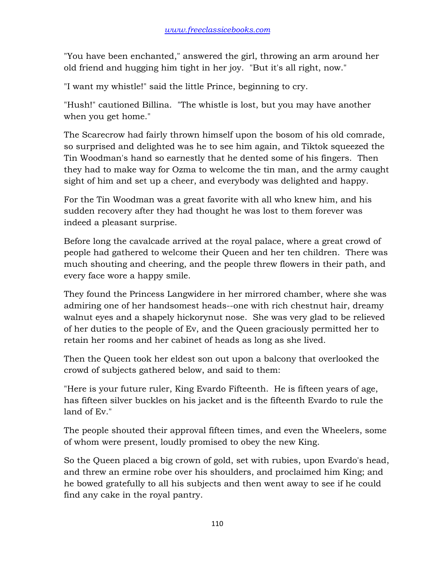"You have been enchanted," answered the girl, throwing an arm around her old friend and hugging him tight in her joy. "But it's all right, now."

"I want my whistle!" said the little Prince, beginning to cry.

"Hush!" cautioned Billina. "The whistle is lost, but you may have another when you get home."

The Scarecrow had fairly thrown himself upon the bosom of his old comrade, so surprised and delighted was he to see him again, and Tiktok squeezed the Tin Woodman's hand so earnestly that he dented some of his fingers. Then they had to make way for Ozma to welcome the tin man, and the army caught sight of him and set up a cheer, and everybody was delighted and happy.

For the Tin Woodman was a great favorite with all who knew him, and his sudden recovery after they had thought he was lost to them forever was indeed a pleasant surprise.

Before long the cavalcade arrived at the royal palace, where a great crowd of people had gathered to welcome their Queen and her ten children. There was much shouting and cheering, and the people threw flowers in their path, and every face wore a happy smile.

They found the Princess Langwidere in her mirrored chamber, where she was admiring one of her handsomest heads--one with rich chestnut hair, dreamy walnut eyes and a shapely hickorynut nose. She was very glad to be relieved of her duties to the people of Ev, and the Queen graciously permitted her to retain her rooms and her cabinet of heads as long as she lived.

Then the Queen took her eldest son out upon a balcony that overlooked the crowd of subjects gathered below, and said to them:

"Here is your future ruler, King Evardo Fifteenth. He is fifteen years of age, has fifteen silver buckles on his jacket and is the fifteenth Evardo to rule the land of Ev."

The people shouted their approval fifteen times, and even the Wheelers, some of whom were present, loudly promised to obey the new King.

So the Queen placed a big crown of gold, set with rubies, upon Evardo's head, and threw an ermine robe over his shoulders, and proclaimed him King; and he bowed gratefully to all his subjects and then went away to see if he could find any cake in the royal pantry.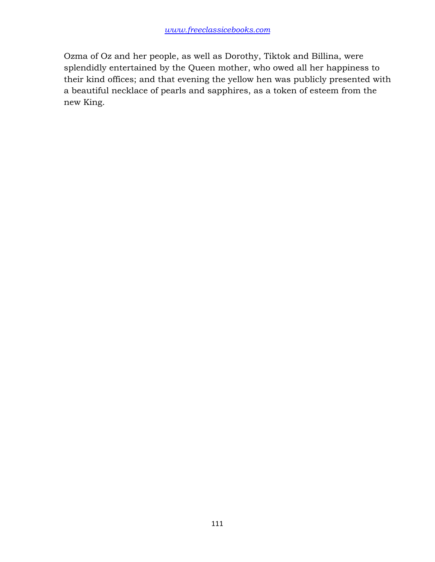Ozma of Oz and her people, as well as Dorothy, Tiktok and Billina, were splendidly entertained by the Queen mother, who owed all her happiness to their kind offices; and that evening the yellow hen was publicly presented with a beautiful necklace of pearls and sapphires, as a token of esteem from the new King.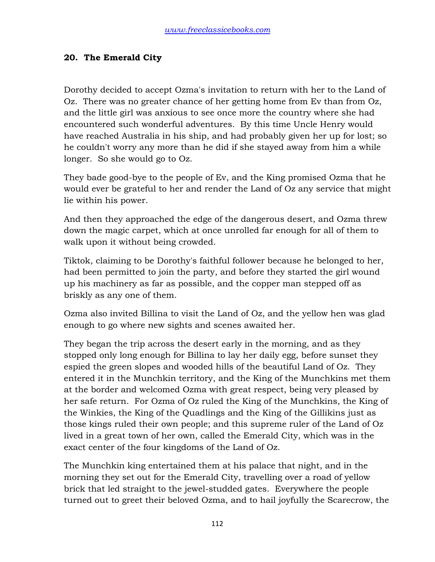## **20. The Emerald City**

Dorothy decided to accept Ozma's invitation to return with her to the Land of Oz. There was no greater chance of her getting home from Ev than from Oz, and the little girl was anxious to see once more the country where she had encountered such wonderful adventures. By this time Uncle Henry would have reached Australia in his ship, and had probably given her up for lost; so he couldn't worry any more than he did if she stayed away from him a while longer. So she would go to Oz.

They bade good-bye to the people of Ev, and the King promised Ozma that he would ever be grateful to her and render the Land of Oz any service that might lie within his power.

And then they approached the edge of the dangerous desert, and Ozma threw down the magic carpet, which at once unrolled far enough for all of them to walk upon it without being crowded.

Tiktok, claiming to be Dorothy's faithful follower because he belonged to her, had been permitted to join the party, and before they started the girl wound up his machinery as far as possible, and the copper man stepped off as briskly as any one of them.

Ozma also invited Billina to visit the Land of Oz, and the yellow hen was glad enough to go where new sights and scenes awaited her.

They began the trip across the desert early in the morning, and as they stopped only long enough for Billina to lay her daily egg, before sunset they espied the green slopes and wooded hills of the beautiful Land of Oz. They entered it in the Munchkin territory, and the King of the Munchkins met them at the border and welcomed Ozma with great respect, being very pleased by her safe return. For Ozma of Oz ruled the King of the Munchkins, the King of the Winkies, the King of the Quadlings and the King of the Gillikins just as those kings ruled their own people; and this supreme ruler of the Land of Oz lived in a great town of her own, called the Emerald City, which was in the exact center of the four kingdoms of the Land of Oz.

The Munchkin king entertained them at his palace that night, and in the morning they set out for the Emerald City, travelling over a road of yellow brick that led straight to the jewel-studded gates. Everywhere the people turned out to greet their beloved Ozma, and to hail joyfully the Scarecrow, the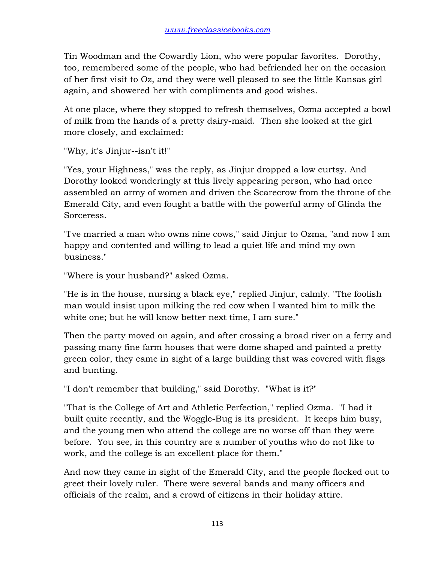Tin Woodman and the Cowardly Lion, who were popular favorites. Dorothy, too, remembered some of the people, who had befriended her on the occasion of her first visit to Oz, and they were well pleased to see the little Kansas girl again, and showered her with compliments and good wishes.

At one place, where they stopped to refresh themselves, Ozma accepted a bowl of milk from the hands of a pretty dairy-maid. Then she looked at the girl more closely, and exclaimed:

"Why, it's Jinjur--isn't it!"

"Yes, your Highness," was the reply, as Jinjur dropped a low curtsy. And Dorothy looked wonderingly at this lively appearing person, who had once assembled an army of women and driven the Scarecrow from the throne of the Emerald City, and even fought a battle with the powerful army of Glinda the Sorceress.

"I've married a man who owns nine cows," said Jinjur to Ozma, "and now I am happy and contented and willing to lead a quiet life and mind my own business."

"Where is your husband?" asked Ozma.

"He is in the house, nursing a black eye," replied Jinjur, calmly. "The foolish man would insist upon milking the red cow when I wanted him to milk the white one; but he will know better next time, I am sure."

Then the party moved on again, and after crossing a broad river on a ferry and passing many fine farm houses that were dome shaped and painted a pretty green color, they came in sight of a large building that was covered with flags and bunting.

"I don't remember that building," said Dorothy. "What is it?"

"That is the College of Art and Athletic Perfection," replied Ozma. "I had it built quite recently, and the Woggle-Bug is its president. It keeps him busy, and the young men who attend the college are no worse off than they were before. You see, in this country are a number of youths who do not like to work, and the college is an excellent place for them."

And now they came in sight of the Emerald City, and the people flocked out to greet their lovely ruler. There were several bands and many officers and officials of the realm, and a crowd of citizens in their holiday attire.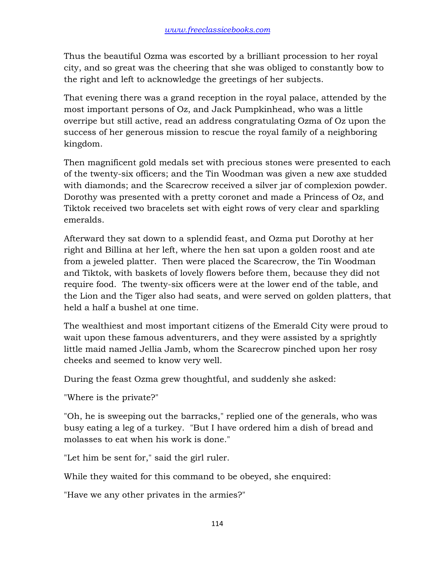Thus the beautiful Ozma was escorted by a brilliant procession to her royal city, and so great was the cheering that she was obliged to constantly bow to the right and left to acknowledge the greetings of her subjects.

That evening there was a grand reception in the royal palace, attended by the most important persons of Oz, and Jack Pumpkinhead, who was a little overripe but still active, read an address congratulating Ozma of Oz upon the success of her generous mission to rescue the royal family of a neighboring kingdom.

Then magnificent gold medals set with precious stones were presented to each of the twenty-six officers; and the Tin Woodman was given a new axe studded with diamonds; and the Scarecrow received a silver jar of complexion powder. Dorothy was presented with a pretty coronet and made a Princess of Oz, and Tiktok received two bracelets set with eight rows of very clear and sparkling emeralds.

Afterward they sat down to a splendid feast, and Ozma put Dorothy at her right and Billina at her left, where the hen sat upon a golden roost and ate from a jeweled platter. Then were placed the Scarecrow, the Tin Woodman and Tiktok, with baskets of lovely flowers before them, because they did not require food. The twenty-six officers were at the lower end of the table, and the Lion and the Tiger also had seats, and were served on golden platters, that held a half a bushel at one time.

The wealthiest and most important citizens of the Emerald City were proud to wait upon these famous adventurers, and they were assisted by a sprightly little maid named Jellia Jamb, whom the Scarecrow pinched upon her rosy cheeks and seemed to know very well.

During the feast Ozma grew thoughtful, and suddenly she asked:

"Where is the private?"

"Oh, he is sweeping out the barracks," replied one of the generals, who was busy eating a leg of a turkey. "But I have ordered him a dish of bread and molasses to eat when his work is done."

"Let him be sent for," said the girl ruler.

While they waited for this command to be obeyed, she enquired:

"Have we any other privates in the armies?"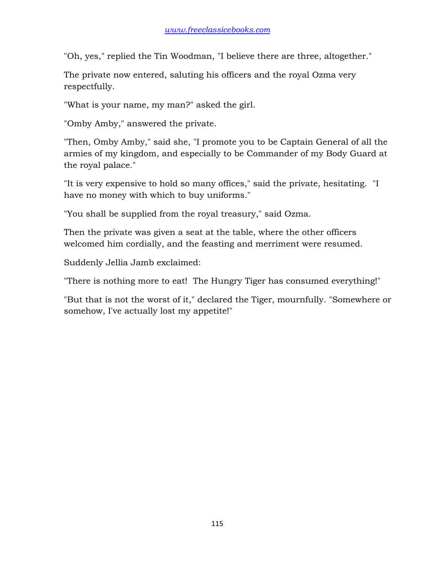"Oh, yes," replied the Tin Woodman, "I believe there are three, altogether."

The private now entered, saluting his officers and the royal Ozma very respectfully.

"What is your name, my man?" asked the girl.

"Omby Amby," answered the private.

"Then, Omby Amby," said she, "I promote you to be Captain General of all the armies of my kingdom, and especially to be Commander of my Body Guard at the royal palace."

"It is very expensive to hold so many offices," said the private, hesitating. "I have no money with which to buy uniforms."

"You shall be supplied from the royal treasury," said Ozma.

Then the private was given a seat at the table, where the other officers welcomed him cordially, and the feasting and merriment were resumed.

Suddenly Jellia Jamb exclaimed:

"There is nothing more to eat! The Hungry Tiger has consumed everything!"

"But that is not the worst of it," declared the Tiger, mournfully. "Somewhere or somehow, I've actually lost my appetite!"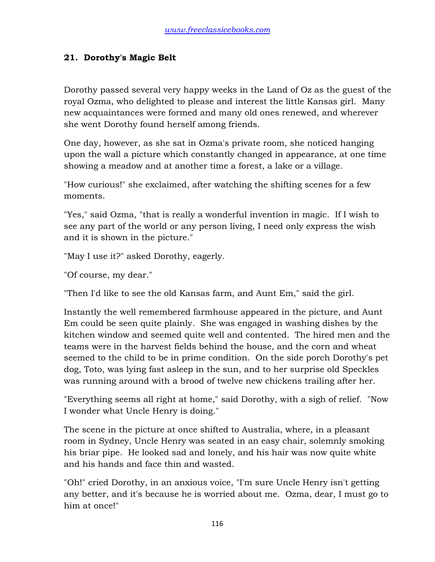## **21. Dorothy's Magic Belt**

Dorothy passed several very happy weeks in the Land of Oz as the guest of the royal Ozma, who delighted to please and interest the little Kansas girl. Many new acquaintances were formed and many old ones renewed, and wherever she went Dorothy found herself among friends.

One day, however, as she sat in Ozma's private room, she noticed hanging upon the wall a picture which constantly changed in appearance, at one time showing a meadow and at another time a forest, a lake or a village.

"How curious!" she exclaimed, after watching the shifting scenes for a few moments.

"Yes," said Ozma, "that is really a wonderful invention in magic. If I wish to see any part of the world or any person living, I need only express the wish and it is shown in the picture."

"May I use it?" asked Dorothy, eagerly.

"Of course, my dear."

"Then I'd like to see the old Kansas farm, and Aunt Em," said the girl.

Instantly the well remembered farmhouse appeared in the picture, and Aunt Em could be seen quite plainly. She was engaged in washing dishes by the kitchen window and seemed quite well and contented. The hired men and the teams were in the harvest fields behind the house, and the corn and wheat seemed to the child to be in prime condition. On the side porch Dorothy's pet dog, Toto, was lying fast asleep in the sun, and to her surprise old Speckles was running around with a brood of twelve new chickens trailing after her.

"Everything seems all right at home," said Dorothy, with a sigh of relief. "Now I wonder what Uncle Henry is doing."

The scene in the picture at once shifted to Australia, where, in a pleasant room in Sydney, Uncle Henry was seated in an easy chair, solemnly smoking his briar pipe. He looked sad and lonely, and his hair was now quite white and his hands and face thin and wasted.

"Oh!" cried Dorothy, in an anxious voice, "I'm sure Uncle Henry isn't getting any better, and it's because he is worried about me. Ozma, dear, I must go to him at once!"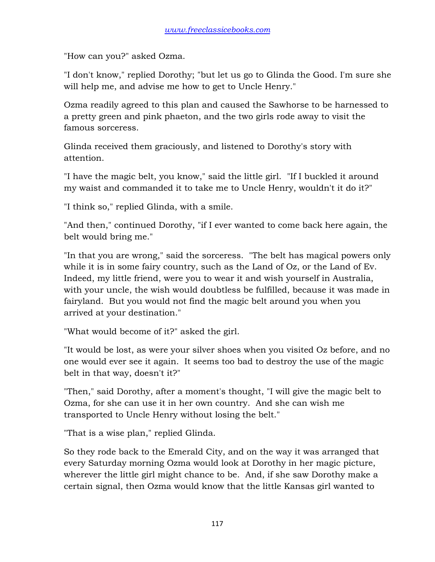"How can you?" asked Ozma.

"I don't know," replied Dorothy; "but let us go to Glinda the Good. I'm sure she will help me, and advise me how to get to Uncle Henry."

Ozma readily agreed to this plan and caused the Sawhorse to be harnessed to a pretty green and pink phaeton, and the two girls rode away to visit the famous sorceress.

Glinda received them graciously, and listened to Dorothy's story with attention.

"I have the magic belt, you know," said the little girl. "If I buckled it around my waist and commanded it to take me to Uncle Henry, wouldn't it do it?"

"I think so," replied Glinda, with a smile.

"And then," continued Dorothy, "if I ever wanted to come back here again, the belt would bring me."

"In that you are wrong," said the sorceress. "The belt has magical powers only while it is in some fairy country, such as the Land of Oz, or the Land of Ev. Indeed, my little friend, were you to wear it and wish yourself in Australia, with your uncle, the wish would doubtless be fulfilled, because it was made in fairyland. But you would not find the magic belt around you when you arrived at your destination."

"What would become of it?" asked the girl.

"It would be lost, as were your silver shoes when you visited Oz before, and no one would ever see it again. It seems too bad to destroy the use of the magic belt in that way, doesn't it?"

"Then," said Dorothy, after a moment's thought, "I will give the magic belt to Ozma, for she can use it in her own country. And she can wish me transported to Uncle Henry without losing the belt."

"That is a wise plan," replied Glinda.

So they rode back to the Emerald City, and on the way it was arranged that every Saturday morning Ozma would look at Dorothy in her magic picture, wherever the little girl might chance to be. And, if she saw Dorothy make a certain signal, then Ozma would know that the little Kansas girl wanted to